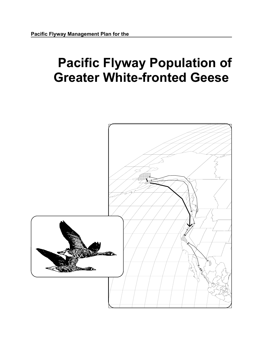# **Pacific Flyway Population of Greater White-fronted Geese**

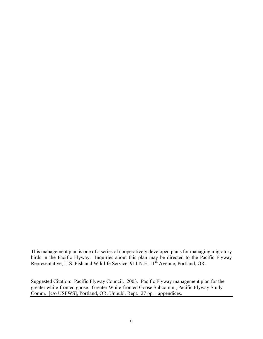This management plan is one of a series of cooperatively developed plans for managing migratory birds in the Pacific Flyway. Inquiries about this plan may be directed to the Pacific Flyway Representative, U.S. Fish and Wildlife Service, 911 N.E. 11<sup>th</sup> Avenue, Portland, OR.

Suggested Citation: Pacific Flyway Council. 2003. Pacific Flyway management plan for the greater white-fronted goose. Greater White-fronted Goose Subcomm., Pacific Flyway Study Comm. [c/o USFWS], Portland, OR. Unpubl. Rept. 27 pp.+ appendices.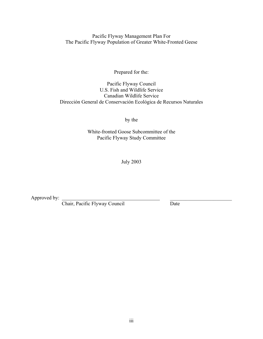Pacific Flyway Management Plan For The Pacific Flyway Population of Greater White-Fronted Geese

Prepared for the:

Pacific Flyway Council U.S. Fish and Wildlife Service Canadian Wildlife Service Dirección General de Conservación Ecológica de Recursos Naturales

by the

White-fronted Goose Subcommittee of the Pacific Flyway Study Committee

July 2003

Approved by:

Chair, Pacific Flyway Council Date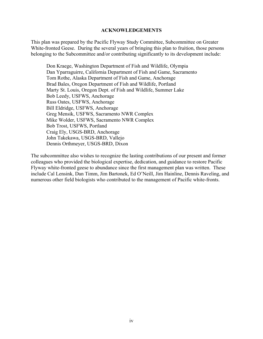## **ACKNOWLEDGEMENTS**

This plan was prepared by the Pacific Flyway Study Committee, Subcommittee on Greater White-fronted Geese. During the several years of bringing this plan to fruition, those persons belonging to the Subcommittee and/or contributing significantly to its development include:

Don Kraege, Washington Department of Fish and Wildlife, Olympia Dan Yparraguirre, California Department of Fish and Game, Sacramento Tom Rothe, Alaska Department of Fish and Game, Anchorage Brad Bales, Oregon Department of Fish and Wildlife, Portland Marty St. Louis, Oregon Dept. of Fish and Wildlife, Summer Lake Bob Leedy, USFWS, Anchorage Russ Oates, USFWS, Anchorage Bill Eldridge, USFWS, Anchorage Greg Mensik, USFWS, Sacramento NWR Complex Mike Wolder, USFWS, Sacramento NWR Complex Bob Trost, USFWS, Portland Craig Ely, USGS-BRD, Anchorage John Takekawa, USGS-BRD, Vallejo Dennis Orthmeyer, USGS-BRD, Dixon

The subcommittee also wishes to recognize the lasting contributions of our present and former colleagues who provided the biological expertise, dedication, and guidance to restore Pacific Flyway white-fronted geese to abundance since the first management plan was written. These include Cal Lensink, Dan Timm, Jim Bartonek, Ed O'Neill, Jim Hainline, Dennis Raveling, and numerous other field biologists who contributed to the management of Pacific white-fronts.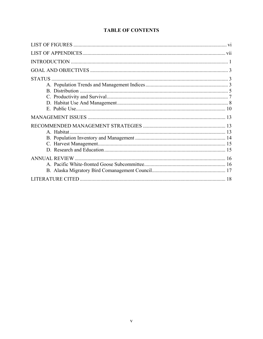# **TABLE OF CONTENTS**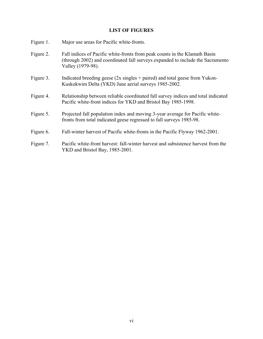# **LIST OF FIGURES**

| Figure 1. | Major use areas for Pacific white-fronts.                                                                                                                                         |
|-----------|-----------------------------------------------------------------------------------------------------------------------------------------------------------------------------------|
| Figure 2. | Fall indices of Pacific white-fronts from peak counts in the Klamath Basin<br>(through 2002) and coordinated fall surveys expanded to include the Sacramento<br>Valley (1979-98). |
| Figure 3. | Indicated breeding geese $(2x \text{ singles} + \text{paired})$ and total geese from Yukon-<br>Kuskokwim Delta (YKD) June aerial surveys 1985-2002.                               |
| Figure 4. | Relationship between reliable coordinated fall survey indices and total indicated<br>Pacific white-front indices for YKD and Bristol Bay 1985-1998.                               |
| Figure 5. | Projected fall population index and moving 3-year average for Pacific white-<br>fronts from total indicated geese regressed to fall surveys 1985-98.                              |
| Figure 6. | Fall-winter harvest of Pacific white-fronts in the Pacific Flyway 1962-2001.                                                                                                      |
| Figure 7. | Pacific white-front harvest: fall-winter harvest and subsistence harvest from the<br>YKD and Bristol Bay, 1985-2001.                                                              |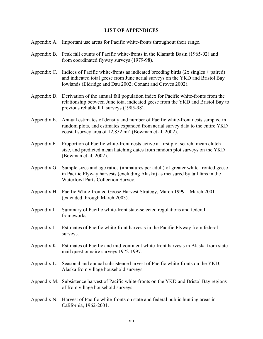## **LIST OF APPENDICES**

- Appendix A. Important use areas for Pacific white-fronts throughout their range.
- Appendix B. Peak fall counts of Pacific white-fronts in the Klamath Basin (1965-02) and from coordinated flyway surveys (1979-98).
- Appendix C. Indices of Pacific white-fronts as indicated breeding birds (2x singles + paired) and indicated total geese from June aerial surveys on the YKD and Bristol Bay lowlands (Eldridge and Dau 2002; Conant and Groves 2002).
- Appendix D. Derivation of the annual fall population index for Pacific white-fronts from the relationship between June total indicated geese from the YKD and Bristol Bay to previous reliable fall surveys (1985-98).
- Appendix E. Annual estimates of density and number of Pacific white-front nests sampled in random plots, and estimates expanded from aerial survey data to the entire YKD coastal survey area of  $12,852 \text{ mi}^2$  (Bowman et al. 2002).
- Appendix F. Proportion of Pacific white-front nests active at first plot search, mean clutch size, and predicted mean hatching dates from random plot surveys on the YKD (Bowman et al. 2002).
- Appendix G. Sample sizes and age ratios (immatures per adult) of greater white-fronted geese in Pacific Flyway harvests (excluding Alaska) as measured by tail fans in the Waterfowl Parts Collection Survey.
- Appendix H. Pacific White-fronted Goose Harvest Strategy, March 1999 March 2001 (extended through March 2003).
- Appendix I. Summary of Pacific white-front state-selected regulations and federal frameworks.
- Appendix J. Estimates of Pacific white-front harvests in the Pacific Flyway from federal surveys.
- Appendix K. Estimates of Pacific and mid-continent white-front harvests in Alaska from state mail questionnaire surveys 1972-1997.
- Appendix L. Seasonal and annual subsistence harvest of Pacific white-fronts on the YKD, Alaska from village household surveys.
- Appendix M. Subsistence harvest of Pacific white-fronts on the YKD and Bristol Bay regions of from village household surveys.
- Appendix N. Harvest of Pacific white-fronts on state and federal public hunting areas in California, 1962-2001.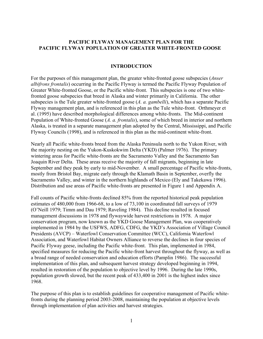# **PACIFIC FLYWAY MANAGEMENT PLAN FOR THE PACIFIC FLYWAY POPULATION OF GREATER WHITE-FRONTED GOOSE**

# **INTRODUCTION**

For the purposes of this management plan, the greater white-fronted goose subspecies (*Anser albifrons frontalis*) occurring in the Pacific Flyway is termed the Pacific Flyway Population of Greater White-fronted Goose, or the Pacific white-front. This subspecies is one of two whitefronted goose subspecies that breed in Alaska and winter primarily in California. The other subspecies is the Tule greater white-fronted goose (*A. a. gambelli*), which has a separate Pacific Flyway management plan, and is referenced in this plan as the Tule white-front. Orthmeyer et al. (1995) have described morphological differences among white-fronts. The Mid-continent Population of White-fronted Goose (*A. a. frontalis*), some of which breed in interior and northern Alaska, is treated in a separate management plan adopted by the Central, Mississippi, and Pacific Flyway Councils (1998), and is referenced in this plan as the mid-continent white-front.

Nearly all Pacific white-fronts breed from the Alaska Peninsula north to the Yukon River, with the majority nesting on the Yukon-Kuskokwim Delta (YKD) (Palmer 1976). The primary wintering areas for Pacific white-fronts are the Sacramento Valley and the Sacramento San Joaquin River Delta. These areas receive the majority of fall migrants, beginning in late September and they peak by early to mid-November. A small percentage of Pacific white-fronts, mostly from Bristol Bay, migrate early through the Klamath Basin in September, overfly the Sacramento Valley, and winter in the northern highlands of Mexico (Ely and Takekawa 1996). Distribution and use areas of Pacific white-fronts are presented in Figure 1 and Appendix A.

Fall counts of Pacific white-fronts declined 85% from the reported historical peak population estimates of 480,000 from 1966-68, to a low of 73,100 in coordinated fall surveys of 1979 (O'Neill 1979; Timm and Dau 1979; Raveling 1984). This decline resulted in focused management discussions in 1978 and flywaywide harvest restrictions in 1978. A major conservation program, now known as the YKD Goose Management Plan, was cooperatively implemented in 1984 by the USFWS, ADFG, CDFG, the YKD's Association of Village Council Presidents (AVCP) – Waterfowl Conservation Committee (WCC), California Waterfowl Association, and Waterfowl Habitat Owners Alliance to reverse the declines in four species of Pacific Flyway geese, including the Pacific white-front. This plan, implemented in 1984, specified measures for reducing the Pacific white-front harvest throughout the flyway, as well as a broad range of needed conservation and education efforts (Pamplin 1986). The successful implementation of this plan, and subsequent harvest strategy developed beginning in 1994, resulted in restoration of the population to objective level by 1996. During the late 1990s, population growth slowed, but the recent peak of 433,400 in 2001 is the highest index since 1968.

The purpose of this plan is to establish guidelines for cooperative management of Pacific whitefronts during the planning period 2003-2008, maintaining the population at objective levels through implementation of plan activities and harvest strategies.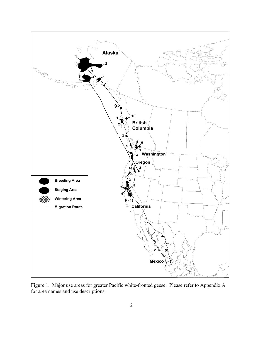

Figure 1. Major use areas for greater Pacific white-fronted geese. Please refer to Appendix A for area names and use descriptions.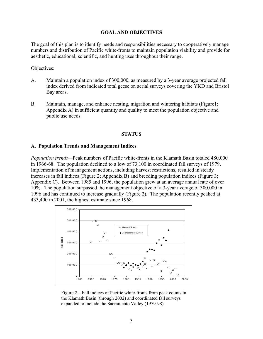## **GOAL AND OBJECTIVES**

The goal of this plan is to identify needs and responsibilities necessary to cooperatively manage numbers and distribution of Pacific white-fronts to maintain population viability and provide for aesthetic, educational, scientific, and hunting uses throughout their range.

Objectives:

- A. Maintain a population index of 300,000, as measured by a 3-year average projected fall index derived from indicated total geese on aerial surveys covering the YKD and Bristol Bay areas.
- B. Maintain, manage, and enhance nesting, migration and wintering habitats (Figure1; Appendix A) in sufficient quantity and quality to meet the population objective and public use needs.

#### **STATUS**

#### **A. Population Trends and Management Indices**

*Population trends—*Peak numbers of Pacific white-fronts in the Klamath Basin totaled 480,000 in 1966-68. The population declined to a low of 73,100 in coordinated fall surveys of 1979. Implementation of management actions, including harvest restrictions, resulted in steady increases in fall indices (Figure 2; Appendix B) and breeding population indices (Figure 3; Appendix C). Between 1985 and 1996, the population grew at an average annual rate of over 10%. The population surpassed the management objective of a 3-year average of 300,000 in 1996 and has continued to increase gradually (Figure 2). The population recently peaked at 433,400 in 2001, the highest estimate since 1968.



Figure 2 – Fall indices of Pacific white-fronts from peak counts in the Klamath Basin (through 2002) and coordinated fall surveys expanded to include the Sacramento Valley (1979-98).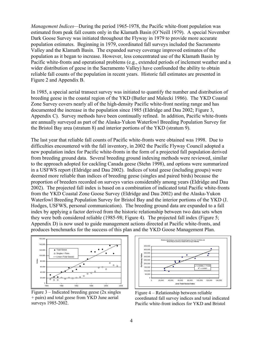*Management Indices—*During the period 1965-1978, the Pacific white-front population was estimated from peak fall counts only in the Klamath Basin (O'Neill 1979). A special November Dark Goose Survey was initiated throughout the Flyway in 1979 to provide more accurate population estimates. Beginning in 1979, coordinated fall surveys included the Sacramento Valley and the Klamath Basin. The expanded survey coverage improved estimates of the population as it began to increase. However, less concentrated use of the Klamath Basin by Pacific white-fronts and operational problems (e.g., extended periods of inclement weather and a wider distribution of geese in the Sacramento Valley) have confounded the ability to obtain reliable fall counts of the population in recent years. Historic fall estimates are presented in Figure 2 and Appendix B.

In 1985, a special aerial transect survey was initiated to quantify the number and distribution of breeding geese in the coastal region of the YKD (Butler and Malecki 1986). The YKD Coastal Zone Survey covers nearly all of the high-density Pacific white-front nesting range and has documented the increase in the population since 1985 (Eldridge and Dau 2002; Figure 3, Appendix C). Survey methods have been continually refined. In addition, Pacific white-fronts are annually surveyed as part of the Alaska-Yukon Waterfowl Breeding Population Survey for the Bristol Bay area (stratum 8) and interior portions of the YKD (stratum 9).

The last year that reliable fall counts of Pacific white-fronts were obtained was 1998. Due to difficulties encountered with the fall inventory, in 2002 the Pacific Flyway Council adopted a new population index for Pacific white-fronts in the form of a projected fall population derived from breeding ground data. Several breeding ground indexing methods were reviewed, similar to the approach adopted for cackling Canada geese (Stehn 1998), and options were summarized in a USFWS report (Eldridge and Dau 2002). Indices of total geese (including groups) were deemed more reliable than indices of breeding geese (singles and paired birds) because the proportion of breeders recorded on surveys varies considerably among years (Eldridge and Dau 2002). The projected fall index is based on a combination of indicated total Pacific white-fronts from the YKD Coastal Zone Goose Survey (Eldridge and Dau 2002) and the Alaska-Yukon Waterfowl Breeding Population Survey for Bristol Bay and the interior portions of the YKD (J. Hodges, USFWS, personal communication). The breeding ground data are expanded to a fall index by applying a factor derived from the historic relationship between two data sets when they were both considered reliable (1985-98; Figure 4). The projected fall index (Figure 5; Appendix D) is now used to guide management actions directed at Pacific white-fronts, and produces benchmarks for the success of this plan and the YKD Goose Management Plan.



Figure 3 – Indicated breeding geese (2x singles + pairs) and total geese from YKD June aerial surveys 1985-2002.



Figure 4 – Relationship between reliable coordinated fall survey indices and total indicated Pacific white-front indices for YKD and Bristol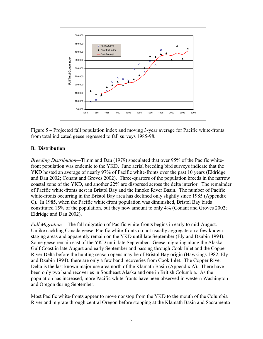

Figure 5 – Projected fall population index and moving 3-year average for Pacific white-fronts from total indicated geese regressed to fall surveys 1985-98.

# **B. Distribution**

*Breeding Distribution—*Timm and Dau (1979) speculated that over 95% of the Pacific whitefront population was endemic to the YKD. June aerial breeding bird surveys indicate that the YKD hosted an average of nearly 97% of Pacific white-fronts over the past 10 years (Eldridge and Dau 2002; Conant and Groves 2002). Three-quarters of the population breeds in the narrow coastal zone of the YKD, and another 22% are dispersed across the delta interior. The remainder of Pacific white-fronts nest in Bristol Bay and the Innoko River Basin. The number of Pacific white-fronts occurring in the Bristol Bay area has declined only slightly since 1985 (Appendix C). In 1985, when the Pacific white-front population was diminished, Bristol Bay birds constituted 15% of the population, but they now amount to only 4% (Conant and Groves 2002; Eldridge and Dau 2002).

*Fall Migration—* The fall migration of Pacific white-fronts begins in early to mid-August. Unlike cackling Canada geese, Pacific white-fronts do not usually aggregate on a few known staging areas and apparently remain on the YKD until late September (Ely and Dzubin 1994). Some geese remain east of the YKD until late September. Geese migrating along the Alaska Gulf Coast in late August and early September and passing through Cook Inlet and the Copper River Delta before the hunting season opens may be of Bristol Bay origin (Hawkings 1982, Ely and Dzubin 1994); there are only a few band recoveries from Cook Inlet. The Copper River Delta is the last known major use area north of the Klamath Basin (Appendix A). There have been only two band recoveries in Southeast Alaska and one in British Columbia. As the population has increased, more Pacific white-fronts have been observed in western Washington and Oregon during September.

Most Pacific white-fronts appear to move nonstop from the YKD to the mouth of the Columbia River and migrate through central Oregon before stopping at the Klamath Basin and Sacramento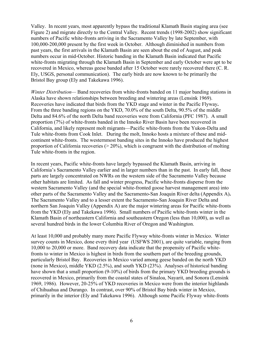Valley. In recent years, most apparently bypass the traditional Klamath Basin staging area (see Figure 2) and migrate directly to the Central Valley. Recent trends (1998-2002) show significant numbers of Pacific white-fronts arriving in the Sacramento Valley by late September, with 100,000-200,000 present by the first week in October. Although diminished in numbers from past years, the first arrivals in the Klamath Basin are seen about the end of August, and peak numbers occur in mid-October. Historic banding in the Klamath Basin indicated that Pacific white-fronts migrating through the Klamath Basin in September and early October were apt to be recovered in Mexico, whereas geese banded after 15 October were rarely recovered there (C. R. Ely, USGS, personal communication). The early birds are now known to be primarily the Bristol Bay group (Ely and Takekawa 1996).

*Winter Distribution—* Band recoveries from white-fronts banded on 11 major banding stations in Alaska have shown relationships between breeding and wintering areas (Lensink 1969). Recoveries have indicated that birds from the YKD stage and winter in the Pacific Flyway**.**  From the three banding regions on the YKD, 70.0% of the south Delta, 90.5% of the middle Delta and 84.6% of the north Delta band recoveries were from California (PFC 1987). A small proportion (7%) of white-fronts banded in the Innoko River Basin have been recovered in California, and likely represent molt migrants—Pacific white-fronts from the Yukon-Delta and Tule white-fronts from Cook Inlet. During the molt, Innoko hosts a mixture of these and midcontinent white-fronts. The westernmost banding sites in the Innoko have produced the highest proportion of California recoveries  $(20\%)$ , which is congruent with the distribution of molting Tule white-fronts in the region.

In recent years, Pacific white-fronts have largely bypassed the Klamath Basin, arriving in California's Sacramento Valley earlier and in larger numbers than in the past. In early fall, these parts are largely concentrated on NWRs on the western side of the Sacramento Valley because other habitats are limited. As fall and winter progress, Pacific white-fronts disperse from the western Sacramento Valley (and the special white-fronted goose harvest management area) into other parts of the Sacramento Valley and the Sacramento-San Joaquin River delta (Appendix A)**.**  The Sacramento Valley and to a lesser extent the Sacramento-San Joaquin River Delta and northern San Joaquin Valley (Appendix A) are the major wintering areas for Pacific white-fronts from the YKD (Ely and Takekawa 1996). Small numbers of Pacific white-fronts winter in the Klamath Basin of northeastern California and southeastern Oregon (less than 10,000), as well as several hundred birds in the lower Columbia River of Oregon and Washington.

At least 10,000 and probably many more Pacific Flyway white-fronts winter in Mexico. Winter survey counts in Mexico, done every third year (USFWS 2001), are quite variable, ranging from 10,000 to 20,000 or more. Band recovery data indicate that the propensity of Pacific whitefronts to winter in Mexico is highest in birds from the southern part of the breeding grounds, particularly Bristol Bay. Recoveries in Mexico varied among geese banded on the north YKD (none in Mexico), middle YKD (2.5%), and south YKD (23%). Analyses of historical banding have shown that a small proportion (9-10%) of birds from the primary YKD breeding grounds is recovered in Mexico, primarily from the coastal states of Sinaloa, Nayarit, and Sonora (Lensink 1969, 1986). However, 20-25% of YKD recoveries in Mexico were from the interior highlands of Chihuahua and Durango. In contrast, over 90% of Bristol Bay birds winter in Mexico, primarily in the interior (Ely and Takekawa 1996). Although some Pacific Flyway white-fronts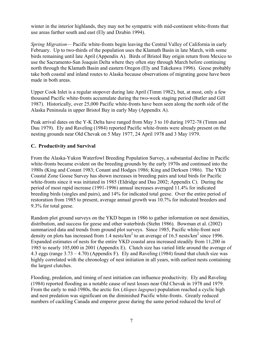winter in the interior highlands, they may not be sympatric with mid-continent white-fronts that use areas farther south and east (Ely and Dzubin 1994).

*Spring Migration—* Pacific white-fronts begin leaving the Central Valley of California in early February. Up to two-thirds of the population uses the Klamath Basin in late March, with some birds remaining until late April (Appendix A). Birds of Bristol Bay origin return from Mexico to use the Sacramento-San Joaquin Delta where they often stay through March before continuing north through the Klamath Basin and eastern Oregon (Ely and Takekawa 1996). Geese probably take both coastal and inland routes to Alaska because observations of migrating geese have been made in both areas.

Upper Cook Inlet is a regular stopover during late April (Timm 1982), but, at most, only a few thousand Pacific white-fronts accumulate during the two-week staging period (Butler and Gill 1987). Historically, over 25,000 Pacific white-fronts have been seen along the north side of the Alaska Peninsula in upper Bristol Bay in early May (Appendix A).

Peak arrival dates on the Y-K Delta have ranged from May 3 to 10 during 1972-78 (Timm and Dau 1979). Ely and Raveling (1984) reported Pacific white-fronts were already present on the nesting grounds near Old Chevak on 5 May 1977, 24 April 1978 and 3 May 1979.

# **C. Productivity and Survival**

From the Alaska-Yukon Waterfowl Breeding Population Survey, a substantial decline in Pacific white-fronts became evident on the breeding grounds by the early 1970s and continued into the 1980s (King and Conant 1983; Conant and Hodges 1986; King and Derksen 1986). The YKD Coastal Zone Goose Survey has shown increases in breeding pairs and total birds for Pacific white-fronts since it was initiated in 1985 (Eldridge and Dau 2002; Appendix C). During the period of most rapid increase (1991-1996) annual increases averaged 11.4% for indicated breeding birds (singles and pairs), and 14% for indicated total geese. Over the entire period of restoration from 1985 to present, average annual growth was 10.7% for indicated breeders and 9.3% for total geese.

Random plot ground surveys on the YKD began in 1986 to gather information on nest densities, distribution, and success for geese and other waterbirds (Stehn 1986). Bowman et al. (2002) summarized data and trends from ground plot surveys. Since 1985, Pacific white-front nest density on plots has increased from 1.4 nests/ $km^2$  to an average of 16.5 nests/ $km^2$  since 1996. Expanded estimates of nests for the entire YKD coastal area increased steadily from 11,200 in 1985 to nearly 105,000 in 2001 (Appendix E). Clutch size has varied little around the average of 4.3 eggs (range 3.73 – 4.70) (Appendix F). Ely and Raveling (1984) found that clutch size was highly correlated with the chronology of nest initiation in all years, with earliest nests containing the largest clutches.

Flooding, predation, and timing of nest initiation can influence productivity. Ely and Raveling (1984) reported flooding as a notable cause of nest losses near Old Chevak in 1978 and 1979. From the early to mid-1980s, the arctic fox (*Alopex lagopus*) population reached a cyclic high and nest predation was significant on the diminished Pacific white-fronts. Greatly reduced numbers of cackling Canada and emperor geese during the same period reduced the level of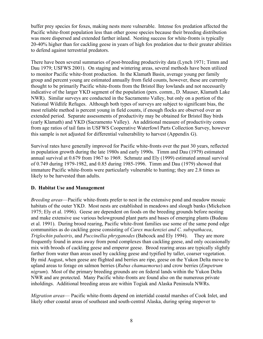buffer prey species for foxes, making nests more vulnerable. Intense fox predation affected the Pacific white-front population less than other goose species because their breeding distribution was more dispersed and extended farther inland. Nesting success for white-fronts is typically 20-40% higher than for cackling geese in years of high fox predation due to their greater abilities to defend against terrestrial predators.

There have been several summaries of post-breeding productivity data (Lynch 1971; Timm and Dau 1979; USFWS 2001). On staging and wintering areas, several methods have been utilized to monitor Pacific white-front production. In the Klamath Basin, average young per family group and percent young are estimated annually from field counts, however, these are currently thought to be primarily Pacific white-fronts from the Bristol Bay lowlands and not necessarily indicative of the larger YKD segment of the population (pers. comm., D. Mauser, Klamath Lake NWR). Similar surveys are conducted in the Sacramento Valley, but only on a portion of the National Wildlife Refuges. Although both types of surveys are subject to significant bias, the most reliable method is percent young in field counts, if enough flocks are observed over an extended period. Separate assessments of productivity may be obtained for Bristol Bay birds (early Klamath) and YKD (Sacramento Valley). An additional measure of productivity comes from age ratios of tail fans in USFWS Cooperative Waterfowl Parts Collection Survey, however this sample is not adjusted for differential vulnerability to harvest (Appendix G).

Survival rates have generally improved for Pacific white-fronts over the past 30 years, reflected in population growth during the late 1980s and early 1990s. Timm and Dau (1979) estimated annual survival at 0.679 from 1967 to 1969. Schmutz and Ely (1999) estimated annual survival of 0.749 during 1979-1982, and 0.85 during 1985-1996. Timm and Dau (1979) showed that immature Pacific white-fronts were particularly vulnerable to hunting; they are 2.8 times as likely to be harvested than adults.

# **D. Habitat Use and Management**

*Breeding areas*—Pacific white-fronts prefer to nest in the extensive pond and meadow mosaic habitats of the outer YKD. Most nests are established in meadows and slough banks (Mickelson 1975; Ely et al. 1996). Geese are dependent on foods on the breeding grounds before nesting and make extensive use various belowground plant parts and bases of emerging plants (Budeau et al. 1991). During brood rearing, Pacific white-front families use some of the same pond edge communities as do cackling geese consisting of *Carex mackenziei and C. subspathacea*, *Triglochin palustris*, and *Puccinellia phryganodes* (Babcock and Ely 1994). They are more frequently found in areas away from pond complexes than cackling geese, and only occasionally mix with broods of cackling geese and emperor geese. Brood rearing areas are typically slightly farther from water than areas used by cackling geese and typified by taller, coarser vegetation. By mid August, when geese are flighted and berries are ripe, geese on the Yukon Delta move to upland areas to forage on salmon berries (*Rubus chamaemorus*) and crow berries (*Empetrum nigrum*). Most of the primary breeding grounds are on federal lands within the Yukon Delta NWR and are protected. Many Pacific white-fronts are found also on the numerous private inholdings. Additional breeding areas are within Togiak and Alaska Peninsula NWRs.

*Migration areas*— Pacific white-fronts depend on intertidal coastal marshes of Cook Inlet, and likely other coastal areas of southeast and south-central Alaska, during spring stopover to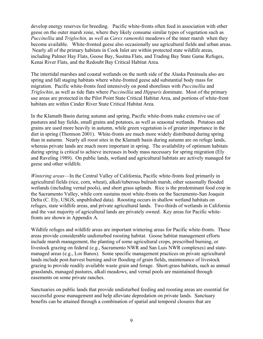develop energy reserves for breeding. Pacific white-fronts often feed in association with other geese on the outer marsh zone, where they likely consume similar types of vegetation such as *Puccinellia* and *Triglochin,* as *well* as *Carex ramenskii* meadows of the inner marsh when they become available. White-fronted geese also occasionally use agricultural fields and urban areas. Nearly all of the primary habitats in Cook Inlet are within protected state wildlife areas, including Palmer Hay Flats, Goose Bay, Susitna Flats, and Trading Bay State Game Refuges, Kenai River Flats, and the Redoubt Bay Critical Habitat Area.

The intertidal marshes and coastal wetlands on the north side of the Alaska Peninsula also are spring and fall staging habitats where white-fronted geese add substantial body mass for migration. Pacific white-fronts feed intensively on pond shorelines with *Puccinellia* and *Triglochin*, as well as tide flats where *Puccinellia* and *Hippuris* dominate. Most of the primary use areas are protected in the Pilot Point State Critical Habitat Area, and portions of white-front habitats are within Cinder River State Critical Habitat Area.

In the Klamath Basin during autumn and spring, Pacific white-fronts make extensive use of pastures and hay fields, small grains and potatoes, as well as seasonal wetlands. Potatoes and grains are used more heavily in autumn, while green vegetation is of greater importance in the diet in spring (Thomson 2001). White-fronts are much more widely distributed during spring than in autumn. Nearly all roost sites in the Klamath basin during autumn are on refuge lands, whereas private lands are much more important in spring. The availability of optimum habitats during spring is critical to achieve increases in body mass necessary for spring migration (Ely and Raveling 1989). On public lands, wetland and agricultural habitats are actively managed for geese and other wildlife.

*Wintering areas*—In the Central Valley of California, Pacific white-fronts feed primarily in agricultural fields (rice, corn, wheat), alkali/tuberous bulrush marsh, other seasonally flooded wetlands (including vernal pools), and short grass uplands. Rice is the predominant food crop in the Sacramento Valley, while corn sustains most white-fronts on the Sacramento-San Joaquin Delta (C. Ely, USGS, unpublished data). Roosting occurs in shallow wetland habitats on refuges, state wildlife areas, and private agricultural lands. Two-thirds of wetlands in California and the vast majority of agricultural lands are privately owned. Key areas for Pacific whitefronts are shown in Appendix A.

Wildlife refuges and wildlife areas are important wintering areas for Pacific white-fronts. These areas provide considerable undisturbed roosting habitat. Goose habitat management efforts include marsh management, the planting of some agricultural crops, prescribed burning, or livestock grazing on federal (e.g., Sacramento NWR and San Luis NWR complexes) and statemanaged areas (e.g., Los Banos). Some specific management practices on private agricultural lands include post-harvest burning and/or flooding of grain fields, maintenance of livestock grazing to provide readily available waste grain and forage. Short-grass habitats, such as annual grasslands, managed pastures, alkali meadows, and vernal pools are maintained through easements on some private ranches.

Sanctuaries on public lands that provide undisturbed feeding and roosting areas are essential for successful goose management and help alleviate depredation on private lands. Sanctuary benefits can be attained through a combination of spatial and temporal closures that are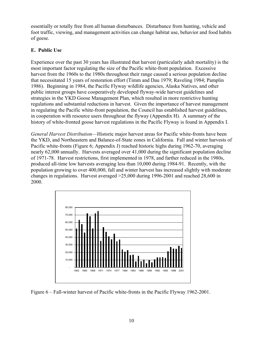essentially or totally free from all human disturbances. Disturbance from hunting, vehicle and foot traffic, viewing, and management activities can change habitat use, behavior and food habits of geese.

# **E. Public Use**

Experience over the past 30 years has illustrated that harvest (particularly adult mortality) is the most important factor regulating the size of the Pacific white-front population. Excessive harvest from the 1960s to the 1980s throughout their range caused a serious population decline that necessitated 15 years of restoration effort (Timm and Dau 1979; Raveling 1984; Pamplin 1986). Beginning in 1984, the Pacific Flyway wildlife agencies, Alaska Natives, and other public interest groups have cooperatively developed flyway-wide harvest guidelines and strategies in the YKD Goose Management Plan, which resulted in more restrictive hunting regulations and substantial reductions in harvest. Given the importance of harvest management in regulating the Pacific white-front population, the Council has established harvest guidelines, in cooperation with resource users throughout the flyway (Appendix H). A summary of the history of white-fronted goose harvest regulations in the Pacific Flyway is found in Appendix I.

*General Harvest Distribution*—Historic major harvest areas for Pacific white-fronts have been the YKD, and Northeastern and Balance-of-State zones in California. Fall and winter harvests of Pacific white-fronts (Figure 6; Appendix J) reached historic highs during 1962-70, averaging nearly 62,000 annually. Harvests averaged over 41,000 during the significant population decline of 1971-78. Harvest restrictions, first implemented in 1978, and farther reduced in the 1980s, produced all-time low harvests averaging less than 10,000 during 1984-91. Recently, with the population growing to over 400,000, fall and winter harvest has increased slightly with moderate changes in regulations. Harvest averaged >25,000 during 1996-2001 and reached 28,600 in 2000.



Figure 6 – Fall-winter harvest of Pacific white-fronts in the Pacific Flyway 1962-2001.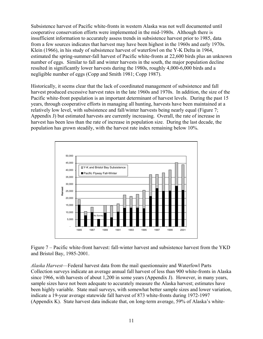Subsistence harvest of Pacific white-fronts in western Alaska was not well documented until cooperative conservation efforts were implemented in the mid-1980s. Although there is insufficient information to accurately assess trends in subsistence harvest prior to 1985, data from a few sources indicates that harvest may have been highest in the 1960s and early 1970s. Klein (1966), in his study of subsistence harvest of waterfowl on the Y-K Delta in 1964, estimated the spring-summer-fall harvest of Pacific white-fronts at 22,600 birds plus an unknown number of eggs. Similar to fall and winter harvests in the south, the major population decline resulted in significantly lower harvests during the 1980s, roughly 4,000-6,000 birds and a negligible number of eggs (Copp and Smith 1981; Copp 1987).

Historically, it seems clear that the lack of coordinated management of subsistence and fall harvest produced excessive harvest rates in the late 1960s and 1970s. In addition, the size of the Pacific white-front population is an important determinant of harvest levels. During the past 15 years, through cooperative efforts in managing all hunting, harvests have been maintained at a relatively low level, with subsistence and fall/winter harvests being nearly equal (Figure 7; Appendix J) but estimated harvests are currently increasing. Overall, the rate of increase in harvest has been less than the rate of increase in population size. During the last decade, the population has grown steadily, with the harvest rate index remaining below 10%.



Figure 7 – Pacific white-front harvest: fall-winter harvest and subsistence harvest from the YKD and Bristol Bay, 1985-2001.

*Alaska Harvest*—Federal harvest data from the mail questionnaire and Waterfowl Parts Collection surveys indicate an average annual fall harvest of less than 900 white-fronts in Alaska since 1966, with harvests of about 1,200 in some years (Appendix J). However, in many years, sample sizes have not been adequate to accurately measure the Alaska harvest; estimates have been highly variable. State mail surveys, with somewhat better sample sizes and lower variation, indicate a 19-year average statewide fall harvest of 873 white-fronts during 1972-1997 (Appendix K). State harvest data indicate that, on long-term average, 59% of Alaska's white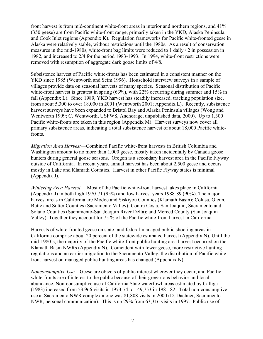front harvest is from mid-continent white-front areas in interior and northern regions, and 41% (350 geese) are from Pacific white-front range, primarily taken in the YKD, Alaska Peninsula, and Cook Inlet regions (Appendix K). Regulation frameworks for Pacific white-fronted geese in Alaska were relatively stable, without restrictions until the 1980s. As a result of conservation measures in the mid-1980s, white-front bag limits were reduced to 1 daily / 2 in possession in 1982, and increased to 2/4 for the period 1983-1993. In 1994, white-front restrictions were removed with resumption of aggregate dark goose limits of 4/8.

Subsistence harvest of Pacific white-fronts has been estimated in a consistent manner on the YKD since 1985 (Wentworth and Seim 1996). Household interview surveys in a sample of villages provide data on seasonal harvests of many species. Seasonal distribution of Pacific white-front harvest is greatest in spring (63%), with 22% occurring during summer and 15% in fall (Appendix L). Since 1989, YKD harvest has steadily increased, tracking population size, from about 5,300 to over 18,000 in 2001 (Wentworth 2001; Appendix L). Recently, subsistence harvest surveys have been expanded to Bristol Bay and Alaska Peninsula villages (Wong and Wentworth 1999; C. Wentworth, USFWS, Anchorage, unpublished data, 2000). Up to 1,300 Pacific white-fronts are taken in this region (Appendix M). Harvest surveys now cover all primary subsistence areas, indicating a total subsistence harvest of about 18,000 Pacific whitefronts.

*Migration Area Harvest*—Combined Pacific white-front harvests in British Columbia and Washington amount to no more than 1,000 geese, mostly taken incidentally by Canada goose hunters during general goose seasons. Oregon is a secondary harvest area in the Pacific Flyway outside of California. In recent years, annual harvest has been about 2,500 geese and occurs mostly in Lake and Klamath Counties. Harvest in other Pacific Flyway states is minimal (Appendix J).

*Wintering Area Harvest*— Most of the Pacific white-front harvest takes place in California (Appendix J) in both high 1970-71 (95%) and low harvest years 1988-89 (90%). The major harvest areas in California are Modoc and Siskiyou Counties (Klamath Basin); Colusa, Glenn, Butte and Sutter Counties (Sacramento Valley); Contra Costa, San Joaquin, Sacramento and Solano Counties (Sacramento-San Joaquin River Delta); and Merced County (San Joaquin Valley). Together they account for 75 % of the Pacific white-front harvest in California.

Harvests of white-fronted geese on state- and federal-managed public shooting areas in California comprise about 20 percent of the statewide estimated harvest (Appendix N). Until the mid-1980's, the majority of the Pacific white-front public hunting area harvest occurred on the Klamath Basin NWRs (Appendix N). Coincident with fewer geese, more restrictive hunting regulations and an earlier migration to the Sacramento Valley, the distribution of Pacific whitefront harvest on managed public hunting areas has changed (Appendix N).

*Nonconsumptive Use*—Geese are objects of public interest wherever they occur, and Pacific white-fronts are of interest to the public because of their gregarious behavior and local abundance. Non-consumptive use of California State waterfowl areas estimated by Calliga (1983) increased from 53,966 visits in 1973-74 to 149,753 in 1981-82. Total non-consumptive use at Sacramento NWR complex alone was 81,808 visits in 2000 (D. Dachner, Sacramento NWR, personal communication). This is up 29% from 63,316 visits in 1997. Public use of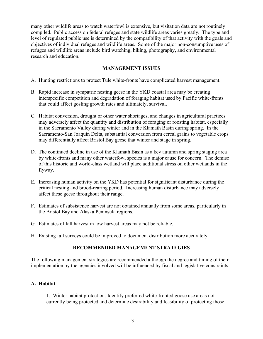many other wildlife areas to watch waterfowl is extensive, but visitation data are not routinely compiled. Public access on federal refuges and state wildlife areas varies greatly. The type and level of regulated public use is determined by the compatibility of that activity with the goals and objectives of individual refuges and wildlife areas. Some of the major non-consumptive uses of refuges and wildlife areas include bird watching, hiking, photography, and environmental research and education.

# **MANAGEMENT ISSUES**

- A. Hunting restrictions to protect Tule white-fronts have complicated harvest management.
- B. Rapid increase in sympatric nesting geese in the YKD coastal area may be creating interspecific competition and degradation of foraging habitat used by Pacific white-fronts that could affect gosling growth rates and ultimately, survival.
- C. Habitat conversion, drought or other water shortages, and changes in agricultural practices may adversely affect the quantity and distribution of foraging or roosting habitat, especially in the Sacramento Valley during winter and in the Klamath Basin during spring. In the Sacramento-San Joaquin Delta, substantial conversion from cereal grains to vegetable crops may differentially affect Bristol Bay geese that winter and stage in spring.
- D. The continued decline in use of the Klamath Basin as a key autumn and spring staging area by white-fronts and many other waterfowl species is a major cause for concern. The demise of this historic and world-class wetland will place additional stress on other wetlands in the flyway.
- E. Increasing human activity on the YKD has potential for significant disturbance during the critical nesting and brood-rearing period. Increasing human disturbance may adversely affect these geese throughout their range.
- F. Estimates of subsistence harvest are not obtained annually from some areas, particularly in the Bristol Bay and Alaska Peninsula regions.
- G. Estimates of fall harvest in low harvest areas may not be reliable.
- H. Existing fall surveys could be improved to document distribution more accurately.

# **RECOMMENDED MANAGEMENT STRATEGIES**

The following management strategies are recommended although the degree and timing of their implementation by the agencies involved will be influenced by fiscal and legislative constraints.

# **A. Habitat**

1. Winter habitat protection: Identify preferred white-fronted goose use areas not currently being protected and determine desirability and feasibility of protecting those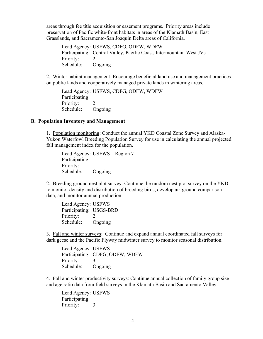areas through fee title acquisition or easement programs. Priority areas include preservation of Pacific white-front habitats in areas of the Klamath Basin, East Grasslands, and Sacramento-San Joaquin Delta areas of California.

Lead Agency: USFWS, CDFG, ODFW, WDFW Participating: Central Valley, Pacific Coast, Intermountain West JVs Priority: Schedule: Ongoing

2. Winter habitat management: Encourage beneficial land use and management practices on public lands and cooperatively managed private lands in wintering areas.

Lead Agency: USFWS, CDFG, ODFW, WDFW Participating: Priority: 2 Schedule: Ongoing

#### **B. Population Inventory and Management**

1. Population monitoring: Conduct the annual YKD Coastal Zone Survey and Alaska-Yukon Waterfowl Breeding Population Survey for use in calculating the annual projected fall management index for the population.

Lead Agency: USFWS – Region 7 Participating: Priority: 1 Schedule: Ongoing

2. Breeding ground nest plot survey: Continue the random nest plot survey on the YKD to monitor density and distribution of breeding birds, develop air-ground comparison data, and monitor annual production.

Lead Agency: USFWS Participating: USGS-BRD Priority: 2 Schedule: Ongoing

3. Fall and winter surveys: Continue and expand annual coordinated fall surveys for dark geese and the Pacific Flyway midwinter survey to monitor seasonal distribution.

Lead Agency: USFWS Participating: CDFG, ODFW, WDFW Priority: 3 Schedule: Ongoing

4. Fall and winter productivity surveys: Continue annual collection of family group size and age ratio data from field surveys in the Klamath Basin and Sacramento Valley.

Lead Agency: USFWS Participating: Priority: 3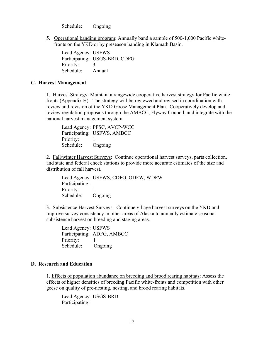Schedule: Ongoing

5. Operational banding program: Annually band a sample of 500-1,000 Pacific whitefronts on the YKD or by preseason banding in Klamath Basin.

Lead Agency: USFWS Participating: USGS-BRD, CDFG Priority: 3 Schedule: Annual

#### **C. Harvest Management**

1. Harvest Strategy: Maintain a rangewide cooperative harvest strategy for Pacific whitefronts (Appendix H). The strategy will be reviewed and revised in coordination with review and revision of the YKD Goose Management Plan. Cooperatively develop and review regulation proposals through the AMBCC, Flyway Council, and integrate with the national harvest management system.

Lead Agency: PFSC, AVCP-WCC Participating: USFWS, AMBCC Priority: 1 Schedule: Ongoing

2. Fall/winter Harvest Surveys: Continue operational harvest surveys, parts collection, and state and federal check stations to provide more accurate estimates of the size and distribution of fall harvest.

Lead Agency: USFWS, CDFG, ODFW, WDFW Participating: Priority: 1 Schedule: Ongoing

3. Subsistence Harvest Surveys: Continue village harvest surveys on the YKD and improve survey consistency in other areas of Alaska to annually estimate seasonal subsistence harvest on breeding and staging areas.

Lead Agency: USFWS Participating: ADFG, AMBCC Priority: 1 Schedule: Ongoing

### **D. Research and Education**

1. Effects of population abundance on breeding and brood rearing habitats: Assess the effects of higher densities of breeding Pacific white-fronts and competition with other geese on quality of pre-nesting, nesting, and brood rearing habitats.

Lead Agency: USGS-BRD Participating: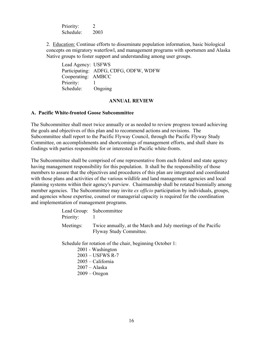Priority: 2 Schedule: 2003

2. Education: Continue efforts to disseminate population information, basic biological concepts on migratory waterfowl, and management programs with sportsmen and Alaska Native groups to foster support and understanding among user groups.

Lead Agency: USFWS Participating: ADFG, CDFG, ODFW, WDFW Cooperating: AMBCC Priority: 1 Schedule: Ongoing

#### **ANNUAL REVIEW**

# **A. Pacific White-fronted Goose Subcommittee**

The Subcommittee shall meet twice annually or as needed to review progress toward achieving the goals and objectives of this plan and to recommend actions and revisions. The Subcommittee shall report to the Pacific Flyway Council, through the Pacific Flyway Study Committee, on accomplishments and shortcomings of management efforts, and shall share its findings with parties responsible for or interested in Pacific white-fronts.

The Subcommittee shall be comprised of one representative from each federal and state agency having management responsibility for this population. It shall be the responsibility of those members to assure that the objectives and procedures of this plan are integrated and coordinated with those plans and activities of the various wildlife and land management agencies and local planning systems within their agency's purview. Chairmanship shall be rotated biennially among member agencies. The Subcommittee may invite *ex officio* participation by individuals, groups, and agencies whose expertise, counsel or managerial capacity is required for the coordination and implementation of management programs.

| Priority: | Lead Group: Subcommittee                                                                 |
|-----------|------------------------------------------------------------------------------------------|
| Meetings: | Twice annually, at the March and July meetings of the Pacific<br>Flyway Study Committee. |

Schedule for rotation of the chair, beginning October 1:

2001 - Washington 2003 – USFWS R-7 2005 – California 2007 – Alaska 2009 – Oregon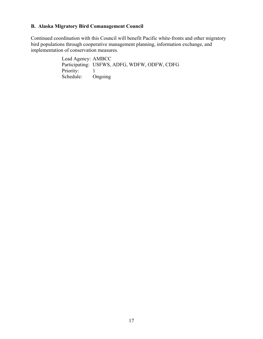# **B. Alaska Migratory Bird Comanagement Council**

Continued coordination with this Council will benefit Pacific white-fronts and other migratory bird populations through cooperative management planning, information exchange, and implementation of conservation measures.

> Lead Agency: AMBCC Participating: USFWS, ADFG, WDFW, ODFW, CDFG Priority: 1<br>Schedule: Ongoing Schedule: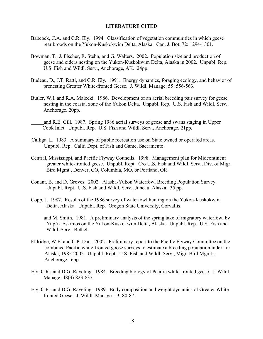#### **LITERATURE CITED**

- Babcock, C.A. and C.R. Ely. 1994. Classification of vegetation communities in which geese rear broods on the Yukon-Kuskokwim Delta, Alaska. Can. J. Bot. 72: 1294-1301.
- Bowman, T., J. Fischer, R. Stehn, and G. Walters. 2002. Population size and production of geese and eiders nesting on the Yukon-Kuskokwim Delta, Alaska in 2002. Unpubl. Rep. U.S. Fish and Wildl. Serv., Anchorage, AK. 24pp.
- Budeau, D., J.T. Ratti, and C.R. Ely. 1991. Energy dynamics, foraging ecology, and behavior of prenesting Greater White-fronted Geese. J. Wildl. Manage. 55: 556-563.
- Butler, W.I. and R.A. Malecki. 1986. Development of an aerial breeding pair survey for geese nesting in the coastal zone of the Yukon Delta. Unpubl. Rep. U.S. Fish and Wildl. Serv., Anchorage. 20pp.
	- and R.E. Gill. 1987. Spring 1986 aerial surveys of geese and swans staging in Upper Cook Inlet. Unpubl. Rep. U.S. Fish and Wildl. Serv., Anchorage. 21pp.
- Calliga, L. 1983. A summary of public recreation use on State owned or operated areas. Unpubl. Rep. Calif. Dept. of Fish and Game, Sacramento.
- Central, Mississippi, and Pacific Flyway Councils. 1998. Management plan for Midcontinent greater white-fronted geese. Unpubl. Rept. C/o U.S. Fish and Wildl. Serv., Div. of Migr. Bird Mgmt., Denver, CO, Columbia, MO, or Portland, OR
- Conant, B. and D. Groves. 2002. Alaska-Yukon Waterfowl Breeding Population Survey. Unpubl. Rept. U.S. Fish and Wildl. Serv., Juneau, Alaska. 35 pp.
- Copp, J. 1987. Results of the 1986 survey of waterfowl hunting on the Yukon-Kuskokwim Delta, Alaska. Unpubl. Rep. Oregon State University, Corvallis.
- and M. Smith. 1981. A preliminary analysis of the spring take of migratory waterfowl by Yup'ik Eskimos on the Yukon-Kuskokwim Delta, Alaska. Unpubl. Rep. U.S. Fish and Wildl. Serv., Bethel.
- Eldridge, W.E. and C.P. Dau. 2002. Preliminary report to the Pacific Flyway Committee on the combined Pacific white-fronted goose surveys to estimate a breeding population index for Alaska, 1985-2002. Unpubl. Rept. U.S. Fish and Wildl. Serv., Migr. Bird Mgmt., Anchorage. 6pp.
- Ely, C.R., and D.G. Raveling. 1984. Breeding biology of Pacific white-fronted geese. J. Wildl. Manage. 48(3):823-837.
- Ely, C.R., and D.G. Raveling. 1989. Body composition and weight dynamics of Greater Whitefronted Geese. J. Wildl. Manage. 53: 80-87.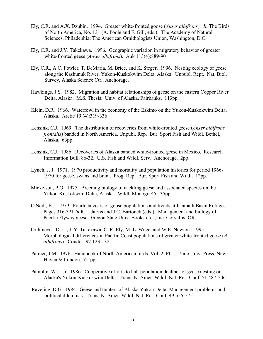- Ely, C.R. and A.X. Dzubin. 1994. Greater white-fronted goose (*Anser albifrons*). *In* The Birds of North America, No. 131 (A. Poole and F. Gill, eds.). The Academy of Natural Sciences, Philadephia; The American Ornithologists Union, Washington, D.C.
- Ely, C.R. and J.Y. Takekawa. 1996. Geographic variation in migratory behavior of greater white-fronted geese (*Anser albifrons*). Auk 113(4):889-901.
- Ely, C.R., A.C. Fowler, T. DeMaria, M. Brice, and K. Steger. 1996. Nesting ecology of geese along the Kashunuk River, Yukon-Kuskokwim Delta, Alaska. Unpubl. Rept. Nat. Biol. Survey, Alaska Science Ctr., Anchorage.
- Hawkings, J.S. 1982. Migration and habitat relationships of geese on the eastern Copper River Delta, Alaska. M.S. Thesis. Univ. of Alaska, Fairbanks. 113pp.
- Klein, D.R. 1966. Waterfowl in the economy of the Eskimo on the Yukon-Kuskokwim Delta, Alaska. Arctic 19 (4):319-336
- Lensink, C.J. 1969. The distribution of recoveries from white-fronted geese (*Anser albifrons frontalis*) banded in North America. Unpubl. Rep. Bur. Sport Fish and Wildl. Bethel, Alaska. 63pp.
- Lensink, C.J. 1986. Recoveries of Alaska banded white-fronted geese in Mexico. Research Information Bull. 86-32. U.S. Fish and Wildl. Serv., Anchorage. 2pp.
- Lynch, J. J. 1971. 1970 productivity and mortality and population histories for period 1966- 1970 for geese, swans and brant. Prog. Rep. Bur. Sport Fish and Wildl. 12pp.
- Mickelson, P.G. 1975. Breeding biology of cackling geese and associated species on the Yukon-Kuskokwim Delta, Alaska. Wildl. Monogr. 45. 35pp.
- O'Neill, E.J. 1979. Fourteen years of goose populations and trends at Klamath Basin Refuges. Pages 316-321 *in* R.L. Jarvis and J.C. Bartonek (eds.). Management and biology of Pacific Flyway geese. 0regon State Univ. Bookstores, Inc. Corvallis, OR.
- Orthmeyer, D. L., J. Y. Takekawa, C. R. Ely, M. L. Wege, and W.E. Newton. 1995. Morphological differences in Pacific Coast populations of greater white-fronted geese (*A. albifrons*). Condor, 97:123-132.
- Palmer, J.M. 1976. Handbook of North American birds. Vol. 2, Pt. 1. Yale Univ. Press, New Haven & London. 521pp.
- Pamplin, W.L. Jr. 1986. Cooperative efforts to halt population declines of geese nesting on Alaska's Yukon-Kuskokwim Delta. Trans. N. Amer. Wildl. Nat. Res. Conf. 51:487-506.
- Raveling, D.G. 1984. Geese and hunters of Alaska Yukon Delta: Management problems and political dilemmas. Trans. N. Amer. Wildl. Nat. Res. Conf. 49:555-575.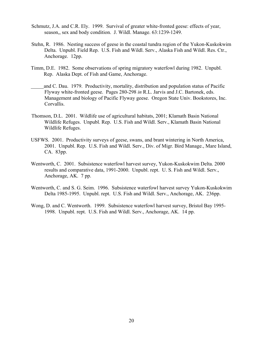- Schmutz, J.A. and C.R. Ely. 1999. Survival of greater white-fronted geese: effects of year, season,, sex and body condition. J. Wildl. Manage. 63:1239-1249.
- Stehn, R. 1986. Nesting success of geese in the coastal tundra region of the Yukon-Kuskokwim Delta. Unpubl. Field Rep. U.S. Fish and Wildl. Serv., Alaska Fish and Wildl. Res. Ctr., Anchorage. 12pp.
- Timm, D.E. 1982. Some observations of spring migratory waterfowl during 1982. Unpubl. Rep. Alaska Dept. of Fish and Game, Anchorage.
	- and C. Dau. 1979. Productivity, mortality, distribution and population status of Pacific Flyway white-fronted geese. Pages 280-298 *in* R.L. Jarvis and J.C. Bartonek, eds. Management and biology of Pacific Flyway geese. Oregon State Univ. Bookstores, Inc. Corvallis.
- Thomson, D.L. 2001. Wildlife use of agricultural habitats, 2001; Klamath Basin National Wildlife Refuges. Unpubl. Rep. U.S. Fish and Wildl. Serv., Klamath Basin National Wildlife Refuges.
- USFWS. 2001. Productivity surveys of geese, swans, and brant wintering in North America, 2001. Unpubl. Rep. U.S. Fish and Wildl. Serv., Div. of Migr. Bird Manage., Mare Island, CA. 83pp.
- Wentworth, C. 2001. Subsistence waterfowl harvest survey, Yukon-Kuskokwim Delta. 2000 results and comparative data, 1991-2000. Unpubl. rept. U. S. Fish and Wildl. Serv., Anchorage, AK. 7 pp.
- Wentworth, C. and S. G. Seim. 1996. Subsistence waterfowl harvest survey Yukon-Kuskokwim Delta 1985-1995. Unpubl. rept. U.S. Fish and Wildl. Serv., Anchorage, AK. 236pp.
- Wong, D. and C. Wentworth. 1999. Subsistence waterfowl harvest survey, Bristol Bay 1995- 1998. Unpubl. rept. U.S. Fish and Wildl. Serv., Anchorage, AK. 14 pp.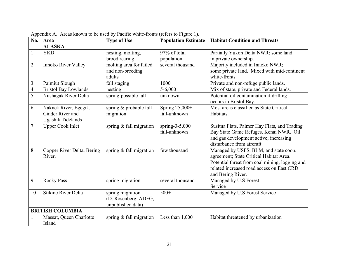| No.            | Area                                                           | <b>Type of Use</b>                                            | <b>Population Estimate</b>        | <b>Habitat Condition and Threats</b>                                                                                                                                                                 |  |
|----------------|----------------------------------------------------------------|---------------------------------------------------------------|-----------------------------------|------------------------------------------------------------------------------------------------------------------------------------------------------------------------------------------------------|--|
|                | <b>ALASKA</b>                                                  |                                                               |                                   |                                                                                                                                                                                                      |  |
| $\mathbf{1}$   | <b>YKD</b>                                                     | nesting, molting,<br>brood rearing                            | 97% of total<br>population        | Partially Yukon Delta NWR; some land<br>in private ownership.                                                                                                                                        |  |
| $\overline{2}$ | Innoko River Valley                                            | molting area for failed<br>and non-breeding<br>adults         | several thousand                  | Majority included in Innoko NWR;<br>some private land. Mixed with mid-continent<br>white-fronts.                                                                                                     |  |
| 3              | Paimiut Slough                                                 | fall staging                                                  | $1000+$                           | Private and non-refuge public lands.                                                                                                                                                                 |  |
| $\overline{4}$ | <b>Bristol Bay Lowlands</b>                                    | nesting                                                       | $5 - 6,000$                       | Mix of state, private and Federal lands.                                                                                                                                                             |  |
| 5              | Nushagak River Delta                                           | spring-possible fall                                          | unknown                           | Potential oil contamination if drilling<br>occurs in Bristol Bay.                                                                                                                                    |  |
| 6              | Naknek River, Egegik,<br>Cinder River and<br>Ugashik Tidelands | spring & probable fall<br>migration                           | Spring 25,000+<br>fall-unknown    | Most areas classified as State Critical<br>Habitats.                                                                                                                                                 |  |
| $\overline{7}$ | <b>Upper Cook Inlet</b>                                        | spring & fall migration                                       | spring- $3-5,000$<br>fall-unknown | Susitna Flats, Palmer Hay Flats, and Trading<br>Bay State Game Refuges, Kenai NWR. Oil<br>and gas development active; increasing<br>disturbance from aircraft.                                       |  |
| 8              | Copper River Delta, Bering<br>River.                           | spring $&$ fall migration                                     | few thousand                      | Managed by USFS, BLM, and state coop.<br>agreement; State Critical Habitat Area.<br>Potential threat from coal mining, logging and<br>related increased road access on East CRD<br>and Bering River. |  |
| 9              | <b>Rocky Pass</b>                                              | spring migration                                              | several thousand                  | Managed by U.S Forest<br>Service                                                                                                                                                                     |  |
| 10             | <b>Stikine River Delta</b>                                     | spring migration<br>(D. Rosenberg, ADFG,<br>unpublished data) | $500+$                            | Managed by U.S Forest Service                                                                                                                                                                        |  |
|                | <b>BRITISH COLUMBIA</b>                                        |                                                               |                                   |                                                                                                                                                                                                      |  |
|                | Massat, Queen Charlotte<br>Island                              | spring $&$ fall migration                                     | Less than $1,000$                 | Habitat threatened by urbanization                                                                                                                                                                   |  |

Appendix A. Areas known to be used by Pacific white-fronts (refers to Figure 1).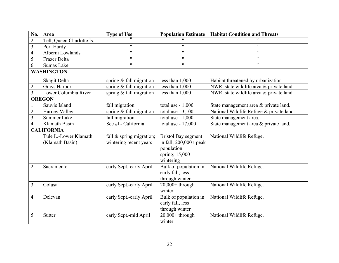| No.            | Area                      | <b>Type of Use</b>         | <b>Population Estimate</b> | <b>Habitat Condition and Threats</b>     |
|----------------|---------------------------|----------------------------|----------------------------|------------------------------------------|
| $\overline{2}$ | Tell, Queen Charlotte Is. |                            |                            |                                          |
| $\overline{3}$ | Port Hardy                | $\boldsymbol{\mathsf{H}}$  | $\mathbf{H}$               | $\overline{\phantom{a}}$                 |
| $\overline{4}$ | Alberni Lowlands          | $\pmb{\mathsf{H}}$         | $^{\prime\prime}$          | $\lambda$                                |
| 5              | Frazer Delta              | $\boldsymbol{\mathsf{H}}$  | $\mathbf{H}$               | $\lambda$                                |
| 6              | Sumas Lake                | $\boldsymbol{\mathsf{H}}$  | $\mathbf{H}$               | $\lambda$                                |
|                | <b>WASHINGTON</b>         |                            |                            |                                          |
|                | Skagit Delta              | spring $&$ fall migration  | less than 1,000            | Habitat threatened by urbanization       |
| $\overline{2}$ | Grays Harbor              | spring $&$ fall migration  | less than 1,000            | NWR, state wildlife area & private land. |
| $\overline{3}$ | Lower Columbia River      | spring $&$ fall migration  | less than $1,000$          | NWR, state wildlife area & private land. |
|                | <b>OREGON</b>             |                            |                            |                                          |
|                | Sauvie Island             | fall migration             | total use $-1,000$         | State management area & private land.    |
| $\sqrt{2}$     | Harney Valley             | spring & fall migration    | total use $-3,100$         | National Wildlife Refuge & private land. |
| $\overline{3}$ | Summer Lake               | fall migration             | total use $-1,000$         | State management area.                   |
| $\overline{4}$ | Klamath Basin             | See #1 - California        | total use - 17,000         | State management area & private land.    |
|                | <b>CALIFORNIA</b>         |                            |                            |                                          |
|                | Tule L.-Lower Klamath     | fall $&$ spring migration; | <b>Bristol Bay segment</b> | National Wildlife Refuge.                |
|                | (Klamath Basin)           | wintering recent years     | in fall; $200,000+$ peak   |                                          |
|                |                           |                            | population                 |                                          |
|                |                           |                            | spring; 15,000             |                                          |
|                |                           |                            | wintering                  |                                          |
| $\overline{2}$ | Sacramento                | early Sept.-early April    | Bulk of population in      | National Wildlife Refuge.                |
|                |                           |                            | early fall, less           |                                          |
|                |                           |                            | through winter             |                                          |
| $\overline{3}$ | Colusa                    | early Sept.-early April    | $20,000+$ through          | National Wildlife Refuge.                |
|                |                           |                            | winter                     |                                          |
| $\overline{4}$ | Delevan                   | early Sept.-early April    | Bulk of population in      | National Wildlife Refuge.                |
|                |                           |                            | early fall, less           |                                          |
|                |                           |                            | through winter             |                                          |
| 5              | Sutter                    | early Sept.-mid April      | $20,000+$ through          | National Wildlife Refuge.                |
|                |                           |                            | winter                     |                                          |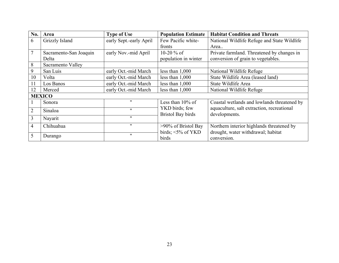| No.            | Area                   | <b>Type of Use</b>      | <b>Population Estimate</b>                 | <b>Habitat Condition and Threats</b>                        |
|----------------|------------------------|-------------------------|--------------------------------------------|-------------------------------------------------------------|
| 6              | Grizzly Island         | early Sept.-early April | Few Pacific white-                         | National Wildlife Refuge and State Wildlife                 |
|                |                        |                         | fronts                                     | Area                                                        |
| $\overline{7}$ | Sacramento-San Joaquin | early Nov.-mid April    | 10-20 $%$ of                               | Private farmland. Threatened by changes in                  |
|                | Delta                  |                         | population in winter                       | conversion of grain to vegetables.                          |
| 8              | Sacramento Valley      |                         |                                            |                                                             |
| 9              | San Luis               | early Oct.-mid March    | less than $1,000$                          | National Wildlife Refuge                                    |
| 10             | Volta                  | early Oct.-mid March    | less than $1,000$                          | State Wildlife Area (leased land)                           |
| 11             | Los Banos              | early Oct.-mid March    | less than $1,000$                          | State Wildlife Area                                         |
| 12             | Merced                 | early Oct.-mid March    | less than $1,000$                          | National Wildlife Refuge                                    |
|                | <b>MEXICO</b>          |                         |                                            |                                                             |
| $\mathbf{1}$   | Sonora                 | $^{\prime\prime}$       | Less than $10\%$ of                        | Coastal wetlands and lowlands threatened by                 |
| 2              | Sinaloa                | $^{\prime\prime}$       | YKD birds; few<br><b>Bristol Bay birds</b> | aquaculture, salt extraction, recreational<br>developments. |
| $\overline{3}$ | Nayarit                | $^{\prime\prime}$       |                                            |                                                             |
| $\overline{4}$ | Chihuahua              | $^{\prime\prime}$       | >90% of Bristol Bay                        | Northern interior highlands threatened by                   |
|                |                        | 11                      | birds; $\leq$ 5% of YKD                    | drought, water withdrawal; habitat                          |
| 5              | Durango                |                         | birds                                      | conversion.                                                 |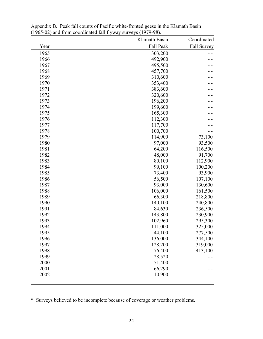|      | Klamath Basin |             |  |  |
|------|---------------|-------------|--|--|
| Year | Fall Peak     | Fall Survey |  |  |
| 1965 | 303,200       |             |  |  |
| 1966 | 492,900       |             |  |  |
| 1967 | 495,500       |             |  |  |
| 1968 | 457,700       |             |  |  |
| 1969 | 310,600       |             |  |  |
| 1970 | 353,400       |             |  |  |
| 1971 | 383,600       |             |  |  |
| 1972 | 320,600       |             |  |  |
| 1973 | 196,200       |             |  |  |
| 1974 | 199,600       |             |  |  |
| 1975 | 165,300       |             |  |  |
| 1976 | 112,300       |             |  |  |
| 1977 | 117,700       |             |  |  |
| 1978 | 100,700       |             |  |  |
| 1979 | 114,900       | 73,100      |  |  |
| 1980 | 97,000        | 93,500      |  |  |
| 1981 | 64,200        | 116,500     |  |  |
| 1982 | 48,000        | 91,700      |  |  |
| 1983 | 80,100        | 112,900     |  |  |
| 1984 | 99,100        | 100,200     |  |  |
| 1985 | 73,400        | 93,900      |  |  |
| 1986 | 56,500        | 107,100     |  |  |
| 1987 | 93,000        | 130,600     |  |  |
| 1988 | 106,000       | 161,500     |  |  |
| 1989 | 66,300        | 218,800     |  |  |
| 1990 | 140,100       | 240,800     |  |  |
| 1991 | 84,630        | 236,500     |  |  |
| 1992 | 143,800       | 230,900     |  |  |
| 1993 | 102,960       | 295,300     |  |  |
| 1994 | 111,000       | 325,000     |  |  |
| 1995 | 44,100        | 277,500     |  |  |
| 1996 | 136,000       | 344,100     |  |  |
| 1997 | 128,200       | 319,000     |  |  |
| 1998 | 76,400        | 413,100     |  |  |
| 1999 | 28,520        |             |  |  |
| 2000 | 51,400        |             |  |  |
| 2001 | 66,290        |             |  |  |
| 2002 | 10,900        |             |  |  |
|      |               |             |  |  |

Appendix B. Peak fall counts of Pacific white-fronted geese in the Klamath Basin (1965-02) and from coordinated fall flyway surveys (1979-98).

\* Surveys believed to be incomplete because of coverage or weather problems.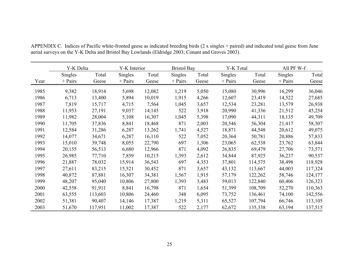|      | Y-K Delta      |         | Y-K Interior   |        |           | <b>Bristol Bay</b> |                | Y-K Total |                | All PF W-f |  |
|------|----------------|---------|----------------|--------|-----------|--------------------|----------------|-----------|----------------|------------|--|
|      | <b>Singles</b> | Total   | <b>Singles</b> | Total  | Singles   | Total              | <b>Singles</b> | Total     | <b>Singles</b> | Total      |  |
| Year | $+$ Pairs      | Geese   | $+$ Pairs      | Geese  | $+$ Pairs | Geese              | $+$ Pairs      | Geese     | $+$ Pairs      | Geese      |  |
| 1985 | 9,382          | 18,914  | 5,698          | 12,082 | 1,219     | 5,050              | 15,080         | 30,996    | 16,299         | 36,046     |  |
| 1986 | 6,713          | 13,400  | 5,894          | 10,019 | 1,915     | 4,266              | 12,607         | 23,419    | 14,522         | 27,685     |  |
| 1987 | 7,819          | 15,717  | 4,715          | 7,564  | 1,045     | 3,657              | 12,534         | 23,281    | 13,579         | 26,938     |  |
| 1988 | 11,953         | 27,191  | 9,037          | 14,145 | 522       | 3,918              | 20,990         | 41,336    | 21,512         | 45,254     |  |
| 1989 | 11,982         | 28,004  | 5,108          | 16,307 | 1,045     | 5,398              | 17,090         | 44,311    | 18,135         | 49,709     |  |
| 1990 | 11,705         | 37,836  | 8,841          | 18,468 | 871       | 2,003              | 20,546         | 56,304    | 21,417         | 58,307     |  |
| 1991 | 12,584         | 31,286  | 6,287          | 13,262 | 1,741     | 4,527              | 18,871         | 44,548    | 20,612         | 49,075     |  |
| 1992 | 14,077         | 34,671  | 6,287          | 16,110 | 522       | 7,052              | 20,364         | 50,781    | 20,886         | 57,833     |  |
| 1993 | 15,010         | 39,748  | 8,055          | 22,790 | 697       | 1,306              | 23,065         | 62,538    | 23,762         | 63,844     |  |
| 1994 | 20,155         | 56,513  | 6,680          | 12,966 | 871       | 4,092              | 26,835         | 69,479    | 27,706         | 73,571     |  |
| 1995 | 26,985         | 77,710  | 7,859          | 10,215 | 1,393     | 2,612              | 34,844         | 87,925    | 36,237         | 90,537     |  |
| 1996 | 21,887         | 78,032  | 15,914         | 36,543 | 697       | 4,353              | 37,801         | 114,575   | 38,498         | 118,928    |  |
| 1997 | 27,611         | 83,215  | 15,521         | 30,452 | 871       | 3,657              | 43,132         | 113,667   | 44,003         | 117,324    |  |
| 1998 | 40,872         | 87,881  | 16,307         | 34,381 | 1,567     | 1,915              | 57,179         | 122,262   | 58,746         | 124,177    |  |
| 1999 | 48,207         | 95,040  | 10,806         | 27,800 | 1,393     | 3,483              | 59,013         | 122,840   | 60,406         | 126,323    |  |
| 2000 | 42,558         | 91,911  | 8,841          | 16,798 | 871       | 1,654              | 51,399         | 108,709   | 52,270         | 110,363    |  |
| 2001 | 63,555         | 113,603 | 10,806         | 24,460 | 348       | 6,095              | 73,752         | 136,461   | 74,100         | 142,556    |  |
| 2002 | 51,381         | 90,407  | 14,146         | 17,387 | 1,219     | 5,311              | 65,527         | 107,794   | 66,746         | 113,105    |  |
| 2003 | 51,670         | 117,951 | 11,002         | 17,387 | 522       | 2,177              | 62,672         | 135,338   | 63,194         | 137,515    |  |

APPENDIX C. Indices of Pacific white-fronted geese as indicated breeding birds (2 x singles + paired) and indicated total geese from June aerial surveys on the Y-K Delta and Bristol Bay Lowlands (Eldridge 2003; Conant and Groves 2003).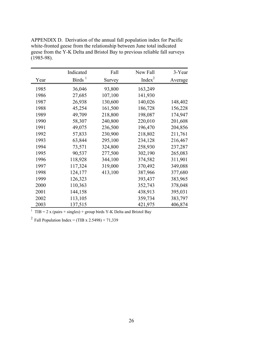|      | Indicated | Fall    | New Fall  | 3-Year  |
|------|-----------|---------|-----------|---------|
| Year | Birds $1$ | Survey  | Index $2$ | Average |
| 1985 | 36,046    | 93,800  | 163,249   |         |
| 1986 | 27,685    | 107,100 | 141,930   |         |
| 1987 | 26,938    | 130,600 | 140,026   | 148,402 |
| 1988 | 45,254    | 161,500 | 186,728   | 156,228 |
| 1989 | 49,709    | 218,800 | 198,087   | 174,947 |
| 1990 | 58,307    | 240,800 | 220,010   | 201,608 |
| 1991 | 49,075    | 236,500 | 196,470   | 204,856 |
| 1992 | 57,833    | 230,900 | 218,802   | 211,761 |
| 1993 | 63,844    | 295,100 | 234,128   | 216,467 |
| 1994 | 73,571    | 324,800 | 258,930   | 237,287 |
| 1995 | 90,537    | 277,500 | 302,190   | 265,083 |
| 1996 | 118,928   | 344,100 | 374,582   | 311,901 |
| 1997 | 117,324   | 319,000 | 370,492   | 349,088 |
| 1998 | 124,177   | 413,100 | 387,966   | 377,680 |
| 1999 | 126,323   |         | 393,437   | 383,965 |
| 2000 | 110,363   |         | 352,743   | 378,048 |
| 2001 | 144,158   |         | 438,913   | 395,031 |
| 2002 | 113,105   |         | 359,734   | 383,797 |
| 2003 | 137,515   |         | 421,975   | 406,874 |

APPENDIX D. Derivation of the annual fall population index for Pacific white-fronted geese from the relationship between June total indicated geese from the Y-K Delta and Bristol Bay to previous reliable fall surveys (1985-98).

<sup>1</sup> TIB = 2 x (pairs + singles) + group birds Y-K Delta and Bristol Bay

<sup>2</sup> Fall Population Index = (TIB x 2.5498) + 71,339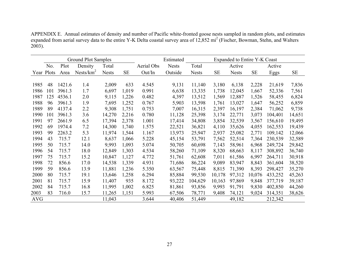|            | Ground Plot Samples |        |                       |              | Estimated |            | Expanded to Entire Y-K Coast |              |           |              |           |         |           |
|------------|---------------------|--------|-----------------------|--------------|-----------|------------|------------------------------|--------------|-----------|--------------|-----------|---------|-----------|
|            | No.                 | Plot   | Density               | Total        |           | Aerial Obs | <b>Nests</b>                 | Total        |           | Active       |           | Active  |           |
|            | Year Plots          | Area   | Nests/km <sup>2</sup> | <b>Nests</b> | <b>SE</b> | Out/In     | Outside                      | <b>Nests</b> | <b>SE</b> | <b>Nests</b> | <b>SE</b> | Eggs    | <b>SE</b> |
|            |                     |        |                       |              |           |            |                              |              |           |              |           |         |           |
| 1985       | 48                  | 1421.6 | 1.4                   | 2,009        | 633       | 4.545      | 9,131                        | 11,140       | 3,180     | 6,138        | 2,228     | 21,619  | 7,836     |
| 1986       | 101                 | 3961.3 | 1.7                   | 6,697        | 1,019     | 0.991      | 6,638                        | 13,335       | 1,738     | 12,045       | 1,667     | 52,336  | 7,561     |
| 1987       | 125                 | 4536.1 | 2.0                   | 9,115        | 1,226     | 0.482      | 4,397                        | 13,512       | 1,569     | 12,887       | 1,526     | 58,455  | 6,824     |
| 1988       | 96                  | 3961.3 | 1.9                   | 7,695        | 1,252     | 0.767      | 5,903                        | 13,598       | 1,761     | 13,027       | 1,647     | 56,252  | 6,859     |
| 1989       | 89                  | 4137.4 | 2.2                   | 9,308        | 1,751     | 0.753      | 7,007                        | 16,315       | 2,397     | 16,197       | 2,384     | 71,062  | 9,738     |
| 1990       | 101                 | 3961.3 | 3.6                   | 14,270       | 2,216     | 0.780      | 11,128                       | 25,398       | 3,174     | 22,771       | 3,073     | 104,401 | 14,651    |
| 1991       | 97                  | 2661.9 | 6.5                   | 17,394       | 2,378     | 1.001      | 17,414                       | 34,808       | 3,854     | 32,539       | 3,567     | 156,610 | 19,495    |
| 1992       | 69                  | 1974.4 | 7.2                   | 14,300       | 1,740     | 1.575      | 22,521                       | 36,821       | 4,110     | 35,626       | 4,055     | 162,553 | 19,439    |
| 1993       | 99                  | 2263.2 | 5.3                   | 11,974       | 1,544     | 1.167      | 13,973                       | 25,947       | 2,937     | 25,082       | 2,771     | 109,142 | 12,066    |
| 1994       | 43                  | 715.7  | 12.1                  | 8,637        | 1,066     | 5.228      | 45,154                       | 53,791       | 7,562     | 52,514       | 7,364     | 230,539 | 32,589    |
| 1995       | 50                  | 715.7  | 14.0                  | 9,993        | 1,093     | 5.074      | 50,705                       | 60,698       | 7,143     | 58,961       | 6,968     | 249,724 | 29,842    |
| 1996       | 54                  | 715.7  | 18.0                  | 12,849       | 1,303     | 4.534      | 58,260                       | 71,109       | 8,320     | 68,663       | 8,117     | 308,892 | 36,740    |
| 1997       | 75                  | 715.7  | 15.2                  | 10,847       | 1,127     | 4.772      | 51,761                       | 62,608       | 7,011     | 61,586       | 6,997     | 264,711 | 30,918    |
| 1998       | 72                  | 856.6  | 17.0                  | 14,538       | 1,339     | 4.931      | 71,686                       | 86,224       | 9,089     | 83,947       | 8,843     | 361,604 | 38,520    |
| 1999       | 59                  | 856.6  | 13.9                  | 11,881       | 1,236     | 5.350      | 63,567                       | 75,448       | 8,815     | 71,390       | 8,393     | 298,427 | 35,270    |
| 2000       | 80                  | 715.7  | 19.1                  | 13,646       | 1,258     | 6.294      | 85,884                       | 99,530       | 10,178    | 97,312       | 10,076    | 433,252 | 45,263    |
| 2001       | 81                  | 715.7  | 15.9                  | 11,407       | 935       | 8.172      | 93,222                       | 104,629      | 10,163    | 97,869       | 9,848     | 377,719 | 39,187    |
| 2002       | 84                  | 715.7  | 16.8                  | 11,995       | 1,002     | 6.825      | 81,861                       | 93,856       | 9,993     | 91,791       | 9,830     | 402,850 | 44,260    |
| 2003       | 83                  | 716.0  | 15.7                  | 11,265       | 1,151     | 5.993      | 67,506                       | 78,771       | 9,408     | 74,121       | 9,024     | 314,351 | 38,626    |
| <b>AVG</b> |                     |        |                       | 11,043       |           | 3.644      | 40,406                       | 51,449       |           | 49,182       |           | 212,342 |           |

APPENDIX E. Annual estimates of density and number of Pacific white-fronted goose nests sampled in random plots, and estimates expanded from aerial survey data to the entire Y-K Delta coastal survey area of 12,852 mi<sup>2</sup> (Fischer, Bowman, Stehn, and Walters  $2003$ ).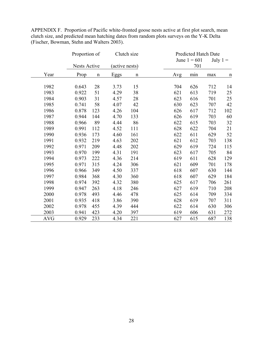|            | Proportion of |             | Clutch size    |             |     | Predicted Hatch Date |     |             |
|------------|---------------|-------------|----------------|-------------|-----|----------------------|-----|-------------|
|            |               |             |                |             |     | June $1 = 601$       |     | July $1 =$  |
|            | Nests Active  |             | (active nests) |             |     | 701                  |     |             |
| Year       | Prop          | $\mathbf n$ | Eggs           | $\mathbf n$ | Avg | min                  | max | $\mathbf n$ |
| 1982       | 0.643         | 28          | 3.73           | 15          | 704 | 626                  | 712 | 14          |
| 1983       | 0.922         | 51          | 4.29           | 38          | 621 | 613                  | 719 | 25          |
| 1984       | 0.903         | 31          | 4.57           | 28          | 623 | 616                  | 701 | 25          |
| 1985       | 0.741         | 58          | 4.07           | 42          | 630 | 623                  | 707 | 42          |
| 1986       | 0.878         | 123         | 4.26           | 104         | 626 | 617                  | 712 | 102         |
| 1987       | 0.944         | 144         | 4.70           | 133         | 626 | 619                  | 703 | 60          |
| 1988       | 0.966         | 89          | 4.44           | 86          | 622 | 615                  | 703 | 32          |
| 1989       | 0.991         | 112         | 4.52           | 111         | 628 | 622                  | 704 | 21          |
| 1990       | 0.936         | 173         | 4.60           | 161         | 622 | 611                  | 629 | 52          |
| 1991       | 0.932         | 219         | 4.63           | 202         | 621 | 612                  | 703 | 138         |
| 1992       | 0.971         | 209         | 4.48           | 202         | 629 | 619                  | 724 | 115         |
| 1993       | 0.970         | 199         | 4.31           | 191         | 623 | 617                  | 705 | 84          |
| 1994       | 0.973         | 222         | 4.36           | 214         | 619 | 611                  | 628 | 129         |
| 1995       | 0.971         | 315         | 4.24           | 306         | 621 | 609                  | 701 | 178         |
| 1996       | 0.966         | 349         | 4.50           | 337         | 618 | 607                  | 630 | 144         |
| 1997       | 0.984         | 368         | 4.30           | 360         | 618 | 607                  | 629 | 184         |
| 1998       | 0.974         | 392         | 4.32           | 380         | 625 | 617                  | 706 | 261         |
| 1999       | 0.947         | 263         | 4.18           | 246         | 627 | 619                  | 710 | 208         |
| 2000       | 0.978         | 493         | 4.46           | 478         | 625 | 614                  | 709 | 334         |
| 2001       | 0.935         | 418         | 3.86           | 390         | 628 | 619                  | 707 | 311         |
| 2002       | 0.978         | 455         | 4.39           | 444         | 622 | 614                  | 630 | 306         |
| 2003       | 0.941         | 423         | 4.20           | 397         | 619 | 606                  | 631 | 272         |
| <b>AVG</b> | 0.929         | 233         | 4.34           | 221         | 627 | 615                  | 687 | 138         |

APPENDIX F. Proportion of Pacific white-fronted goose nests active at first plot search, mean clutch size, and predicted mean hatching dates from random plots surveys on the Y-K Delta (Fischer, Bowman, Stehn and Walters 2003).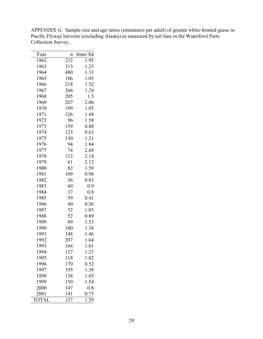| Year         | $\mathbf n$ | Imm/Ad |
|--------------|-------------|--------|
| 1962         | 232         | 1.95   |
| 1963         | 313         | 1.25   |
| 1964         | 480         | 1.33   |
| 1965         | 186         | 1.05   |
| 1966         | 218         | 1.52   |
| 1967         | 266         | 1.24   |
| 1968         | 205         | 1.5    |
| 1969         | 207         | 2.06   |
| 1970         | 199         | 1.05   |
| 1971         | 126         | 1.44   |
| 1972         | 96          | 1.58   |
| 1973         | 159         | 0.88   |
| 1974         | 123         | 0.63   |
| 1975         | 130         | 1.21   |
| 1976         | 94          | 1.84   |
| 1977         | 74          | 2.68   |
| 1978         | 112         | 2.14   |
| 1979         | 61          | 2.12   |
| 1980         | 82          | 1.59   |
| 1981         | 109         | 0.96   |
| 1982         | 56          | 0.83   |
| 1983         | 60          | 0.9    |
| 1984         | 37          | 0.8    |
| 1985         | 59          | 0.41   |
| 1986         | 40          | 0.56   |
| 1987         | 52          | 1.03   |
| 1988         | 52          | 0.89   |
| 1989         | 89          | 1.53   |
| 1990         | 100         | 1.34   |
| 1991         | 148         | 1.46   |
| 1992         | 207         | 1.64   |
| 1993         | 164         | 1.61   |
| 1994         | 127         | 1.23   |
| 1995         | 118         | 1.02   |
| 1996         | 170         | 0.52   |
| 1997         | 195         | 1.38   |
| 1998         | 138         | 1.85   |
| 1999         | 150         | 1.54   |
| 2000         | 147         | 0.8    |
| 2001         | 141         | 0.73   |
| <b>TOTAL</b> | 127         | 1.29   |

APPENDIX G. Sample size and age ratios (immatures per adult) of greater white-fronted geese in Pacific Flyway harvests (excluding Alaska) as measured by tail fans in the Waterfowl Parts Collection Survey.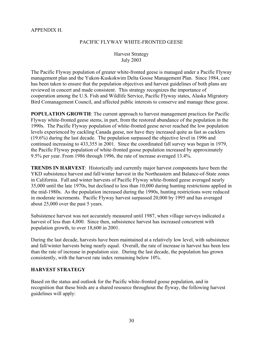## APPENDIX H.

# PACIFIC FLYWAY WHITE-FRONTED GEESE

# Harvest Strategy July 2003

The Pacific Flyway population of greater white-fronted geese is managed under a Pacific Flyway management plan and the Yukon-Kuskokwim Delta Goose Management Plan. Since 1984, care has been taken to ensure that the population objectives and harvest guidelines of both plans are reviewed in concert and made consistent. This strategy recognizes the importance of cooperation among the U.S. Fish and Wildlife Service, Pacific Flyway states, Alaska Migratory Bird Comanagement Council, and affected public interests to conserve and manage these geese.

**POPULATION GROWTH:** The current approach to harvest management practices for Pacific Flyway white-fronted geese stems, in part, from the restored abundance of the population in the 1990s. The Pacific Flyway population of white-fronted geese never reached the low population levels experienced by cackling Canada geese, nor have they increased quite as fast as cacklers (19.6%) during the last decade. The population surpassed the objective level in 1996 and continued increasing to 433,355 in 2001. Since the coordinated fall survey was begun in 1979, the Pacific Flyway population of white-fronted goose population increased by approximately 9.5% per year. From 1986 through 1996, the rate of increase averaged 13.4%.

**TRENDS IN HARVEST**: Historically and currently major harvest components have been the YKD subsistence harvest and fall/winter harvest in the Northeastern and Balance-of-State zones in California. Fall and winter harvests of Pacific Flyway white-fronted geese averaged nearly 35,000 until the late 1970s, but declined to less than 10,000 during hunting restrictions applied in the mid-1980s. As the population increased during the 1990s, hunting restrictions were reduced in moderate increments. Pacific Flyway harvest surpassed 20,000 by 1995 and has averaged about 25,000 over the past 5 years.

Subsistence harvest was not accurately measured until 1987, when village surveys indicated a harvest of less than 4,000. Since then, subsistence harvest has increased concurrent with population growth, to over 18,600 in 2001.

During the last decade, harvests have been maintained at a relatively low level, with subsistence and fall/winter harvests being nearly equal. Overall, the rate of increase in harvest has been less than the rate of increase in population size. During the last decade, the population has grown consistently, with the harvest rate index remaining below 10%.

# **HARVEST STRATEGY**

Based on the status and outlook for the Pacific white-fronted goose population, and in recognition that these birds are a shared resource throughout the flyway, the following harvest guidelines will apply: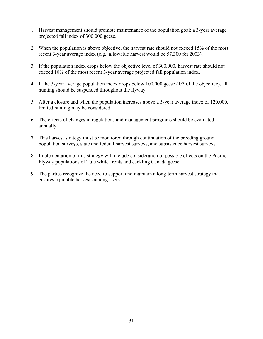- 1. Harvest management should promote maintenance of the population goal: a 3-year average projected fall index of 300,000 geese.
- 2. When the population is above objective, the harvest rate should not exceed 15% of the most recent 3-year average index (e.g., allowable harvest would be 57,300 for 2003).
- 3. If the population index drops below the objective level of 300,000, harvest rate should not exceed 10% of the most recent 3-year average projected fall population index.
- 4. If the 3-year average population index drops below 100,000 geese (1/3 of the objective), all hunting should be suspended throughout the flyway.
- 5. After a closure and when the population increases above a 3-year average index of 120,000, limited hunting may be considered.
- 6. The effects of changes in regulations and management programs should be evaluated annually.
- 7. This harvest strategy must be monitored through continuation of the breeding ground population surveys, state and federal harvest surveys, and subsistence harvest surveys.
- 8. Implementation of this strategy will include consideration of possible effects on the Pacific Flyway populations of Tule white-fronts and cackling Canada geese.
- 9. The parties recognize the need to support and maintain a long-term harvest strategy that ensures equitable harvests among users.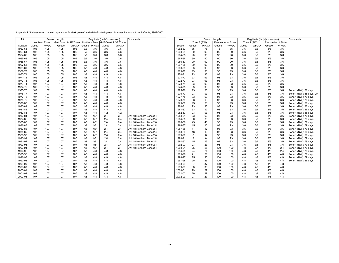| Appendix I. State-selected harvest regulations for dark geese* and white-fronted geese* in zones important to whitefronts, 1962-2002 |  |  |  |  |
|--------------------------------------------------------------------------------------------------------------------------------------|--|--|--|--|
|                                                                                                                                      |  |  |  |  |

| <b>AK</b> | Season Length<br>Bag limits (daily/possession) |               |                       | Comments    | <b>WA</b> | Season Length |                    |                       |                           | Bag limits (daily/possession) |             |             |                    | Comments    |             |             |                    |             |            |
|-----------|------------------------------------------------|---------------|-----------------------|-------------|-----------|---------------|--------------------|-----------------------|---------------------------|-------------------------------|-------------|-------------|--------------------|-------------|-------------|-------------|--------------------|-------------|------------|
|           |                                                | Northern Zone | Gulf Coast & SE Zones |             |           | Northern Zone |                    | Gulf Coast & SE Zones |                           |                               | Zone 2 (SW) |             | Remainder of State |             | Zone 2 (SW) |             | Remainder of State |             |            |
| Season    | Geese <sup>*</sup>                             | <b>WFGO</b>   | Geese                 | <b>WFGO</b> |           | Geese* WFGO   | Geese <sup>*</sup> | <b>WFGO</b>           |                           | Season                        | Geese*      | <b>WFGO</b> | Geese*             | <b>WFGO</b> | Geese'      | <b>WFGO</b> | Geese <sup>*</sup> | <b>WFGO</b> |            |
| 1962-63   | 105                                            | 105           | 105                   | 105         | 3/6       | 3/6           | 3/6                | 3/6                   |                           | 1962-63                       | 75          | 75          | 75                 | 75          | 3/6         | 3/6         | 3/6                | 3/6         |            |
| 1963-64   | 105                                            | 105           | 105                   | 105         | 3/6       | 3/6           | 3/6                | 3/6                   |                           | 1963-64                       | 90          | 90          | 90                 | 90          | 3/6         | 3/6         | 3/6                | 3/6         |            |
| 1964-65   | 105                                            | 105           | 105                   | 105         | 3/6       | 3/6           | 3/6                | 3/6                   |                           | 1964-65                       | 90          | 90          | 90                 | 90          | 3/6         | 3/6         | 3/6                | 3/6         |            |
| 1965-66   | 105                                            | 105           | 105                   | 105         | 3/6       | 3/6           | 3/6                | 3/6                   |                           | 1965-66                       | 90          | 90          | 90                 | 90          | 3/6         | 3/6         | 3/6                | 3/6         |            |
| 1966-67   | 105                                            | 105           | 105                   | 105         | 3/6       | 3/6           | 3/6                | 3/6                   |                           | 1966-67                       | 90          | 90          | 90                 | 90          | 3/6         | 3/6         | 3/6                | 3/6         |            |
| 1967-68   | 105                                            | 105           | 105                   | 105         | 3/6       | 3/6           | 3/6                | 3/6                   |                           | 1967-68                       | 90          | 90          | 90                 | 90          | 3/6         | 3/6         | 3/6                | 3/6         |            |
| 1968-69   | 105                                            | 105           | 105                   | 105         | 4/8       | 4/8           | 4/8                | 4/8                   |                           | 1968-69                       | 93          | 93          | 93                 | 93          | 3/6         | 3/6         | 3/6                | 3/6         |            |
| 1969-70   | 105                                            | 105           | 105                   | 105         | 4/8       | 4/8           | 4/8                | 4/8                   |                           | 1969-70                       | 93          | 93          | 93                 | 93          | 3/6         | 3/6         | 3/6                | 3/6         |            |
| 1970-71   | 105                                            | 105           | 105                   | 105         | 4/8       | 4/8           | 4/8                | 4/8                   |                           | 1970-71                       | 93          | 93          | 93                 | 93          | 3/6         | 3/6         | 3/6                | 3/6         |            |
| 1971-72   | 105                                            | 105           | 105                   | 105         | 4/8       | 4/8           | 4/8                | 4/8                   |                           | 1971-72                       | 93          | 93          | 93                 | 93          | 3/6         | 3/6         | 3/6                | 3/6         |            |
| 1972-73   | 105                                            | 105           | 105                   | 105         | 4/8       | 4/8           | 4/8                | 4/8                   |                           | 1972-73                       | 93          | 93          | 93                 | 93          | 3/6         | 3/6         | 3/6                | 3/6         |            |
| 1973-74   | 107                                            | 107           | 107                   | 107         | 4/8       | 4/8           | 4/8                | 4/8                   |                           | 1973-74                       | 93          | 93          | 93                 | 93          | 3/6         | 3/6         | 3/6                | 3/6         |            |
| 1974-75   | 107                                            | 107           | 107                   | 107         | 4/8       | 4/8           | 4/8                | 4/8                   |                           | 1974-75                       | 93          | 93          | 93                 | 93          | 3/6         | 3/6         | 3/6                | 3/6         |            |
| 1975-76   | 107                                            | 107           | 107                   | 107         | 4/8       | 4/8           | 4/8                | 4/8                   |                           | 1975-76                       | 93          | 93          | 93                 | 93          | 3/6         | 3/6         | 3/6                | 3/6         | Zone 1 (N) |
| 1976-77   | 107                                            | 107           | 107                   | 107         | 4/8       | 4/8           | 4/8                | 4/8                   |                           | 1976-77                       | 93          | 93          | 93                 | 93          | 3/6         | 3/6         | 3/6                | 3/6         | Zone 1 (N) |
| 1977-78   | 107                                            | 107           | 107                   | 107         | 4/8       | 4/8           | 4/8                | 4/8                   |                           | 1977-78                       | 93          | 93          | 93                 | 93          | 3/6         | 3/6         | 3/6                | 3/6         | Zone 1 (N) |
| 1978-79   | 107                                            | 107           | 107                   | 107         | 4/8       | 4/8           | 4/8                | 4/8                   |                           | 1978-79                       | 93          | 93          | 93                 | 93          | 3/6         | 3/6         | 3/6                | 3/6         | Zone 1 (N) |
| 1979-80   | 107                                            | 107           | 107                   | 107         | 4/8       | 4/8           | 4/8                | 4/8                   |                           | 1979-80                       | 93          | 93          | 93                 | 93          | 3/6         | 3/6         | 3/6                | 3/6         | Zone 1 (N) |
| 1980-81   | 107                                            | 107           | 107                   | 107         | 4/8       | 4/8           | 4/8                | 4/8                   |                           | 1980-81                       | 93          | 93          | 93                 | 93          | 3/6         | 3/6         | 3/6                | 3/6         | Zone 1 (N) |
| 1981-82   | 107                                            | 107           | 107                   | 107         | 4/8       | 4/8           | 4/8                | 4/8                   |                           | 1981-82                       | 93          | 93          | 93                 | 93          | 3/6         | 3/6         | 3/6                | 3/6         | Zone 1 (N) |
| 1982-83   | 107                                            | 107           | 107                   | 107         | 4/8       | 4/8           | 1/2                | 1/2                   |                           | 1982-83                       | 93          | 93          | 93                 | 93          | 3/6         | 3/6         | 3/6                | 3/6         | Zone 1 (N) |
| 1983-84   | 107                                            | 107           | 107                   | 107         | 4/8       | $4/8*$        | 2/4                | 2/4                   | Unit 18 Northern Zone 2/4 | 1983-84                       | 93          | 93          | 93                 | 93          | 3/6         | 3/6         | 3/6                | 3/6         | Zone 1 (N) |
| 1984-85   | 107                                            | 107           | 107                   | 107         | 4/8       | $4/8*$        | 2/4                | 2/4                   | Unit 18 Northern Zone 2/4 | 1984-85                       | 30          | 30          | 93                 | 93          | 3/6         | 3/6         | 3/6                | 3/6         | Zone 1 (N) |
| 1985-86   | 107                                            | 107           | 107                   | 107         | 4/8       | $4/8*$        | 2/4                | 2/4                   | Unit 18 Northern Zone 2/4 | 1985-86                       | 43          | 43          | 93                 | 93          | 3/6         | 3/6         | 3/6                | 3/6         | Zone 1 (N) |
| 1986-87   | 107                                            | 107           | 107                   | 107         | 4/8       | $4/8*$        | 2/4                | 2/4                   | Unit 18 Northern Zone 2/4 | 1986-87                       | 15          | 15          | 93                 | 93          | 3/6         | 3/6         | 3/6                | 3/6         | Zone 1 (N) |
| 1987-88   | 107                                            | 107           | 107                   | 107         | 4/8       | $4/8*$        | 2/4                | 2/4                   | Unit 18 Northern Zone 2/4 | 1987-88                       | 17          | 17          | 93                 | 93          | 3/6         | 3/6         | 3/6                | 3/6         | Zone 1 (N) |
| 1988-89   | 107                                            | 107           | 107                   | 107         | 4/8       | $4/8*$        | 2/4                | 2/4                   | Unit 18 Northern Zone 2/4 | 1988-89                       | 16          | 16          | 93                 | 93          | 3/6         | 3/6         | 3/6                | 3/6         | Zone 1 (N) |
| 1989-90   | 107                                            | 107           | 107                   | 107         | 4/8       | $4/8*$        | 2/4                | 2/4                   | Unit 18 Northern Zone 2/4 | 1989-90                       | 8           | 8           | 93                 | 93          | 3/6         | 3/6         | 3/6                | 3/6         | Zone 1 (N) |
| 1990-91   | 107                                            | 107           | 107                   | 107         | 4/8       | $4/8*$        | 2/4                | 2/4                   | Unit 18 Northern Zone 2/4 | 1990-91                       | 8           | 8           | 93                 | 93          | 3/6         | 3/6         | 3/6                | 3/6         | Zone 1 (N) |
| 1991-92   | 107                                            | 107           | 107                   | 107         | 4/8       | $4/8*$        | 2/4                | 2/4                   | Unit 18 Northern Zone 2/4 | 1991-92                       | 15          | 15          | 93                 | 93          | 3/6         | 3/6         | 3/6                | 3/6         | Zone 1 (N) |
| 1992-93   | 107                                            | 107           | 107                   | 107         | 4/8       | $4/8*$        | 2/4                | 2/4                   | Unit 18 Northern Zone 2/4 | 1992-93                       | 23          | 23          | 93                 | 93          | 3/6         | 3/6         | 3/6                | 3/6         | Zone 1 (N) |
| 1993-94   | 107                                            | 107           | 107                   | 107         | 4/8       | $4/8*$        | 2/4                | 2/4                   | Unit 18 Northern Zone 2/4 | 1993-94                       | 25          | 25          | 100                | 100         | 4/8         | 2/4         | 4/8                | 2/4         | Zone 1 (N) |
| 1994-95   | 107                                            | 107           | 107                   | 107         | 4/8       | 4/8           | 4/8                | 4/8                   |                           | 1994-95                       | 24          | 24          | 100                | 100         | 4/8         | 2/4         | 4/8                | 2/4         | Zone 1 (N) |
| 1995-96   | 107                                            | 107           | 107                   | 107         | 4/8       | 4/8           | 4/8                | 4/8                   |                           | 1995-96                       | 21          | 21          | 100                | 100         | 4/8         | 4/8         | 4/8                | 4/8         | Zone 1 (N) |
| 1996-97   | 107                                            | 107           | 107                   | 107         | 4/8       | 4/8           | 4/8                | 4/8                   |                           | 1996-97                       | 25          | 25          | 100                | 100         | 4/8         | 4/8         | 4/8                | 4/8         | Zone 1 (N) |
| 1997-98   | 107                                            | 107           | 107                   | 107         | 4/8       | 4/8           | 4/8                | 4/8                   |                           | 1997-98                       | 25          | 25          | 100                | 100         | 4/8         | 4/8         | 4/8                | 4/8         | Zone 1 (N) |
| 1998-99   | 107                                            | 107           | 107                   | 107         | 4/8       | 4/8           | 4/8                | 4/8                   |                           | 1998-99                       | 37          | 37          | 100                | 100         | 4/8         | 4/8         | 4/8                | 4/8         |            |
| 1999-00   | 107                                            | 107           | 107                   | 107         | 4/8       | 4/8           | 4/8                | 4/8                   |                           | 1999-00                       | 38          | 38          | 100                | 100         | 4/8         | 4/8         | 4/8                | 4/8         |            |
| 2000-01   | 107                                            | 107           | 107                   | 107         | 4/8       | 4/8           | 4/8                | 4/8                   |                           | 2000-01                       | 29          | 29          | 100                | 100         | 4/8         | 4/8         | 4/8                | 4/8         |            |
| 2001-02   | 107                                            | 107           | 107                   | 107         | 4/8       | 4/8           | 4/8                | 4/8                   |                           | 2001-02                       | 29          | 29          | 100                | 100         | 4/8         | 4/8         | 4/8                | 4/8         |            |
| 2002-03   | 107                                            | 107           | 107                   | 107         | 4/8       | 4/8           | 4/8                | 4/8                   |                           | 2002-03                       | 27          | 27          | 100                | 100         | 4/8         | 4/8         | 4/8                | 4/8         |            |

|    | eason Length                        |             |        |             | Bag limits (daily/possession) |             | Comments                  | <b>WA</b> |        |             | Season Length |                    |        |             | Bag limits (daily/possession) |                    | Comments                  |
|----|-------------------------------------|-------------|--------|-------------|-------------------------------|-------------|---------------------------|-----------|--------|-------------|---------------|--------------------|--------|-------------|-------------------------------|--------------------|---------------------------|
| e  | Gulf Coast & SE Zones Northern Zone |             |        |             | Gulf Coast & SE Zones         |             |                           |           |        | Zone 2 (SW) |               | Remainder of State |        | Zone 2 (SW) |                               | Remainder of State |                           |
| ЭO | Geese                               | <b>WFGO</b> | Geese* | <b>WFGO</b> | Geese*                        | <b>WFGO</b> |                           | Season    | Geese' | <b>WFGO</b> | Geese*        | <b>WFGO</b>        | Geese' | <b>WFGO</b> | Geese <sup>*</sup>            | <b>WFGO</b>        |                           |
|    | 105                                 | 105         | 3/6    | 3/6         | 3/6                           | 3/6         |                           | 1962-63   | 75     | 75          | 75            | 75                 | 3/6    | 3/6         | 3/6                           | 3/6                |                           |
|    | 105                                 | 105         | 3/6    | 3/6         | 3/6                           | 3/6         |                           | 1963-64   | 90     | 90          | 90            | 90                 | 3/6    | 3/6         | 3/6                           | 3/6                |                           |
|    | 105                                 | 105         | 3/6    | 3/6         | 3/6                           | 3/6         |                           | 1964-65   | 90     | 90          | 90            | 90                 | 3/6    | 3/6         | 3/6                           | 3/6                |                           |
|    | 105                                 | 105         | 3/6    | 3/6         | 3/6                           | 3/6         |                           | 1965-66   | 90     | 90          | 90            | 90                 | 3/6    | 3/6         | 3/6                           | 3/6                |                           |
|    | 105                                 | 105         | 3/6    | 3/6         | 3/6                           | 3/6         |                           | 1966-67   | 90     | 90          | 90            | 90                 | 3/6    | 3/6         | 3/6                           | 3/6                |                           |
|    | 105                                 | 105         | 3/6    | 3/6         | 3/6                           | 3/6         |                           | 1967-68   | 90     | 90          | 90            | 90                 | 3/6    | 3/6         | 3/6                           | 3/6                |                           |
|    | 105                                 | 105         | 4/8    | 4/8         | 4/8                           | 4/8         |                           | 1968-69   | 93     | 93          | 93            | 93                 | 3/6    | 3/6         | 3/6                           | 3/6                |                           |
|    | 105                                 | 105         | 4/8    | 4/8         | 4/8                           | 4/8         |                           | 1969-70   | 93     | 93          | 93            | 93                 | 3/6    | 3/6         | 3/6                           | 3/6                |                           |
|    | 105                                 | 105         | 4/8    | 4/8         | 4/8                           | 4/8         |                           | 1970-71   | 93     | 93          | 93            | 93                 | 3/6    | 3/6         | 3/6                           | 3/6                |                           |
|    | 105                                 | 105         | 4/8    | 4/8         | 4/8                           | 4/8         |                           | 1971-72   | 93     | 93          | 93            | 93                 | 3/6    | 3/6         | 3/6                           | 3/6                |                           |
|    | 105                                 | 105         | 4/8    | 4/8         | 4/8                           | 4/8         |                           | 1972-73   | 93     | 93          | 93            | 93                 | 3/6    | 3/6         | 3/6                           | 3/6                |                           |
|    | 107                                 | 107         | 4/8    | 4/8         | 4/8                           | 4/8         |                           | 1973-74   | 93     | 93          | 93            | 93                 | 3/6    | 3/6         | 3/6                           | 3/6                |                           |
|    | 107                                 | 107         | 4/8    | 4/8         | 4/8                           | 4/8         |                           | 1974-75   | 93     | 93          | 93            | 93                 | 3/6    | 3/6         | 3/6                           | 3/6                |                           |
|    | 107                                 | 107         | 4/8    | 4/8         | 4/8                           | 4/8         |                           | 1975-76   | 93     | 93          | 93            | 93                 | 3/6    | 3/6         | 3/6                           | 3/6                | Zone 1 (NW): 58 days      |
|    | 107                                 | 107         | 4/8    | 4/8         | 4/8                           | 4/8         |                           | 1976-77   | 93     | 93          | 93            | 93                 | 3/6    | 3/6         | 3/6                           | 3/6                | Zone 1 (NW): 58 days, 2/4 |
|    | 107                                 | 107         | 4/8    | 4/8         | 4/8                           | 4/8         |                           | 1977-78   | 93     | 93          | 93            | 93                 | 3/6    | 3/6         | 3/6                           | 3/6                | Zone 1 (NW): 79 days      |
|    | 107                                 | 107         | 4/8    | 4/8         | 4/8                           | 4/8         |                           | 1978-79   | 93     | 93          | 93            | 93                 | 3/6    | 3/6         | 3/6                           | 3/6                | Zone 1 (NW): 79 days      |
|    | 107                                 | 107         | 4/8    | 4/8         | 4/8                           | 4/8         |                           | 1979-80   | 93     | 93          | 93            | 93                 | 3/6    | 3/6         | 3/6                           | 3/6                | Zone 1 (NW): 80 days      |
|    | 107                                 | 107         | 4/8    | 4/8         | 4/8                           | 4/8         |                           | 1980-81   | 93     | 93          | 93            | 93                 | 3/6    | 3/6         | 3/6                           | 3/6                | Zone 1 (NW): 82 days      |
|    | 107                                 | 107         | 4/8    | 4/8         | 4/8                           | 4/8         |                           | 1981-82   | 93     | 93          | 93            | 93                 | 3/6    | 3/6         | 3/6                           | 3/6                | Zone 1 (NW): 86 days      |
|    | 107                                 | 107         | 4/8    | 4/8         | 1/2                           | 1/2         |                           | 1982-83   | 93     | 93          | 93            | 93                 | 3/6    | 3/6         | 3/6                           | 3/6                | Zone 1 (NW): 86 days      |
|    | 107                                 | 107         | 4/8    | $4/8*$      | 2/4                           | 2/4         | Unit 18 Northern Zone 2/4 | 1983-84   | 93     | 93          | 93            | 93                 | 3/6    | 3/6         | 3/6                           | 3/6                | Zone 1 (NW): 79 days      |
|    | 107                                 | 107         | 4/8    | $4/8*$      | 2/4                           | 2/4         | Unit 18 Northern Zone 2/4 | 1984-85   | 30     | 30          | 93            | 93                 | 3/6    | 3/6         | 3/6                           | 3/6                | Zone 1 (NW): 79 days      |
|    | 107                                 | 107         | 4/8    | $4/8*$      | 2/4                           | 2/4         | Unit 18 Northern Zone 2/4 | 1985-86   | 43     | 43          | 93            | 93                 | 3/6    | 3/6         | 3/6                           | 3/6                | Zone 1 (NW): 79 days      |
|    | 107                                 | 107         | 4/8    | $4/8*$      | 2/4                           | 2/4         | Unit 18 Northern Zone 2/4 | 1986-87   | 15     | 15          | 93            | 93                 | 3/6    | 3/6         | 3/6                           | 3/6                | Zone 1 (NW): 79 days      |
|    | 107                                 | 107         | 4/8    | $4/8*$      | 2/4                           | 2/4         | Unit 18 Northern Zone 2/4 | 1987-88   | 17     | 17          | 93            | 93                 | 3/6    | 3/6         | 3/6                           | 3/6                | Zone 1 (NW): 79 days      |
|    | 107                                 | 107         | 4/8    | $4/8*$      | 2/4                           | 2/4         | Unit 18 Northern Zone 2/4 | 1988-89   | 16     | 16          | 93            | 93                 | 3/6    | 3/6         | 3/6                           | 3/6                | Zone 1 (NW): 86 days      |
|    | 107                                 | 107         | 4/8    | $4/8*$      | 2/4                           | 2/4         | Unit 18 Northern Zone 2/4 | 1989-90   | 8      | 8           | 93            | 93                 | 3/6    | 3/6         | 3/6                           | 3/6                | Zone 1 (NW): 86 days      |
|    | 107                                 | 107         | 4/8    | $4/8*$      | 2/4                           | 2/4         | Unit 18 Northern Zone 2/4 | 1990-91   | 8      | 8           | 93            | 93                 | 3/6    | 3/6         | 3/6                           | 3/6                | Zone 1 (NW): 79 days      |
|    | 107                                 | 107         | 4/8    | $4/8*$      | 2/4                           | 2/4         | Unit 18 Northern Zone 2/4 | 1991-92   | 15     | 15          | 93            | 93                 | 3/6    | 3/6         | 3/6                           | 3/6                | Zone 1 (NW): 79 days      |
|    | 107                                 | 107         | 4/8    | $4/8*$      | 2/4                           | 2/4         | Unit 18 Northern Zone 2/4 | 1992-93   | 23     | 23          | 93            | 93                 | 3/6    | 3/6         | 3/6                           | 3/6                | Zone 1 (NW): 79 days      |
|    | 107                                 | 107         | 4/8    | $4/8*$      | 2/4                           | 2/4         | Unit 18 Northern Zone 2/4 | 1993-94   | 25     | 25          | 100           | 100                | 4/8    | 2/4         | 4/8                           | 2/4                | Zone 1 (NW): 79 days      |
|    | 107                                 | 107         | 4/8    | 4/8         | 4/8                           | 4/8         |                           | 1994-95   | 24     | 24          | 100           | 100                | 4/8    | 2/4         | 4/8                           | 2/4                | Zone 1 (NW): 79 days      |
|    | 107                                 | 107         | 4/8    | 4/8         | 4/8                           | 4/8         |                           | 1995-96   | 21     | 21          | 100           | 100                | 4/8    | 4/8         | 4/8                           | 4/8                | Zone 1 (NW): 79 days      |
|    | 107                                 | 107         | 4/8    | 4/8         | 4/8                           | 4/8         |                           | 1996-97   | 25     | 25          | 100           | 100                | 4/8    | 4/8         | 4/8                           | 4/8                | Zone 1 (NW): 79 days      |
|    | 107                                 | 107         | 4/8    | 4/8         | 4/8                           | 4/8         |                           | 1997-98   | 25     | 25          | 100           | 100                | 4/8    | 4/8         | 4/8                           | 4/8                | Zone 1 (NW): 86 days      |
|    | 107                                 | 107         | 4/8    | 4/8         | 4/8                           | 4/8         |                           | 1998-99   | 37     | 37          | 100           | 100                | 4/8    | 4/8         | 4/8                           | 4/8                |                           |
|    | 107                                 | 107         | 4/8    | 4/8         | 4/8                           | 4/8         |                           | 1999-00   | 38     | 38          | 100           | 100                | 4/8    | 4/8         | 4/8                           | 4/8                |                           |
|    | 107                                 | 107         | 4/8    | 4/8         | 4/8                           | 4/8         |                           | 2000-01   | 29     | 29          | 100           | 100                | 4/8    | 4/8         | 4/8                           | 4/8                |                           |
|    | 107                                 | 107         | 4/8    | 4/8         | 4/8                           | 4/8         |                           | 2001-02   | 29     | 29          | 100           | 100                | 4/8    | 4/8         | 4/8                           | 4/8                |                           |
|    | 107                                 | 107         | 4/8    | 4/8         | 4/8                           | 4/8         |                           | 2002-03   | 27     | 27          | 100           | 100                | 4/8    | 4/8         | 4/8                           | 4/8                |                           |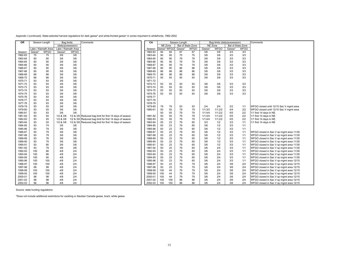Appendix I (continued). State-selected harvest regulations for dark geese\* and white-fronted geese\* in zones important to whitefronts, 1962-2002

| <b>OR</b>          |                    | Season Length       | <b>Bag limits</b> |                     | Comments                                                | CA                 |             |          | Season Length |                   |            | Bag limits (daily/possession) |                    |                   | Comments                                |
|--------------------|--------------------|---------------------|-------------------|---------------------|---------------------------------------------------------|--------------------|-------------|----------|---------------|-------------------|------------|-------------------------------|--------------------|-------------------|-----------------------------------------|
|                    |                    |                     |                   | (daily/possession)  |                                                         |                    | NE Zone     |          |               | Bal of State Zone | NE Zone    |                               |                    | Bal of State Zone |                                         |
|                    |                    | Lake / Klamath Area |                   | Lake / Klamath Area |                                                         | Season             | Geese* WFGO |          | Geese*        | <b>WFGO</b>       | Geese*     | <b>WFGO</b>                   | Geese <sup>®</sup> | <b>WFGO</b>       |                                         |
| Season             | Geese <sup>®</sup> | <b>WFGO</b>         | Geese'            | <b>WFGO</b>         |                                                         | 1962-63            | 84          | 84       | 67            | 67                | 3/6        | 3/6                           | 3/3                | 3/3               |                                         |
| 1962-63            | 75                 | 75                  | 3/6               | 3/6                 |                                                         | 1963-64            | 90          | 90       | 75            | 75                | 3/6        | 3/6                           | 3/3                | 3/3               |                                         |
| 1963-64            | 90                 | 90                  | 3/6               | 3/6                 |                                                         | 1964-65            | 90          | 90       | 79            | 79                | 3/6        | 3/6                           | 3/3                | 3/3               |                                         |
| 1964-65            | 90                 | 90                  | 3/6               | 3/6                 |                                                         | 1965-66            | 90          | 90       | 79            | 79                | 3/6        | 3/6                           | 3/3                | 3/3               |                                         |
| 1965-66            | 90                 | 90                  | 3/6               | 3/6                 |                                                         | 1966-67            | 90          | 90       | 79            | 79                | 3/6        | 3/6                           | 3/3                | 3/3               |                                         |
| 1966-67            | 90                 | 90                  | 3/6               | 3/6                 |                                                         | 1967-68            | 90          | 90       | 86            | 86                | 3/6        | 3/6                           | 3/3                | 3/3               |                                         |
| 1967-68            | 90                 | 90                  | 3/6               | 3/6                 |                                                         | 1968-69            | 86          | 86       | 86            | 86                | 3/6        | 3/6                           | 3/3                | 3/3               |                                         |
| 1968-69            | 86                 | 86                  | 3/6               | 3/6                 |                                                         | 1969-70            | 86          | 86       | 86            | 86                | 3/6        | 3/6                           | 3/3                | 3/3               |                                         |
| 1969-70            | 86                 | 86                  | 3/6               | 3/6                 |                                                         | 1970-71            | 93          | 93       | 93            | 93                | 3/6        | 3/6                           | 3/3                | 3/3               |                                         |
| 1970-71            | 93                 | 93                  | 3/6               | 3/6                 |                                                         | 1971-72            |             |          |               |                   |            |                               |                    |                   |                                         |
| 1971-72            | 93                 | 93                  | 3/6               | 3/6                 |                                                         | 1972-73            | 93          | 93       | 93            | 93                | 3/6        | 3/6                           | 3/3                | 3/3               |                                         |
| 1972-73            | 93                 | 93                  | 3/6               | 3/6                 |                                                         | 1973-74            | 93          | 93       | 93            | 93                | 3/6        | 3/6                           | 3/3                | 3/3               |                                         |
| 1973-74            | 93                 | 93                  | 3/6               | 3/6                 |                                                         | 1974-75            | 93          | 93       | 93            | 93                | 3/6        | 3/6                           | 3/3                | 3/3               |                                         |
| 1974-75            | 93                 | 93                  | 3/6               | 3/6                 |                                                         | 1975-76            | 93          | 93       | 93            | 93                | 3/6        | 3/6                           | 3/3                | 3/3               |                                         |
| 1975-76            | 93                 | 93                  | 3/6               | 3/6                 |                                                         | 1976-77            |             |          |               |                   |            |                               |                    |                   |                                         |
| 1976-77            | 93                 | 93                  | 3/6               | 3/6                 |                                                         | 1977-78            |             |          |               |                   |            |                               |                    |                   |                                         |
| 1977-78            | 93                 | 93                  | 3/6               | 3/6                 |                                                         | 1978-79            |             |          |               |                   |            |                               |                    |                   |                                         |
| 1978-79            | 93                 | 93                  | 3/6               | 3/6                 |                                                         | 1979-80            | 79          | 79       | 93            | 93                | 2/4        | 2/4                           | 2/2                | 1/1               | WFGO closed until 12/15 Sac V mgmt area |
| 1979-80            | 93                 | 93                  | 3/6               | 3/6                 |                                                         | 1980-81            | 93          | 93       | 79            | 79                | 1/1;3/3    | 1/1;2/2                       | 4/4                | 2/2               | WFGO closed until 12/15 Sac V mgmt area |
| 1980-81            | 93                 | 93                  | 3/6               | 3/6                 |                                                         |                    | 93          | 93       | 79            | 79                | 1/1:4/4    | 1/1:2/2                       | 5/5                | 2/2               | 1/1 first 14 days in NE                 |
| 1981-82            | 93                 | 93                  | 1/2 & 3/6         |                     | 1/2 & 3/6 Reduced bag limit for first 14 days of season | 1981-82            | 93          | 93       | 79            | 79                | 1/1;4/4    | 1/1;2/2                       | 5/5                | 2/2               | 1/1 first 14 days in NE                 |
| 1982-83            | 93                 | 93                  | 1/2 & 3/6         |                     | 1/2 & 3/6 Reduced bag limit for first 14 days of season | 1982-83            | 93          | 93       | 79            | 79                | 1/1:4/4    | 1/1:2/2                       | 5/5                | 2/2               | 1/1 first 14 days in NE                 |
| 1983-84            | 93<br>93           | 93<br>74            | 1/2 & 3/6         | 1/2 & 3/6           | Reduced bag limit for first 14 days of season           | 1983-84            | 93<br>93    | 23<br>23 | 79<br>79      | 65<br>65          | 3/3<br>3/6 | 1/2<br>1/2                    | 3/3<br>3/3         | 1/1<br>1/1        | 1/1 first 14 days in NE                 |
| 1984-85<br>1985-86 | 93                 | 79                  | 3/6<br>3/6        | 3/6<br>3/6          |                                                         | 1984-85<br>1985-86 | 93          | 23       | 79            | 65                | 3/6        | 1/2                           | 3/3                | 1/1               |                                         |
| 1986-87            | 93                 | 79                  | 3/6               | 3/6                 |                                                         | 1986-87            | 93          | 23       | 79            | 65                | 3/6        | 1/2                           | 3/3                | 1/1               | WFGO closed in Sac V sp mgmt area 11/30 |
| 1987-88            | 93                 | 79                  | 3/6               | 3/6                 |                                                         | 1987-88            | 93          | 23       | 79            | 65                | 3/6        | 1/2                           | 3/3                | 1/1               | WFGO closed in Sac V sp mgmt area 11/30 |
| 1988-89            | 93                 | 76                  | 3/6               | 3/6                 |                                                         | 1988-89            | 93          | 23       | 79            | 65                | 3/6        | 1/2                           | 3/3                | 1/1               | WFGO closed in Sac V sp mgmt area 11/30 |
| 1989-90            | 93                 | 75                  | 3/6               | 3/6                 |                                                         | 1989-90            | 93          | 23       | 79            | 65                | 3/6        | 1/2                           | 3/3                | 1/1               | WFGO closed in Sac V sp mgmt area 11/30 |
| 1990-91            | 93                 | 80                  | 3/6               | 3/6                 |                                                         | 1990-91            | 93          | 23       | 79            | 65                | 3/6        | 1/2                           | 3/3                | 1/1               | WFGO closed in Sac V sp mgmt area 11/30 |
| 1991-92            | 93                 | 79                  | 3/6               | 3/6                 |                                                         | 1991-92            | 93          | 23       | 79            | 65                | 3/6        | 2/4                           | 3/3                | 1/1               | WFGO closed in Sac V sp mgmt area 11/30 |
| 1992-93            | 100                | 86                  | 4/8               | 2/4                 |                                                         | 1992-93            | 93          | 23       | 79            | 65                | 3/6        | 2/4                           | 3/3                | 1/1               | WFGO closed in Sac V sp mgmt area 11/30 |
| 1993-94            | 100                | 86                  | 4/8               | 2/4                 |                                                         | 1993-94            | 93          | 23       | 79            | 65                | 3/6        | 2/4                           | 3/3                | 1/1               | WFGO closed in Sac V sp mgmt area 11/30 |
| 1994-95            | 100                | 90                  | 4/8               | 2/4                 |                                                         | 1994-95            | 93          | 23       | 79            | 65                | 3/6        | 2/4                           | 3/3                | 1/1               | WFGO closed in Sac V sp mgmt area 11/30 |
| 1995-96            | 100                | 100                 | 4/8               | 2/4                 |                                                         | 1995-96            | 93          | 23       | 79            | 65                | 3/6        | 2/4                           | 3/3                | 1/1               | WFGO closed in Sac V sp mgmt area 12/15 |
| 1996-97            | 100                | 100                 | 4/8               | 2/4                 |                                                         | 1996-97            | 93          | 23       | 79            | 79                | 3/6        | 2/4                           | 3/6                | 2/4               | WFGO closed in Sac V sp mgmt area 12/15 |
| 1997-98            | 99                 | 99                  | 4/8               | 2/4                 |                                                         | 1997-98            | 93          | 23       | 79            | 79                | 3/6        | 2/4                           | 3/6                | 2/4               | WFGO closed in Sac V sp mgmt area 12/15 |
| 1998-99            | 100                | 100                 | 4/8               | 2/4                 |                                                         | 1998-99            | 100         | 44       | 79            | 79                | 3/6        | 2/4                           | 3/6                | 2/4               | WFGO closed in Sac V sp mgmt area 12/15 |
| 1999-00            | 100                | 100                 | 4/8               | 2/4                 |                                                         | 1999-00            | 100         | 44       | 79            | 79                | 3/6        | 2/4                           | 3/6                | 2/4               | WFGO closed in Sac V sp mgmt area 12/15 |
| 2000-01            | 98                 | 98                  | 4/8               | 2/4                 |                                                         | 2000-01            | 100         | 44       | 79            | 79                | 3/6        | 2/4                           | 3/6                | 2/4               | WFGO closed in Sac V sp mgmt area 12/15 |
| 2001-02            | 98                 | 98                  | 4/8               | 2/4                 |                                                         | 2001-02            | 100         | 100      | 86            | 86                | 3/6        | 2/4                           | 3/6                | 2/4               | WFGO closed in Sac V sp mgmt area 12/15 |
| 2002-03            | 96                 | 96                  | 4/8               | 2/4                 |                                                         | 2002-03            | 100         | 100      | 86            | 86                | 3/6        | 2/4                           | 3/6                | 2/4               | WFGO closed in Sac V sp mgmt area 12/15 |

Source: state hunting regulations

\*Does not include additional restrictions for cackling or Aleutian Canada geese, brant, white geese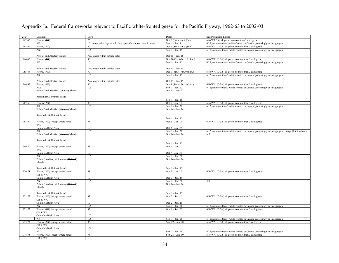| Year        | Location                               | Days                                                               | Dates                         | Bag/Possession Limits                                                                                 |
|-------------|----------------------------------------|--------------------------------------------------------------------|-------------------------------|-------------------------------------------------------------------------------------------------------|
| 1962-63     | Flyway (AK)                            | 75                                                                 | Oct. 6 (Sat.)-Jan. 6 (Sun.)   | 6/6 (WA 3/6) all geese, no more than 3 dark geese                                                     |
|             | AK                                     | 105 consecutive days or split into 2 periods not to exceed 95 days | Sep. $1 - Jan. 8$             | $6/12$ ; not more than 3 white-fronted or Canada geese singly or in aggregate                         |
| 1963-64     | Flyway (AK)                            | 90                                                                 | Oct. 5 (Sat.)-Jan. 5 (Sun.)   | 6/6 (WA, ID 3/6) all geese, no more than 3 dark geese                                                 |
|             | AK:                                    | 105                                                                | Sep. 1 - Jan. 15              | 6/12; not more than 3 white-fronted or Canada geese singly or in aggregate                            |
|             |                                        |                                                                    |                               |                                                                                                       |
|             | Pribilof and Aleutian Islands          | Any length within outside dates                                    | Oct. 15 - Jan. 15             |                                                                                                       |
| 1964-65     | Flyway (AK)                            | 90                                                                 | Oct. 10 (Sat.)-Jan. 10 (Sun.) | 6/6 (WA, ID 3/6) all geese, no more than 3 dark geese                                                 |
|             | AK:                                    | 105                                                                | Sep. 1 - Jan. 15              | 6/12; not more than 3 white-fronted or Canada geese singly or in aggregate                            |
|             |                                        |                                                                    |                               |                                                                                                       |
|             | Pribilof and Aleutian Islands          | Any length within outside dates                                    | Oct. 15 - Jan. 15             |                                                                                                       |
| 1965-66     | Flyway (AK)                            | 90                                                                 | Oct. 9 (Sat.) - Jan. 9 (Sun.) | 6/6 (WA, ID 3/6) all geese, no more than 3 dark geese                                                 |
|             | AK:                                    | 105                                                                | Sep. $1 - Jan. 15$            | 6/12; not more than 3 white-fronted or Canada geese singly or in aggregate                            |
|             |                                        |                                                                    |                               |                                                                                                       |
|             | Pribilof and Aleutian Islands          | Any length within outside dates                                    | Oct. 15 - Jan. 15             |                                                                                                       |
| 1966-67     | Flyway (AK)                            | 90                                                                 | Oct. 8 (Sat.) - Jan. 8 (Sun.) | 6/6 (WA, ID 3/6) all geese, no more than 3 dark geese                                                 |
|             | AK:                                    | 105                                                                | Sep. 1 - Jan. 27              | 6/12; not more than 3 white-fronted or Canada geese singly or in aggregate                            |
|             | Pribilof and Aleutian (Unimak) Islands |                                                                    | Oct. 15 - Jan. 27             |                                                                                                       |
|             |                                        |                                                                    |                               |                                                                                                       |
|             | Remainder & Unimak Island              |                                                                    |                               |                                                                                                       |
|             |                                        |                                                                    | Sep. 1 - Jan. 15              |                                                                                                       |
| 1967-68     | Flyway (AK)                            | 90                                                                 | Oct. 7 - Jan. 14              | 6/6 (WA, ID 3/6) all geese, no more than 3 dark geese                                                 |
|             | AK:                                    | 105                                                                | Sep. 1 - Jan. 26              | 6/12; not more than 3 white-fronted or Canada geese singly or in aggregate                            |
|             | Pribilof and Aleutian (Unimak) Islands |                                                                    | Oct. 14 - Jan. 26             |                                                                                                       |
|             |                                        |                                                                    |                               |                                                                                                       |
|             | Remainder & Unimak Island              |                                                                    |                               |                                                                                                       |
|             |                                        |                                                                    | Sep. 1 - Jan. 15              |                                                                                                       |
| 1968-69     | Flyway (AK) (except where noted)       | 93                                                                 | Oct. 5 - Jan. 12              | 6/6 (WA, ID 3/6) all geese, no more than 3 dark geese                                                 |
|             | WA:                                    |                                                                    |                               |                                                                                                       |
|             | Columbia Basin Area                    | 107                                                                | Oct. 5 - Jan. 19              |                                                                                                       |
|             | AK:                                    | 105                                                                | Sep. 1 - Jan. 26              | $6/12$ ; not more than 4 white-fronted or Canada geese singly or in aggregate, except Unit 6 where it |
|             | Pribilof and Aleutian (Unimak) Islands |                                                                    | Oct. 14 - Jan. 26             | is 2                                                                                                  |
|             |                                        |                                                                    |                               |                                                                                                       |
|             | Remainder & Unimak Island              |                                                                    |                               |                                                                                                       |
|             |                                        |                                                                    | Sep. 1 - Jan. 15              |                                                                                                       |
| 1969-70     | Flyway (AK) (except where noted)       | 93                                                                 | Oct. 4 - Jan. 11              |                                                                                                       |
|             | WA:                                    |                                                                    |                               |                                                                                                       |
|             | Columbia Basin Area                    | 107                                                                | Oct. 4 - Jan. 18              |                                                                                                       |
|             | AK:                                    | 105                                                                | Sep. 1 - Jan. 26              |                                                                                                       |
|             | Pribilof, Kodiak, & Aleutian (Unimak)  |                                                                    | Oct. 14 - Jan. 26             |                                                                                                       |
|             | Islands                                |                                                                    |                               |                                                                                                       |
|             |                                        |                                                                    |                               |                                                                                                       |
|             | Remainder & Unimak Island              |                                                                    | Sep. 1 - Jan. 15              |                                                                                                       |
| 1970-71     | Flyway (AK) (except where noted)       | 93                                                                 | Oct. 3 - Jan. 17              | 6/6 (WA, ID 3/6) all geese, no more than 3 dark geese                                                 |
|             | OR & WA:                               |                                                                    |                               |                                                                                                       |
|             | Columbia Basin Area                    | 107                                                                | Oct. 3 - Jan. 24              |                                                                                                       |
|             | AK:                                    | 105                                                                | Sep. 1 - Jan. 26              | 4/8                                                                                                   |
|             | Pribilof, Kodiak, & Aleutian (Unimak)  |                                                                    | Oct. 14 - Jan. 26             |                                                                                                       |
|             | Islands                                |                                                                    |                               |                                                                                                       |
|             |                                        |                                                                    |                               |                                                                                                       |
|             | Remainder & Unimak Island              |                                                                    | Sep. 1 - Jan. 15              |                                                                                                       |
| $1971 - 72$ | Flyway (AK) (except where noted)       | 93                                                                 | Oct. 2 - Jan. 16              | 6/6 (WA, ID 3/6) all geese, no more than 3 dark geese                                                 |
|             | OR & WA:                               |                                                                    |                               |                                                                                                       |
|             | Columbia Basin Area                    | 107                                                                | Oct. 2 - Jan. 23              |                                                                                                       |
|             | AK                                     | 105                                                                | Sep. 1 - Jan. 26              | 6/12; not more than 4 white-fronted or Canada geese singly or in aggregate                            |
| 1972-73     | Flyway (AK) (except where noted)       | 93                                                                 | Oct. 1 - Jan. 20              | 6/6 (WA, ID 3/6) all geese, no more than 3 dark geese                                                 |
|             | OR & WA:                               |                                                                    |                               |                                                                                                       |
|             | Columbia Basin Area                    | 107                                                                |                               |                                                                                                       |
|             | AK                                     | 105                                                                | Sep. 1 - Jan. 26              | 6/12; not more than 4 white-fronted or Canada geese singly or in aggregate                            |
| 1973-74     | Flyway (AK) (except where noted)       | 93                                                                 | Sep. 29 - Jan. 20             | 6/6 (WA, ID 3/6) all geese, no more than 3 dark geese                                                 |
|             | OR & WA:                               |                                                                    |                               |                                                                                                       |
|             | Columbia Basin Area                    | 100                                                                |                               |                                                                                                       |
|             | AK                                     | 107                                                                | Sep. 1 - Jan. 26              | 6/12; not more than 4 white-fronted or Canada geese singly or in aggregate                            |
| 1974-75     | Flyway (AK) (except where noted)       | 93                                                                 | Sep. 28 - Jan. 19             | 6/6 (WA, ID 3/6) all geese, no more than 3 dark geese                                                 |
|             | OR & WA:                               |                                                                    |                               |                                                                                                       |
|             |                                        |                                                                    |                               |                                                                                                       |

Appendix Ia. Federal frameworks relevant to Pacific white-fronted geese for the Pacific Flyway, 1962-63 to 2002-03.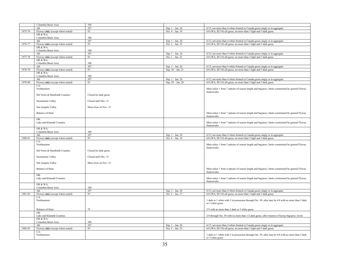|         | Columbia Basin Area              | 100                   |                    |                                                                                                                       |
|---------|----------------------------------|-----------------------|--------------------|-----------------------------------------------------------------------------------------------------------------------|
|         | AK                               | 107                   |                    |                                                                                                                       |
|         |                                  |                       | Sep. 1 - Jan. 26   | 6/12; not more than 4 white-fronted or Canada geese singly or in aggregate                                            |
| 1975-76 | Flyway (AK) (except where noted) | 93                    | Oct. 4 - Jan. 18   | 6/6 (WA, ID 3/6) all geese, no more than 3 light and 3 dark geese                                                     |
|         | OR & WA:                         |                       |                    |                                                                                                                       |
|         | Columbia Basin Area              | 100                   |                    |                                                                                                                       |
|         | AK                               | 107                   | Sep. 1 - Jan. 26   | 6/12; not more than 4 white-fronted or Canada geese singly or in aggregate                                            |
| 1976-77 | Flyway (AK) (except where noted) | 93                    | Oct. 2 - Jan. 23   | 6/6 (WA, ID 3/6) all geese, no more than 3 light and 3 dark geese                                                     |
|         | OR & WA:                         |                       |                    |                                                                                                                       |
|         | Columbia Basin Area              | 100                   |                    |                                                                                                                       |
|         |                                  |                       |                    |                                                                                                                       |
|         | AK                               | 107                   | Sep. 1 - Jan. 26   | 6/12; not more than 4 white-fronted or Canada geese singly or in aggregate                                            |
| 1977-78 | Flyway (AK) (except where noted) | 93                    | Oct. 1 - Jan. 22   | 6/6 (WA, ID 3/6) all geese, no more than 3 light and 3 dark geese                                                     |
|         | OR & WA:                         |                       |                    |                                                                                                                       |
|         | Columbia Basin Area              | 100                   |                    |                                                                                                                       |
|         | AK                               | 107                   | Sep. 1 - Jan. 26   | 6/12; not more than 4 white-fronted or Canada geese singly or in aggregate                                            |
| 1978-79 | Flyway (AK) (except where noted) | 93                    | Sep. 30 - Jan. 21  | 6/6 (WA, ID 3/6) all geese, no more than 3 light and 3 dark geese                                                     |
|         | OR & WA:                         |                       |                    |                                                                                                                       |
|         | Columbia Basin Area              | 100                   |                    |                                                                                                                       |
|         | AK                               | 107                   |                    |                                                                                                                       |
|         |                                  |                       | Sep. 1 - Jan. 26   | 6/12; not more than 4 white-fronted or Canada geese singly or in aggregate                                            |
| 1979-80 | Flyway (AK) (except where noted) | 93                    | Sep. 29 - Jan. 20  | 6/6 (WA, ID 3/6) all geese, no more than 3 light and 3 dark geese                                                     |
|         | CA:                              |                       |                    |                                                                                                                       |
|         | Northeastern                     |                       |                    | Must select 1 from 7 options of season length and bag/poss. limits constrained by general Flyway                      |
|         |                                  |                       |                    | frameworks                                                                                                            |
|         | Del Norte & Humboldt Counties    | Closed for dark geese |                    |                                                                                                                       |
|         |                                  |                       |                    |                                                                                                                       |
|         | Sacramento Valley                | Closed until Dec. 15  |                    |                                                                                                                       |
|         |                                  |                       |                    |                                                                                                                       |
|         | San Joaquin Valley               | Must close on Nov. 23 |                    |                                                                                                                       |
|         |                                  |                       |                    |                                                                                                                       |
|         |                                  |                       |                    |                                                                                                                       |
|         | Balance-of-State                 |                       |                    | Must select 1 from 7 options of season length and bag/poss. limits constrained by general Flyway                      |
|         |                                  |                       |                    | frameworks                                                                                                            |
|         | OR:                              |                       |                    |                                                                                                                       |
|         | Lake and Klamath Counties        |                       |                    | Must select 1 from 7 options of season length and bag/poss. limits constrained by general Flyway                      |
|         |                                  |                       |                    | frameworks                                                                                                            |
|         | OR & WA:                         |                       |                    |                                                                                                                       |
|         | Columbia Basin Area              | 100                   |                    |                                                                                                                       |
|         |                                  |                       |                    |                                                                                                                       |
|         |                                  |                       |                    |                                                                                                                       |
|         | AK                               | 107                   | Sep. 1 - Jan. 26   | 6/12; not more than 4 white-fronted or Canada geese singly or in aggregate                                            |
| 1980-81 | Flyway (AK) (except where noted) | 93                    | Oct. 4 - Jan. 18   | 6/6 (WA, ID 3/6) all geese, no more than 3 light and 3 dark geese                                                     |
|         | CA:                              |                       |                    |                                                                                                                       |
|         | Northeastern                     |                       |                    | Must select 1 from 5 options of season length and bag/poss. limits constrained by general Flyway                      |
|         |                                  |                       |                    | frameworks                                                                                                            |
|         | Del Norte & Humboldt Counties    | Closed for dark geese |                    |                                                                                                                       |
|         |                                  |                       |                    |                                                                                                                       |
|         | Sacramento Valley                | Closed until Dec. 15  |                    |                                                                                                                       |
|         |                                  |                       |                    |                                                                                                                       |
|         |                                  | Must close on Nov. 23 |                    |                                                                                                                       |
|         | San Joaquin Valley               |                       |                    |                                                                                                                       |
|         |                                  |                       |                    |                                                                                                                       |
|         | Balance-of-State                 |                       |                    | Must select 1 from 4 options of season length and bag/poss. limits constrained by general Flyway                      |
|         |                                  |                       |                    | frameworks                                                                                                            |
|         | OR:                              |                       |                    |                                                                                                                       |
|         | Lake and Klamath Counties        |                       |                    | Must select 1 from 5 options of season length and bag/poss. limits constrained by general Flyway                      |
|         |                                  |                       |                    | frameworks                                                                                                            |
|         | OR & WA:                         |                       |                    |                                                                                                                       |
|         | Columbia Basin Area              | 100                   |                    |                                                                                                                       |
|         | AK                               | 107                   | Sep. 1 - Jan. 26   | 6/12; not more than 4 white-fronted or Canada geese singly or in aggregate                                            |
| 1981-82 | Flyway (AK) (except where noted) | 93                    | Oct. 3 - Jan. 17   | 6/6 (WA, ID 3/6) all geese, no more than 3 light and 3 dark geese                                                     |
|         | CA:                              |                       |                    |                                                                                                                       |
|         | Northeastern                     |                       |                    |                                                                                                                       |
|         |                                  |                       |                    | 1 dark or 1 white with 2 in possession through Oct. 30; after may be 4/4 with no more than 2 dark                     |
|         |                                  |                       |                    | or 3 white geese                                                                                                      |
|         |                                  |                       |                    |                                                                                                                       |
|         | Balance-of-State                 | 79                    |                    | 5/5 with no more than 2 dark or 3 white geese                                                                         |
|         | OR:                              |                       |                    |                                                                                                                       |
|         | Lake and Klamath Counties        |                       |                    | 2/4 through Oct. 30 with no more than 1/2 dark geese; after returns to Flyway bag/poss. levels                        |
|         | OR & WA:                         |                       |                    |                                                                                                                       |
|         | Columbia Basin Area              | 100                   |                    |                                                                                                                       |
|         | AK                               | 107                   | Sep. $1 - Jan. 26$ | 6/12; not more than 4 white-fronted or Canada geese singly or in aggregate                                            |
| 1982-83 | Flyway (AK) (except where noted) | 93                    | Oct. 2 - Jan. 23   | 6/6 (WA, ID 3/6) all geese, no more than 3 light and 3 dark geese                                                     |
|         |                                  |                       |                    |                                                                                                                       |
|         | CA:                              |                       |                    |                                                                                                                       |
|         | Northeastern                     |                       |                    | 1 dark or 1 white with 2 in possession through Oct. 29; after may be 4/4 with no more than 2 dark<br>or 3 white geese |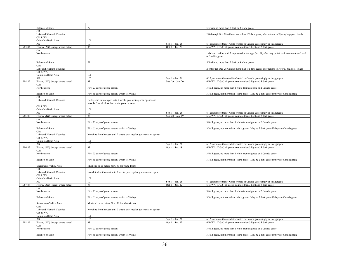|         | Balance-of-State                         | 79                                                                                                               |                                        | 5/5 with no more than 2 dark or 3 white geese                                                                                                   |
|---------|------------------------------------------|------------------------------------------------------------------------------------------------------------------|----------------------------------------|-------------------------------------------------------------------------------------------------------------------------------------------------|
|         | OR:<br>Lake and Klamath Counties         |                                                                                                                  |                                        | 2/4 through Oct. 29 with no more than 1/2 dark geese; after returns to Flyway bag/poss. levels                                                  |
|         | OR & WA:                                 | 100                                                                                                              |                                        |                                                                                                                                                 |
|         | Columbia Basin Area                      | 107                                                                                                              |                                        |                                                                                                                                                 |
| 1983-84 | AK<br>Flyway $(AK)$ (except where noted) | 93                                                                                                               | Sep. 1 - Jan. 26<br>Oct. $1 - Jan. 22$ | 6/12; not more than 4 white-fronted or Canada geese singly or in aggregate<br>6/6 (WA, ID 3/6) all geese, no more than 3 light and 3 dark geese |
|         | CA:                                      |                                                                                                                  |                                        |                                                                                                                                                 |
|         | Northeastern                             |                                                                                                                  |                                        | 1 dark or 1 white with 2 in possession through Oct. 28; after may be 4/4 with no more than 2 dark<br>or 3 white geese                           |
|         | Balance-of-State                         | 79                                                                                                               |                                        | 5/5 with no more than 2 dark or 3 white geese                                                                                                   |
|         | OR:<br>Lake and Klamath Counties         |                                                                                                                  |                                        | 2/4 through Oct. 28 with no more than 1/2 dark geese; after returns to Flyway bag/poss. levels                                                  |
|         | OR & WA:<br>Columbia Basin Area          | 100                                                                                                              |                                        |                                                                                                                                                 |
|         | AK                                       | 107                                                                                                              | Sep. 1 - Jan. 26                       | 6/12; not more than 4 white-fronted or Canada geese singly or in aggregate                                                                      |
| 1984-85 | Flyway $(AK)$ (except where noted)       | 93                                                                                                               | Sep. 29 - Jan. 20                      | 6/6 (WA, ID 3/6) all geese, no more than 3 light and 3 dark geese                                                                               |
|         | CA:                                      |                                                                                                                  |                                        |                                                                                                                                                 |
|         | Northeastern                             | First 23 days of goose season                                                                                    |                                        | 3/6 all geese, no more than 1 white-fronted goose or 2 Canada geese                                                                             |
|         | Balance-of-State                         | First 65 days of goose season, which is 79 days                                                                  |                                        | 3/3 all geese, not more than 1 dark goose. May be 2 dark geese if they are Canada geese                                                         |
|         | OR:<br>Lake and Klamath Counties         | Dark geese cannot open until 2 weeks post white goose opener and<br>must be 2 weeks less than white goose season |                                        |                                                                                                                                                 |
|         | OR & WA:<br>Columbia Basin Area          | 100                                                                                                              |                                        |                                                                                                                                                 |
|         | AK                                       | 107                                                                                                              | Sep. 1 - Jan. 26                       | 6/12; not more than 4 white-fronted or Canada geese singly or in aggregate                                                                      |
| 1985-86 | Flyway (AK) (except where noted)         | 93                                                                                                               | Sep. 28 - Jan. 19                      | 6/6 (WA, ID 3/6) all geese, no more than 3 light and 3 dark geese                                                                               |
|         | CA:                                      |                                                                                                                  |                                        |                                                                                                                                                 |
|         | Northeastern                             | First 23 days of goose season                                                                                    |                                        | 3/6 all geese, no more than 1 white-fronted goose or 2 Canada geese                                                                             |
|         | Balance-of-State                         | First 65 days of goose season, which is 79 days                                                                  |                                        | 3/3 all geese, not more than 1 dark goose. May be 2 dark geese if they are Canada geese                                                         |
|         | OR:<br>Lake and Klamath Counties         | No white-front harvest until 2 weeks post regular goose season opener                                            |                                        |                                                                                                                                                 |
|         | OR & WA:                                 |                                                                                                                  |                                        |                                                                                                                                                 |
|         | Columbia Basin Area                      | 100                                                                                                              |                                        |                                                                                                                                                 |
|         | AK                                       | 107                                                                                                              | Sep. 1 - Jan. 26                       | 6/12; not more than 4 white-fronted or Canada geese singly or in aggregate                                                                      |
| 1986-87 | Flyway (AK) (except where noted)         | 93                                                                                                               | Oct. $4 - Jan. 18$                     | 6/6 (WA, ID 3/6) all geese, no more than 3 light and 3 dark geese                                                                               |
|         | CA:<br>Northeastern                      | First 23 days of goose season                                                                                    |                                        | 3/6 all geese, no more than 1 white-fronted goose or 2 Canada geese                                                                             |
|         | Balance-of-State:                        | First 65 days of goose season, which is 79 days                                                                  |                                        | 3/3 all geese, not more than 1 dark goose. May be 2 dark geese if they are Canada geese                                                         |
|         | Sacramento Valley Area                   | Must end on or before Nov. 30 for white-fronts                                                                   |                                        |                                                                                                                                                 |
|         | OR:<br>Lake and Klamath Counties         | No white-front harvest until 2 weeks post regular goose season opener                                            |                                        |                                                                                                                                                 |
|         | OR & WA:                                 |                                                                                                                  |                                        |                                                                                                                                                 |
|         | Columbia Basin Area                      | 100                                                                                                              |                                        |                                                                                                                                                 |
|         | AK                                       | 107                                                                                                              | Sep. 1 - Jan. 26                       | 6/12; not more than 4 white-fronted or Canada geese singly or in aggregate                                                                      |
| 1987-88 | Flyway (AK) (except where noted)         | 93                                                                                                               | Oct. 1 - Jan. 22                       | 6/6 (WA, ID 3/6) all geese, no more than 3 light and 3 dark geese                                                                               |
|         | CA:<br>Northeastern                      | First 23 days of goose season                                                                                    |                                        | 3/6 all geese, no more than 1 white-fronted goose or 2 Canada geese                                                                             |
|         | Balance-of-State:                        | First 65 days of goose season, which is 79 days                                                                  |                                        | 3/3 all geese, not more than 1 dark goose. May be 2 dark geese if they are Canada geese                                                         |
|         | Sacramento Valley Area                   | Must end on or before Nov. 30 for white-fronts                                                                   |                                        |                                                                                                                                                 |
|         | OR:<br>Lake and Klamath Counties         | No white-front harvest until 2 weeks post regular goose season opener                                            |                                        |                                                                                                                                                 |
|         | OR & WA:                                 |                                                                                                                  |                                        |                                                                                                                                                 |
|         | Columbia Basin Area                      | 100                                                                                                              |                                        |                                                                                                                                                 |
|         | AK                                       | 107                                                                                                              | Sep. 1 - Jan. 26                       | 6/12; not more than 4 white-fronted or Canada geese singly or in aggregate                                                                      |
| 1988-89 | Flyway (AK) (except where noted)         | 93                                                                                                               | Oct. $1 - Jan. 22$                     | 6/6 (WA, ID 3/6) all geese, no more than 3 light and 3 dark geese                                                                               |
|         | CA:<br>Northeastern                      | First 23 days of goose season                                                                                    |                                        | 3/6 all geese, no more than 1 white-fronted goose or 2 Canada geese                                                                             |
|         |                                          |                                                                                                                  |                                        |                                                                                                                                                 |
|         | Balance-of-State:                        | First 65 days of goose season, which is 79 days                                                                  |                                        | 3/3 all geese, not more than 1 dark goose. May be 2 dark geese if they are Canada geese                                                         |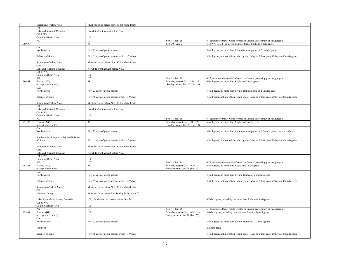|         | Sacramento Valley Area                                | Must end on or before Nov. 30 for white-fronts      |                                                                        |                                                                                         |
|---------|-------------------------------------------------------|-----------------------------------------------------|------------------------------------------------------------------------|-----------------------------------------------------------------------------------------|
|         | OR:<br>Lake and Klamath Counties                      | No white-front harvest before Nov. 1                |                                                                        |                                                                                         |
|         | OR & WA:<br>Columbia Basin Area                       | 100                                                 |                                                                        |                                                                                         |
|         | $\mathbf{A}\mathbf{K}$                                | 107                                                 | Sep. 1 - Jan. 26                                                       | 6/12; not more than 4 white-fronted or Canada geese singly or in aggregate              |
| 1989-90 |                                                       | 93                                                  | Sep. 30 - Jan. 21                                                      | 6/6 (WA, ID 3/6) all geese, no more than 3 light and 3 dark geese                       |
|         | CA:<br>Northeastern                                   | First 23 days of goose season                       |                                                                        | 3/6 all geese, no more than 1 white-fronted goose or 2 Canada geese                     |
|         | Balance-of-State:                                     | First 65 days of goose season, which is 79 days     |                                                                        | 3/3 all geese, not more than 1 dark goose. May be 2 dark geese if they are Canada geese |
|         | Sacramento Valley Area<br>OR:                         | Must end on or before Nov. 30 for white-fronts      |                                                                        |                                                                                         |
|         | Lake and Klamath Counties<br>OR & WA:                 | No white-front harvest before Nov. 1                |                                                                        |                                                                                         |
|         | Columbia Basin Area                                   | 100                                                 |                                                                        |                                                                                         |
|         | $\mathbf{A}\mathbf{K}$                                | 107                                                 | Sep. 1 - Jan. 26                                                       | 6/12; not more than 4 white-fronted or Canada geese singly or in aggregate              |
| 1990-91 | Flyway (AK)<br>(except where noted)                   | 93                                                  | Saturday nearest Oct. 1 (Sep. 29 -<br>Sunday nearest Jan. 20 (Jan. 20) | 6/6 all geese, no more than 3 light and 3 dark geese                                    |
|         | CA:<br>Northeastern                                   | First 23 days of goose season                       |                                                                        | 3/6 all geese, no more than 1 white-fronted goose or 2 Canada geese                     |
|         | Balance-of-State:                                     | First 65 days of goose season, which is 79 days     |                                                                        | 3/3 all geese, not more than 1 dark goose. May be 2 dark geese if they are Canada geese |
|         | Sacramento Valley Area<br>OR:                         | Must end on or before Nov. 30 for white-fronts      |                                                                        |                                                                                         |
|         | Lake and Klamath Counties<br>OR & WA:                 | No white-front harvest before Nov. 1                |                                                                        |                                                                                         |
|         | Columbia Basin Area                                   | 100<br>107                                          |                                                                        | $6/12$ ; not more than 4 white-fronted or Canada geese singly or in aggregate           |
|         | AK                                                    |                                                     | Sep. $1 -$ Jan. 26                                                     |                                                                                         |
| 1991-92 | Flyway (AK)<br>(except where noted)                   | 93                                                  | Saturday nearest Oct. 1 (Sep. 28 -<br>Sunday nearest Jan. 20 (Jan. 19) | 6/6 all geese, no more than 3 light and 3 dark geese                                    |
|         | CA:<br>Northeastern                                   | First 23 days of goose season                       |                                                                        | 3/6 all geese, no more than 1 white-fronted goose or 2 Canada geese, but not 1 of each  |
|         | Southern San Joaquin Valley and Balance-<br>of-State: | First 65 days of goose season, which is 79 days     |                                                                        | 3/3 all geese, not more than 1 dark goose. May be 2 dark geese if they are Canada geese |
|         | Sacramento Valley Area<br>OR:                         | Must end on or before Nov. 30 for white-fronts      |                                                                        |                                                                                         |
|         | Lake and Klamath Counties                             | No white-front harvest before Nov. 1                |                                                                        |                                                                                         |
|         | OR & WA:<br>Columbia Basin Area                       | 100                                                 |                                                                        |                                                                                         |
|         | AK                                                    | 107                                                 | Sep. $1 -$ Jan. 26                                                     | $6/12$ ; not more than 4 white-fronted or Canada geese singly or in aggregate           |
| 1992-93 | Flyway (AK)<br>(except where noted)                   | 93                                                  | Saturday nearest Oct. 1 (Oct. 3) -<br>Sunday nearest Jan. 20 (Jan. 17) | 6/6 all geese, no more than 3 light and 3 dark geese                                    |
|         | CA:<br>Northeastern                                   | First 23 days of goose season                       |                                                                        | 3/6 all geese, no more than 2 white-fronted or 2 Canada geese                           |
|         | Balance-of-State:                                     | First 65 days of goose season, which is 79 days     |                                                                        | 3/3 all geese, not more than 1 dark goose. May be 2 dark geese if they are Canada geese |
|         | Sacramento Valley Area                                | Must end on or before Nov. 30 for white-fronts      |                                                                        |                                                                                         |
|         | OR:<br>Malheur County                                 | Must end on or before first Sunday in Jan. (Jan. 2) |                                                                        |                                                                                         |
|         | Lake, Klamath, & Harney Counties<br>OR & WA:          | 100; No white-front harvest before Oct. 24          |                                                                        | 4/8 dark geese, including not more than 2 white-fronted geese                           |
|         | Columbia Basin Area                                   | 100                                                 |                                                                        |                                                                                         |
|         | AK                                                    | 107                                                 | Sep. 1 - Jan. 26                                                       | 6/12; not more than 4 white-fronted or Canada geese singly or in aggregate              |
| 1993-94 | Flyway (AK)<br>(except where noted)                   | 100                                                 | Saturday nearest Oct. 1 (Oct. 2) -<br>Sunday nearest Jan. 20 (Jan. 23) | 3/6 dark geese, including no more than 2 white-fronted geese                            |
|         | CA:<br>Northeastern                                   | First 23 days of goose season                       |                                                                        | 3/6 all geese, no more than 2 white-fronted or 2 Canada geese                           |
|         | Southern                                              |                                                     |                                                                        | 2/2 dark geese                                                                          |
|         | Balance-of-State:                                     | First 65 days of goose season, which is 79 days     |                                                                        | 3/3 all geese, not more than 1 dark goose. May be 2 dark geese if they are Canada geese |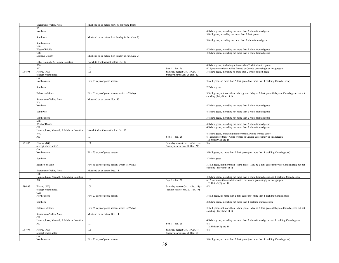|         | Sacramento Valley Area                          | Must end on or before Nov. 30 for white-fronts      |                                     |                                                                                                                                |
|---------|-------------------------------------------------|-----------------------------------------------------|-------------------------------------|--------------------------------------------------------------------------------------------------------------------------------|
|         | ID:                                             |                                                     |                                     |                                                                                                                                |
|         | Northern                                        |                                                     |                                     | 4/8 dark geese, including not more than 2 white-fronted geese                                                                  |
|         |                                                 |                                                     |                                     | 3/6 all geese, including not more than 2 dark geese                                                                            |
|         | Southwest                                       | Must end on or before first Sunday in Jan. (Jan. 2) |                                     | 3/6 all geese, including not more than 2 white-fronted geese                                                                   |
|         | Southeastern                                    |                                                     |                                     |                                                                                                                                |
|         | MT:                                             |                                                     |                                     |                                                                                                                                |
|         | West of Divide                                  |                                                     |                                     | 4/8 dark geese, including not more than 2 white-fronted geese                                                                  |
|         | OR:                                             |                                                     |                                     | 4/8 dark geese, including not more than 2 white-fronted geese                                                                  |
|         | Malheur County                                  | Must end on or before first Sunday in Jan. (Jan. 2) |                                     |                                                                                                                                |
|         |                                                 |                                                     |                                     |                                                                                                                                |
|         | Lake, Klamath, & Harney Counties<br><b>WA</b>   | No white-front harvest before Oct. 17               |                                     | 4/8 dark geese, including not more than 2 white-fronted geese                                                                  |
|         | AK                                              | 107                                                 | Sep. 1 - Jan. 26                    | 6/12; not more than 4 white-fronted or Canada geese singly or in aggregate                                                     |
| 1994-95 | Flyway (AK)                                     | 100                                                 | Saturday nearest Oct. 1 (Oct. 1) -  | 3/6 dark geese, including no more than 2 white-fronted geese                                                                   |
|         | (except where noted)                            |                                                     | Sunday nearest Jan. 20 (Jan. 22)    |                                                                                                                                |
|         | CA:                                             |                                                     |                                     |                                                                                                                                |
|         | Northeastern                                    | First 23 days of goose season                       |                                     | 3/6 all geese, no more than 2 dark geese (not more than 1 cackling Canada goose)                                               |
|         |                                                 |                                                     |                                     |                                                                                                                                |
|         | Southern                                        |                                                     |                                     | 2/2 dark geese                                                                                                                 |
|         | Balance-of-State:                               |                                                     |                                     |                                                                                                                                |
|         |                                                 | First 65 days of goose season, which is 79 days     |                                     | 3/3 all geese, not more than 1 dark goose. May be 2 dark geese if they are Canada geese but not<br>cackling (daily limit of 1) |
|         | Sacramento Valley Area                          | Must end on or before Nov. 30                       |                                     |                                                                                                                                |
|         | ID:                                             |                                                     |                                     |                                                                                                                                |
|         | Northern                                        |                                                     |                                     | 4/8 dark geese, including not more than 2 white-fronted geese                                                                  |
|         |                                                 |                                                     |                                     |                                                                                                                                |
|         | Southwest                                       |                                                     |                                     | 4/8 dark geese, including not more than 2 white-fronted geese                                                                  |
|         | Southeastern                                    |                                                     |                                     | 3/6 dark geese, including not more than 2 white-fronted geese                                                                  |
|         | MT                                              |                                                     |                                     |                                                                                                                                |
|         | West of Divide                                  |                                                     |                                     | 4/8 dark geese, including not more than 2 white-fronted geese                                                                  |
|         | OR:                                             |                                                     |                                     | 4/8 dark geese, including not more than 2 white-fronted geese                                                                  |
|         | Harney, Lake, Klamath, & Malheur Counties       | No white-front harvest before Oct. 17               |                                     |                                                                                                                                |
|         | WA                                              |                                                     |                                     | 4/8 dark geese, including not more than 2 white-fronted geese                                                                  |
|         |                                                 |                                                     |                                     |                                                                                                                                |
|         | AK                                              | 107                                                 | Sep. 1 - Jan. 26                    | 6/12; not more than 4 white-fronted or Canada geese singly or in aggregate                                                     |
|         |                                                 |                                                     |                                     | $1/2$ ; Units $9(E)$ and 18                                                                                                    |
| 1995-96 | Flyway (AK)                                     | 100                                                 | Saturday nearest Oct. 1 (Oct. 1) -  | 3/6                                                                                                                            |
|         | (except where noted)                            |                                                     | Sunday nearest Jan. 20 (Jan. 21)    |                                                                                                                                |
|         | CA:<br>Northeastern                             | First 23 days of goose season                       |                                     | 3/6 all geese, no more than 2 dark geese (not more than 1 cackling Canada goose)                                               |
|         |                                                 |                                                     |                                     |                                                                                                                                |
|         | Southern                                        |                                                     |                                     | $2/2$ dark geese                                                                                                               |
|         |                                                 |                                                     |                                     |                                                                                                                                |
|         | Balance-of-State:                               | First 65 days of goose season, which is 79 days     |                                     | 3/3 all geese, not more than 1 dark goose. May be 2 dark geese if they are Canada geese but not                                |
|         |                                                 |                                                     |                                     | cackling (daily limit of 1)                                                                                                    |
|         | Sacramento Valley Area<br>OR:                   | Must end on or before Dec. 14                       |                                     |                                                                                                                                |
|         | Harney, Lake, Klamath, & Malheur Counties       |                                                     |                                     | 4/8 dark geese, including not more than 2 white-fronted geese and 1 cackling Canada goose                                      |
|         | AK                                              | 107                                                 | Sep. 1 - Jan. 26                    | 6/12; not more than 4 white-fronted or Canada geese singly or in aggregate                                                     |
|         |                                                 |                                                     |                                     | $1/2$ ; Units $9(E)$ and 18                                                                                                    |
| 1996-97 | Flyway (AK)                                     | 100                                                 | Saturday nearest Oct. 1 (Sep. 28) - | 4/8                                                                                                                            |
|         | (except where noted)                            |                                                     | Sunday nearest Jan. 20 (Jan. 19)    |                                                                                                                                |
|         | CA:                                             |                                                     |                                     |                                                                                                                                |
|         | Northeastern                                    | First 23 days of goose season                       |                                     | 3/6 all geese, no more than 2 dark geese (not more than 1 cackling Canada goose)                                               |
|         | Southern                                        |                                                     |                                     | 2/2 dark geese, including not more than 1 cackling Canada goose                                                                |
|         |                                                 |                                                     |                                     |                                                                                                                                |
|         | Balance-of-State:                               | First 65 days of goose season, which is 79 days     |                                     | 3/3 all geese, not more than 1 dark goose. May be 2 dark geese if they are Canada geese but not                                |
|         |                                                 |                                                     |                                     | cackling (daily limit of 1)                                                                                                    |
|         | Sacramento Valley Area                          | Must end on or before Dec. 14                       |                                     |                                                                                                                                |
|         | OR                                              |                                                     |                                     |                                                                                                                                |
|         | Harney, Lake, Klamath, & Malheur Counties<br>AK | 107                                                 | Sep. 1 - Jan. 26                    | 4/8 dark geese, including not more than 2 white-fronted geese and 1 cackling Canada goose<br>4/8                               |
|         |                                                 |                                                     |                                     | $1/2$ ; Units $9(E)$ and 18                                                                                                    |
| 1997-98 | Flyway (AK)                                     | 100                                                 | Saturday nearest Oct. 1 (Oct. 4) -  | 4/8                                                                                                                            |
|         | (except where noted)                            |                                                     | Sunday nearest Jan. 20 (Jan. 18)    |                                                                                                                                |
|         | CA:<br>Northeastern                             | First 23 days of goose season                       |                                     | 3/6 all geese, no more than 2 dark geese (not more than 1 cackling Canada goose)                                               |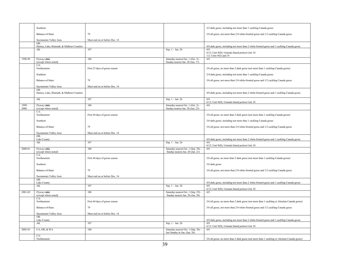|               | Southern                                         |                               |                                                                         | 2/2 dark geese, including not more than 1 cackling Canada goose                                  |
|---------------|--------------------------------------------------|-------------------------------|-------------------------------------------------------------------------|--------------------------------------------------------------------------------------------------|
|               | Balance-of-State:                                | 79                            |                                                                         | 3/6 all geese, not more than 2/4 white-fronted geese and 1/2 cackling Canada geese               |
|               | Sacramento Valley Area                           | Must end on or before Dec. 14 |                                                                         |                                                                                                  |
|               | OR:<br>Harney, Lake, Klamath, & Malheur Counties |                               |                                                                         | 4/8 dark geese, including not more than 2 white-fronted geese and 1 cackling Canada goose        |
|               | AK                                               | 107                           | Sep. 1 - Jan. 26                                                        | 4/8<br>6/12; Unit 9(D), Unimak Island portion Unit 10                                            |
|               |                                                  |                               |                                                                         | $1/2$ ; Units $9(E)$ and 18                                                                      |
| 1998-99       | Flyway (AK)<br>(except where noted)              | 100                           | Saturday nearest Oct. 1 (Oct. 3) -<br>Sunday nearest Jan. 20 (Jan. 17)  | 4/8                                                                                              |
|               | CA:<br>Northeastern                              | First 23 days of goose season |                                                                         | 3/6 all geese, no more than 2 dark geese (not more than 1 cackling Canada goose)                 |
|               | Southern                                         |                               |                                                                         | 2/4 dark geese, including not more than 1 cackling Canada goose                                  |
|               | Balance-of-State:                                | 79                            |                                                                         | 3/6 all geese, not more than 2/4 white-fronted geese and 1/2 cackling Canada geese               |
|               | Sacramento Valley Area                           | Must end on or before Dec. 14 |                                                                         |                                                                                                  |
|               | OR:<br>Harney, Lake, Klamath, & Malheur Counties |                               |                                                                         | 4/8 dark geese, including not more than 2 white-fronted geese and 1 cackling Canada goose        |
|               | AK                                               | 107                           | Sep. $1 - Jan. 26$                                                      | 4/8<br>6/12; Unit 9(D), Unimak Island portion Unit 10                                            |
| 1999-<br>2000 | Flyway (AK)<br>(except where noted)              | 100                           | Saturday nearest Oct. 1 (Oct. 2) -<br>Sunday nearest Jan. 20 (Jan. 23)  | 4/8                                                                                              |
|               | CA:<br>Northeastern                              | First 44 days of goose season |                                                                         | 3/6 all geese, no more than 2 dark geese (not more than 1 cackling Canada goose)                 |
|               | Southern                                         |                               |                                                                         | 3/6 dark geese, including not more than 1 cackling Canada goose                                  |
|               | Balance-of-State:                                | 79                            |                                                                         | 3/6 all geese, not more than 2/4 white-fronted geese and 1/2 cackling Canada geese               |
|               | Sacramento Valley Area                           | Must end on or before Dec. 14 |                                                                         |                                                                                                  |
|               | OR:<br>Lake County                               |                               |                                                                         | 4/8 dark geese, including not more than 2 white-fronted geese and 1 cackling Canada goose        |
|               | AK                                               | 107                           | Sep. 1 - Jan. 26                                                        | 4/8<br>6/12; Unit 9(D), Unimak Island portion Unit 10                                            |
| 2000-01       | Flyway (AK)<br>(except where noted)              | 100                           | Saturday nearest Oct. 1 (Sep. 30) -<br>Sunday nearest Jan. 20 (Jan. 21) | 4/8                                                                                              |
|               | CA:<br>Northeastern                              | First 44 days of goose season |                                                                         | 3/6 all geese, no more than 2 dark geese (not more than 1 cackling Canada goose)                 |
|               | Southern                                         |                               |                                                                         | 3/6 dark geese                                                                                   |
|               | Balance-of-State:                                | 79                            |                                                                         |                                                                                                  |
|               |                                                  |                               |                                                                         | 3/6 all geese, not more than 2/4 white-fronted geese and 1/2 cackling Canada geese               |
|               | Sacramento Valley Area<br>OR:                    | Must end on or before Dec. 14 |                                                                         |                                                                                                  |
|               | Lake County<br>AK                                | 107                           | Sep. 1 - Jan. 26                                                        | 4/8 dark geese, including not more than 2 white-fronted geese and 1 cackling Canada goose<br>4/8 |
| 2001-02       | Flyway (AK)                                      | 100                           | Saturday nearest Oct. 1 (Sep. 29) -                                     | 6/12; Unit 9(D), Unimak Island portion Unit 10<br>4/8                                            |
|               | (except where noted)<br>CA:                      |                               | Sunday nearest Jan. 20 (Jan. 20)                                        |                                                                                                  |
|               | Northeastern                                     | First 44 days of goose season |                                                                         | 3/6 all geese, no more than 2 dark geese (not more than 1 cackling or Aleutian Canada goose)     |
|               | Balance-of-State:                                | 79                            |                                                                         | 3/6 all geese, not more than 2/4 white-fronted geese and 1/2 cackling Canada geese               |
|               | Sacramento Valley Area                           | Must end on or before Dec. 14 |                                                                         |                                                                                                  |
|               | OR:<br>Lake County                               |                               |                                                                         | 4/8 dark geese, including not more than 2 white-fronted geese and 1 cackling Canada goose        |
|               | AK                                               | 107                           | Sep. $1 - Jan. 26$                                                      | 4/8<br>6/12; Unit 9(D), Unimak Island portion Unit 10                                            |
| 2002-03       | CA, OR, & WA                                     | 100                           | Saturday nearest Oct. 1 (Sep. 28) -<br>last Sunday in Jan. (Jan. 26)    | 4/8                                                                                              |
|               | CA:<br>Northeastern                              |                               |                                                                         | 3/6 all geese, no more than 2 dark geese (not more than 1 cackling or Aleutian Canada goose)     |
|               |                                                  |                               |                                                                         |                                                                                                  |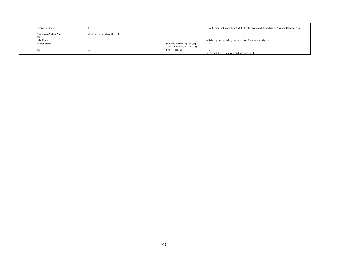| Balance-of-State:      | 86                            |                                    | 3/6 all geese, not more than 2 white-fronted geese and 1 cackling or Aleutian Canada goose |
|------------------------|-------------------------------|------------------------------------|--------------------------------------------------------------------------------------------|
| Sacramento Valley Area | Must end on or before Dec. 14 |                                    |                                                                                            |
| OR:                    |                               |                                    |                                                                                            |
| Lake County            |                               |                                    | 4/8 dark geese, including not more than 2 white-fronted geese                              |
| <b>Interior States</b> | 107                           | Saturday nearest Sep. 24 (Sep. 21) | 4/8                                                                                        |
|                        |                               | - last Sunday in Jan. (Jan. 26)    |                                                                                            |
| AK                     | 107                           | Sep. $1 -$ Jan. 26                 | 4/8                                                                                        |
|                        |                               |                                    | 6/12; Unit 9(D), Unimak Island portion Unit 10                                             |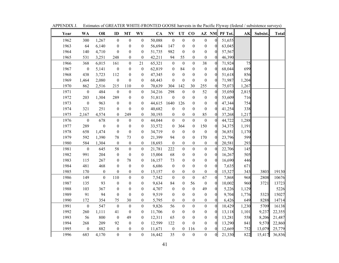| Year | WA               | <b>OR</b>        | ID               | <b>MT</b>        | WY               | <b>CA</b> | <b>NV</b>        | <b>UT</b>        | CO               |                  | AZ NM            | PF Tot. | AK    | Subsist. | <b>Total</b> |
|------|------------------|------------------|------------------|------------------|------------------|-----------|------------------|------------------|------------------|------------------|------------------|---------|-------|----------|--------------|
| 1962 | 300              | 1,267            | $\boldsymbol{0}$ | $\boldsymbol{0}$ | $\boldsymbol{0}$ | 50,088    | $\boldsymbol{0}$ | $\boldsymbol{0}$ | $\boldsymbol{0}$ | $\boldsymbol{0}$ | $\boldsymbol{0}$ | 51,655  |       |          |              |
| 1963 | 64               | 6,140            | $\boldsymbol{0}$ | $\boldsymbol{0}$ | $\boldsymbol{0}$ | 56,694    | 147              | $\boldsymbol{0}$ | $\boldsymbol{0}$ | $\boldsymbol{0}$ | $\boldsymbol{0}$ | 63,045  |       |          |              |
| 1964 | 140              | 4,710            | $\boldsymbol{0}$ | $\boldsymbol{0}$ | $\boldsymbol{0}$ | 51,735    | 982              | $\mathbf{0}$     | $\boldsymbol{0}$ | $\boldsymbol{0}$ | $\boldsymbol{0}$ | 57,567  |       |          |              |
| 1965 | 531              | 3,251            | 248              | $\boldsymbol{0}$ | $\boldsymbol{0}$ | 42,211    | 94               | 55               | $\boldsymbol{0}$ | $\boldsymbol{0}$ | $\boldsymbol{0}$ | 46,390  |       |          |              |
| 1966 | 368              | 6,015            | 161              | $\boldsymbol{0}$ | 21               | 65,321    | $\boldsymbol{0}$ | $\mathbf{0}$     | $\boldsymbol{0}$ | 38               | $\boldsymbol{0}$ | 71,924  | 75    |          |              |
| 1967 | $\boldsymbol{0}$ | 5,141            | $\boldsymbol{0}$ | $\boldsymbol{0}$ | $\boldsymbol{0}$ | 62,819    | $\boldsymbol{0}$ | 84               | $\boldsymbol{0}$ | $\boldsymbol{0}$ | $\boldsymbol{0}$ | 68,044  | 699   |          |              |
| 1968 | 438              | 3,723            | 112              | $\boldsymbol{0}$ | $\boldsymbol{0}$ | 47,345    | $\boldsymbol{0}$ | $\boldsymbol{0}$ | $\boldsymbol{0}$ | $\boldsymbol{0}$ | $\mathbf{0}$     | 51,618  | 856   |          |              |
| 1969 | 1,464            | 2,080            | $\boldsymbol{0}$ | $\boldsymbol{0}$ | $\boldsymbol{0}$ | 68,443    | $\boldsymbol{0}$ | $\boldsymbol{0}$ | $\boldsymbol{0}$ | $\boldsymbol{0}$ | $\mathbf{0}$     | 71,987  | 1,204 |          |              |
| 1970 | 862              | 2,516            | 215              | 110              | $\boldsymbol{0}$ | 70,639    | 304              | 142              | 30               | 255              | $\boldsymbol{0}$ | 75,073  | 1,267 |          |              |
| 1971 | $\boldsymbol{0}$ | 484              | $\boldsymbol{0}$ | $\boldsymbol{0}$ | $\boldsymbol{0}$ | 34,216    | 298              | $\boldsymbol{0}$ | $\boldsymbol{0}$ | 52               | $\mathbf{0}$     | 35,050  | 2,815 |          |              |
| 1972 | 203              | 1,304            | 289              | $\boldsymbol{0}$ | $\boldsymbol{0}$ | 51,813    | $\boldsymbol{0}$ | $\boldsymbol{0}$ | $\boldsymbol{0}$ | $\boldsymbol{0}$ | $\boldsymbol{0}$ | 53,609  | 716   |          |              |
| 1973 | $\boldsymbol{0}$ | 963              | $\boldsymbol{0}$ | $\boldsymbol{0}$ | $\boldsymbol{0}$ | 44,615    | 1640             | 126              | $\boldsymbol{0}$ | $\boldsymbol{0}$ | $\boldsymbol{0}$ | 47,344  | 754   |          |              |
| 1974 | 321              | 251              | $\boldsymbol{0}$ | $\boldsymbol{0}$ | $\boldsymbol{0}$ | 40,682    | $\boldsymbol{0}$ | $\boldsymbol{0}$ | $\boldsymbol{0}$ | $\boldsymbol{0}$ | $\boldsymbol{0}$ | 41,254  | 338   |          |              |
| 1975 | 2,167            | 4,574            | $\boldsymbol{0}$ | 249              | $\boldsymbol{0}$ | 30,193    | $\boldsymbol{0}$ | $\boldsymbol{0}$ | $\boldsymbol{0}$ | 85               | $\boldsymbol{0}$ | 37,268  | 1,217 |          |              |
| 1976 | $\boldsymbol{0}$ | 678              | $\boldsymbol{0}$ | $\boldsymbol{0}$ | $\boldsymbol{0}$ | 44,044    | $\boldsymbol{0}$ | $\overline{0}$   | $\boldsymbol{0}$ | $\boldsymbol{0}$ | $\mathbf{0}$     | 44,722  | 1,288 |          |              |
| 1977 | 289              | $\boldsymbol{0}$ | $\boldsymbol{0}$ | $\boldsymbol{0}$ | $\boldsymbol{0}$ | 33,572    | $\boldsymbol{0}$ | 364              | $\boldsymbol{0}$ | 150              | $\boldsymbol{0}$ | 34,375  | 1,191 |          |              |
| 1978 | 658              | 1,474            | $\boldsymbol{0}$ | $\boldsymbol{0}$ | $\boldsymbol{0}$ | 34,719    | $\boldsymbol{0}$ | $\boldsymbol{0}$ | $\boldsymbol{0}$ | $\boldsymbol{0}$ | $\mathbf{0}$     | 36,851  | 1,170 |          |              |
| 1979 | 592              | 1,390            | 78               | 73               | $\boldsymbol{0}$ | 21,399    | 94               | $\boldsymbol{0}$ | $\boldsymbol{0}$ | 170              | $\boldsymbol{0}$ | 23,796  | 599   |          |              |
| 1980 | 584              | 1,304            | $\boldsymbol{0}$ | $\boldsymbol{0}$ | $\boldsymbol{0}$ | 18,693    | $\boldsymbol{0}$ | $\boldsymbol{0}$ | $\boldsymbol{0}$ | $\boldsymbol{0}$ | $\boldsymbol{0}$ | 20,581  | 293   |          |              |
| 1981 | $\boldsymbol{0}$ | 645              | 58               | $\boldsymbol{0}$ | $\boldsymbol{0}$ | 21,781    | 222              | $\overline{0}$   | $\boldsymbol{0}$ | $\overline{0}$   | $\mathbf{0}$     | 22,706  | 145   |          |              |
| 1982 | 991              | 204              | $\boldsymbol{0}$ | $\boldsymbol{0}$ | $\boldsymbol{0}$ | 15,004    | 68               | $\boldsymbol{0}$ | $\boldsymbol{0}$ | $\boldsymbol{0}$ | $\boldsymbol{0}$ | 16,267  | 505   |          |              |
| 1983 | 115              | 267              | $\boldsymbol{0}$ | 78               | $\boldsymbol{0}$ | 16,157    | 73               | $\boldsymbol{0}$ | $\boldsymbol{0}$ | $\boldsymbol{0}$ | $\boldsymbol{0}$ | 16,690  | 446   |          |              |
| 1984 | 481              | 468              | $\boldsymbol{0}$ | $\boldsymbol{0}$ | $\boldsymbol{0}$ | 6,686     | $\boldsymbol{0}$ | $\boldsymbol{0}$ | $\boldsymbol{0}$ | $\boldsymbol{0}$ | $\boldsymbol{0}$ | 7,635   | 671   |          |              |
| 1985 | 170              | $\boldsymbol{0}$ | $\boldsymbol{0}$ | $\boldsymbol{0}$ | $\boldsymbol{0}$ | 15,157    | $\boldsymbol{0}$ | $\boldsymbol{0}$ | $\boldsymbol{0}$ | $\boldsymbol{0}$ | $\boldsymbol{0}$ | 15,327  | 343   | 3803     | 19130        |
| 1986 | 149              | $\boldsymbol{0}$ | 110              | $\mathbf{0}$     | $\boldsymbol{0}$ | 7,542     | $\boldsymbol{0}$ | $\overline{0}$   | $\boldsymbol{0}$ | 67               | $\overline{0}$   | 7,868   | 968   | 2808     | 10676        |
| 1987 | 135              | 93               | $\boldsymbol{0}$ | $\boldsymbol{0}$ | $\boldsymbol{0}$ | 9,634     | 84               | $\boldsymbol{0}$ | 56               | $\boldsymbol{0}$ | $\boldsymbol{0}$ | 10,002  | 960   | 3721     | 13723        |
| 1988 | 103              | 367              | $\boldsymbol{0}$ | $\mathbf{0}$     | $\boldsymbol{0}$ | 4,707     | $\boldsymbol{0}$ | $\boldsymbol{0}$ | $\boldsymbol{0}$ | 49               | $\boldsymbol{0}$ | 5,226   | 1,129 |          | 5226         |
| 1989 | 91               | 94               | $\mathbf{0}$     | $\boldsymbol{0}$ | $\boldsymbol{0}$ | 9,519     | $\boldsymbol{0}$ | $\boldsymbol{0}$ | $\boldsymbol{0}$ | $\boldsymbol{0}$ | $\boldsymbol{0}$ | 9,704   | 1,776 | 5323     | 15027        |
| 1990 | 172              | 354              | 75               | 30               | $\boldsymbol{0}$ | 5,795     | $\boldsymbol{0}$ | $\boldsymbol{0}$ | $\boldsymbol{0}$ | $\boldsymbol{0}$ | $\boldsymbol{0}$ | 6,426   | 649   | 8288     | 14714        |
| 1991 | $\boldsymbol{0}$ | 547              | $\boldsymbol{0}$ | $\boldsymbol{0}$ | $\boldsymbol{0}$ | 9,826     | 56               | $\boldsymbol{0}$ | $\boldsymbol{0}$ | $\boldsymbol{0}$ | $\mathbf{0}$     | 10,429  | 1,230 | 5709     | 16138        |
| 1992 | 260              | 1,111            | 41               | $\boldsymbol{0}$ | $\boldsymbol{0}$ | 11,706    | $\boldsymbol{0}$ | $\boldsymbol{0}$ | $\boldsymbol{0}$ | $\boldsymbol{0}$ | $\boldsymbol{0}$ | 13,118  | 1,101 | 9,237    | 22,355       |
| 1993 | 56               | 800              | $\boldsymbol{0}$ | 49               | $\boldsymbol{0}$ | 12,311    | 65               | $\boldsymbol{0}$ | $\boldsymbol{0}$ | $\boldsymbol{0}$ | $\boldsymbol{0}$ | 13,281  | 558   | 8,206    | 21,487       |
| 1994 | 268              | 209              | 92               | $\boldsymbol{0}$ | $\boldsymbol{0}$ | 12,599    | 122              | $\boldsymbol{0}$ | $\boldsymbol{0}$ | $\boldsymbol{0}$ | $\boldsymbol{0}$ | 13,290  | 841   | 9,570    | 22,860       |
| 1995 | $\boldsymbol{0}$ | 882              | $\boldsymbol{0}$ | $\boldsymbol{0}$ | $\boldsymbol{0}$ | 11,671    | $\boldsymbol{0}$ | $\boldsymbol{0}$ | 116              | $\boldsymbol{0}$ | $\boldsymbol{0}$ | 12,669  | 752   | 13,079   | 25,779       |
| 1996 | 683              | 4,170            | $\overline{0}$   | $\overline{0}$   | $\overline{0}$   | 16,442    | 35               | $\overline{0}$   | $\mathbf{0}$     | $\overline{0}$   | $\mathbf{0}$     | 21,330  | 822   | 15,417   | 36,836       |

APPENDIX J. Estimates of GREATER WHITE-FRONTED GOOSE harvests in the Pacific Flyway (federal / subsistence surveys)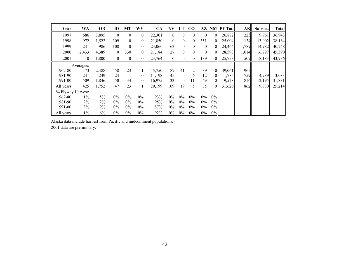| Year              | WA           | <b>OR</b> | ID               | MT               | WY               | <b>CA</b> | NV             | UT               | $\bf CO$       |              |                | AZ NM PF Tot. | AK    | Subsist. | <b>Total</b> |
|-------------------|--------------|-----------|------------------|------------------|------------------|-----------|----------------|------------------|----------------|--------------|----------------|---------------|-------|----------|--------------|
| 1997              | 686          | 3,895     | $\overline{0}$   | $\boldsymbol{0}$ | $\mathbf{0}$     | 22,301    | $\theta$       | $\theta$         | $\theta$       | $\mathbf{0}$ | $\overline{0}$ | 26,882        | 223   | 9,961    | 36,943       |
| 1998              | 972          | 1,522     | 309              | $\theta$         | $\overline{0}$   | 21,850    | $\theta$       | $\theta$         | $\theta$       | 351          | 0              | 25,004        | 134   | 13,002   | 38,164       |
| 1999              | 241          | 986       | 108              | $\mathbf{0}$     | $\mathbf{0}$     | 23,066    | 63             | $\mathbf{0}$     | $\theta$       | $\mathbf{0}$ | $\overline{0}$ | 24,464        | 1,789 | 14,982   | 40,248       |
| 2000              | 2,433        | 4,389     | $\boldsymbol{0}$ | 330              | 0                | 21,184    | 27             | $\boldsymbol{0}$ | $\mathbf{0}$   | $\mathbf{0}$ | 0              | 28,593        | 1,014 | 16,797   | 45,390       |
| 2001              | $\mathbf{0}$ | 1,800     | $\boldsymbol{0}$ | $\boldsymbol{0}$ | $\boldsymbol{0}$ | 23,764    | $\overline{0}$ | $\theta$         | $\mathbf{0}$   | 189          | $\theta$       | 25,753        | 507   | 18,183   | 43,936       |
|                   | Averages:    |           |                  |                  |                  |           |                |                  |                |              |                |               |       |          |              |
| 1962-80           | 473          | 2,488     | 58               | 23               |                  | 45,750    | 187            | 41               | $\overline{2}$ | 39           | $\overline{0}$ | 49,061        | 965   |          |              |
| 1981-90           | 241          | 249       | 24               | 11               | $\overline{0}$   | 11,198    | 45             | $\mathbf{0}$     | 6              | 12           | $\overline{0}$ | 11,785        | 759   | 4,789    | 13,083       |
| 1991-00           | 509          | 1,846     | 50               | 34               | $\overline{0}$   | 16.975    | 33             | $\boldsymbol{0}$ | 11             | 49           | $\overline{0}$ | 19,528        | 816   | 12,195   | 31,831       |
| All years         | 425          | 1,752     | 47               | 23               |                  | 29,199    | 109            | 19               | 5              | 35           | $\Omega$       | 31,620        | 862   | 9,880    | 25,214       |
| % Flyway Harvest: |              |           |                  |                  |                  |           |                |                  |                |              |                |               |       |          |              |
| 1962-80           | $1\%$        | 5%        | $0\%$            | $0\%$            | $0\%$            | 93%       | $0\%$          | $0\%$            | $0\%$          | $0\%$        | 0%             |               |       |          |              |
| 1981-90           | 2%           | 2%        | $0\%$            | $0\%$            | $0\%$            | 95%       | $0\%$          | $0\%$            | $0\%$          | $0\%$        | 0%             |               |       |          |              |
| 1991-00           | 3%           | 9%        | $0\%$            | $0\%$            | $0\%$            | 87%       | $0\%$          | $0\%$            | $0\%$          | $0\%$        | 0%             |               |       |          |              |
| All years         | $1\%$        | 6%        | $0\%$            | $0\%$            | $0\%$            | 92%       | $0\%$          | $0\%$            | $0\%$          | $0\%$        | 0%             |               |       |          |              |

Alaska data include harvest from Pacific and midcontinent populations.

2001 data are preliminary.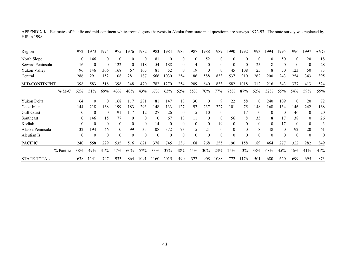APPENDIX K. Estimates of Pacific and mid-continent white-fronted goose harvests in Alaska from state mail questionnaire surveys 1972-97. The state survey was replaced by HIP in 1998.

| Region             |           | 1972     | 1973     | 1974     | 1975           | 1976         | 1982     | 1983     | 1984     | 1985     | 1987     | 1988         | 1989     | 1990         | 1992     | 1993         | 1994     | 1995     | 1996     | 1997     | <b>AVG</b> |
|--------------------|-----------|----------|----------|----------|----------------|--------------|----------|----------|----------|----------|----------|--------------|----------|--------------|----------|--------------|----------|----------|----------|----------|------------|
| North Slope        |           | $\theta$ | 146      | 0        | $\theta$       | $\theta$     | $\theta$ | 81       | $\Omega$ |          |          | 52           | $\Omega$ |              | $\Omega$ | $\theta$     | $\Omega$ | 50       |          | 20       | 18         |
| Seward Peninsula   |           | 16       | $\theta$ | 0        | 122            | $\theta$     | 118      | 54       | 188      |          | 4        | $\mathbf{0}$ | 0        | $\theta$     | $\Omega$ | 25           | 8        | $\Omega$ |          | $\theta$ | 28         |
| Yukon Valley       |           | 96       | 146      | 366      | 168            | 67           | 165      | 81       | 52       |          | 19       | $\theta$     |          | 45           | 108      | 25           | 8        | 50       | 123      | 50       | 83         |
| Central            |           | 286      | 291      | 152      | 108            | 281          | 187      | 566      | 1030     | 254      | 186      | 588          | 833      | 537          | 910      | 262          | 200      | 243      | 254      | 343      | 395        |
| MID-CONTINENT      |           | 398      | 583      | 518      | 398            | 348          | 470      | 782      | 1270     | 254      | 209      | 640          | 833      | 582          | 1018     | 312          | 216      | 343      | 377      | 413      | 524        |
|                    | $\%$ M-C  | 62%      | 51%      | 69%      | 43%            | 40%          | 43%      | 67%      | 63%      | 52%      | 55%      | 70%          | 77%      | 75%          | 87%      | 62%          | 32%      | 55%      | 54%      | 59%      | 59%        |
| Yukon Delta        |           | 64       | $\theta$ | $\theta$ | 168            | 117          | 281      | 81       | 147      | 18       | 30       | $\theta$     | 9        | 22           | 58       | $\theta$     | 240      | 109      | 0        | 20       | 72         |
| Cook Inlet         |           | 144      | 218      | 168      | 199            | 183          | 293      | 148      | 133      | 127      | 97       | 237          | 227      | 101          | 75       | 148          | 168      | 134      | 146      | 242      | 168        |
| <b>Gulf Coast</b>  |           | 0        | $\theta$ | $\theta$ | 91             | 117          | 12       | 27       | 26       | 0        | 15       | 10           | $\theta$ | 11           | 17       | $\Omega$     | $\theta$ | $\theta$ | 46       | 0        | 20         |
| Southeast          |           | 0        | 146      | 15       | 77             | $\theta$     | $\Omega$ | $\theta$ | 67       | 18       | 11       | $\mathbf{0}$ | $\theta$ | 56           | 8        | 33           | 8        | 17       | 38       | $\theta$ | 26         |
| Kodiak             |           | $\theta$ | $\theta$ | $\theta$ | $\mathbf{0}$   | $\mathbf{0}$ | $\Omega$ | 14       | $\Omega$ | $\Omega$ | $\theta$ | $\mathbf{0}$ | 19       | $\mathbf{0}$ | $\theta$ | $\mathbf{0}$ | $\Omega$ | 17       | $\theta$ | $\theta$ |            |
| Alaska Peninsula   |           | 32       | 194      | 46       | $\theta$       | 99           | 35       | 108      | 372      | 73       | 15       | 21           | 0        | $\theta$     | $\bf{0}$ | 8            | 48       | $\theta$ | 92       | 20       | 61         |
| Aleutian Is.       |           | 0        | $\theta$ | $\theta$ | $\overline{0}$ | $\mathbf{0}$ | $\theta$ | $\theta$ | $\Omega$ |          | $\theta$ | $\theta$     | $\theta$ | $\theta$     | $\theta$ | $\theta$     | $\theta$ | $\theta$ | 0        | 0        | $\theta$   |
| <b>PACIFIC</b>     |           | 240      | 558      | 229      | 535            | 516          | 62       | 378      | 745      | 236      | 168      | 268          | 255      | 190          | 158      | 189          | 464      | 277      | 322      | 282      | 349        |
|                    | % Pacific | 38%      | 49%      | 31%      | 57%            | 60%          | 57%      | 33%      | 37%      | 48%      | 45%      | 30%          | 23%      | 25%          | 13%      | 38%          | 68%      | 45%      | 46%      | 41%      | 41%        |
| <b>STATE TOTAL</b> |           | 638      | 1141     | 747      | 933            | 864          | 1091     | 1160     | 2015     | 490      | 377      | 908          | 1088     | 772          | 1176     | 501          | 680      | 620      | 699      | 695      | 873        |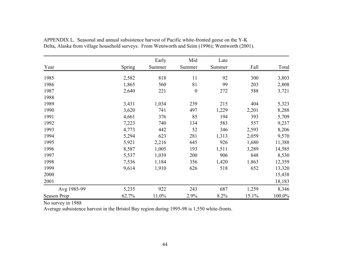|             |               | Early  | Mid              | Late   |       |        |
|-------------|---------------|--------|------------------|--------|-------|--------|
| Year        | <b>Spring</b> | Summer | Summer           | Summer | Fall  | Total  |
| 1985        | 2,582         | 818    | 11               | 92     | 300   | 3,803  |
| 1986        | 1,865         | 560    | 81               | 99     | 203   | 2,808  |
| 1987        | 2,640         | 221    | $\boldsymbol{0}$ | 272    | 588   | 3,721  |
| 1988        |               |        |                  |        |       |        |
| 1989        | 3,431         | 1,034  | 239              | 215    | 404   | 5,323  |
| 1990        | 3,620         | 741    | 497              | 1,229  | 2,201 | 8,288  |
| 1991        | 4,661         | 376    | 85               | 194    | 393   | 5,709  |
| 1992        | 7,223         | 740    | 134              | 583    | 557   | 9,237  |
| 1993        | 4,773         | 442    | 52               | 346    | 2,593 | 8,206  |
| 1994        | 5,294         | 623    | 281              | 1,313  | 2,059 | 9,570  |
| 1995        | 5,921         | 2,216  | 645              | 926    | 1,680 | 11,388 |
| 1996        | 8,587         | 1,005  | 193              | 1,511  | 3,289 | 14,585 |
| 1997        | 5,537         | 1,039  | 200              | 906    | 848   | 8,530  |
| 1998        | 7,536         | 1,184  | 356              | 1,420  | 1,863 | 12,359 |
| 1999        | 9,614         | 1,910  | 626              | 518    | 652   | 13,320 |
| 2000        |               |        |                  |        |       | 15,438 |
| 2001        |               |        |                  |        |       | 18,183 |
| Avg 1985-99 | 5,235         | 922    | 243              | 687    | 1,259 | 8,346  |
| Season Prop | 62.7%         | 11.0%  | 2.9%             | 8.2%   | 15.1% | 100.0% |

APPENDIX L. Seasonal and annual subsistence harvest of Pacific white-fronted geese on the Y-K Delta, Alaska from village household surveys. From Wentworth and Seim (1996); Wentworth (2001).

No survey in 1988

Average subsistence harvest in the Bristol Bay region during 1995-98 is 1,550 white-fronts.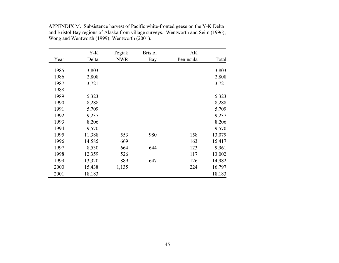|      | $Y-K$  | Togiak     | <b>Bristol</b> | AK        |        |
|------|--------|------------|----------------|-----------|--------|
| Year | Delta  | <b>NWR</b> | Bay            | Peninsula | Total  |
|      |        |            |                |           |        |
| 1985 | 3,803  |            |                |           | 3,803  |
| 1986 | 2,808  |            |                |           | 2,808  |
| 1987 | 3,721  |            |                |           | 3,721  |
| 1988 |        |            |                |           |        |
| 1989 | 5,323  |            |                |           | 5,323  |
| 1990 | 8,288  |            |                |           | 8,288  |
| 1991 | 5,709  |            |                |           | 5,709  |
| 1992 | 9,237  |            |                |           | 9,237  |
| 1993 | 8,206  |            |                |           | 8,206  |
| 1994 | 9,570  |            |                |           | 9,570  |
| 1995 | 11,388 | 553        | 980            | 158       | 13,079 |
| 1996 | 14,585 | 669        |                | 163       | 15,417 |
| 1997 | 8,530  | 664        | 644            | 123       | 9,961  |
| 1998 | 12,359 | 526        |                | 117       | 13,002 |
| 1999 | 13,320 | 889        | 647            | 126       | 14,982 |
| 2000 | 15,438 | 1,135      |                | 224       | 16,797 |
| 2001 | 18,183 |            |                |           | 18,183 |

APPENDIX M. Subsistence harvest of Pacific white-fronted geese on the Y-K Delta and Bristol Bay regions of Alaska from village surveys. Wentworth and Seim (1996); Wong and Wentworth (1999); Wentworth (2001).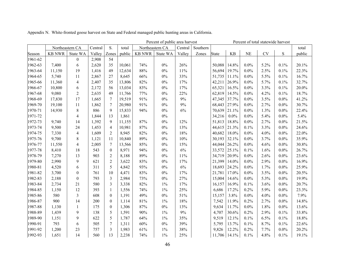|         | Percent of public area harvest<br>Percent of total statewide harvest |                  |         |                  |        |               |                 |         |          |              |           |           |           |      |        |
|---------|----------------------------------------------------------------------|------------------|---------|------------------|--------|---------------|-----------------|---------|----------|--------------|-----------|-----------|-----------|------|--------|
|         |                                                                      | Northeastern CA  | Central | S.               | total  |               | Northeastern CA | Central | Southern |              |           |           |           |      | total  |
| Season  | <b>KB NWR</b>                                                        | State WA         | Valley  | Zones            | public | <b>KB NWR</b> | State WA        | Valley  | Zones    | <b>State</b> | <b>KB</b> | <b>NE</b> | <b>CV</b> | S    | public |
| 1961-62 |                                                                      | $\boldsymbol{0}$ | 2,908   | 54               |        |               |                 |         |          |              |           |           |           |      |        |
| 1962-63 | 7,400                                                                | 6                | 2,620   | 35               | 10,061 | 74%           | $0\%$           | 26%     |          | 50,088       | 14.8%     | $0.0\%$   | 5.2%      | 0.1% | 20.1%  |
| 1963-64 | 11,150                                                               | 19               | 1,416   | 49               | 12,634 | 88%           | $0\%$           | 11%     |          | 56,694       | 19.7%     | $0.0\%$   | 2.5%      | 0.1% | 22.3%  |
| 1964-65 | 5,740                                                                | 11               | 2,867   | 27               | 8,645  | 66%           | $0\%$           | 33%     |          | 51,735       | 11.1%     | $0.0\%$   | 5.5%      | 0.1% | 16.7%  |
| 1965-66 | 11,360                                                               | $\overline{4}$   | 2,407   | 35               | 13,806 | 82%           | $0\%$           | 17%     |          | 42,211       | 26.9%     | $0.0\%$   | 5.7%      | 0.1% | 32.7%  |
| 1966-67 | 10,800                                                               | 6                | 2,172   | 56               | 13,034 | 83%           | $0\%$           | 17%     |          | 65,321       | 16.5%     | $0.0\%$   | 3.3%      | 0.1% | 20.0%  |
| 1967-68 | 9,080                                                                | $\overline{2}$   | 2,635   | 49               | 11,766 | 77%           | $0\%$           | 22%     |          | 62,819       | 14.5%     | $0.0\%$   | 4.2%      | 0.1% | 18.7%  |
| 1968-69 | 17,830                                                               | 17               | 1,665   | 7                | 19,519 | 91%           | $0\%$           | 9%      |          | 47,345       | 37.7%     | $0.0\%$   | 3.5%      | 0.0% | 41.2%  |
| 1969-70 | 19,100                                                               | 11               | 1,862   | 7                | 20,980 | 91%           | $0\%$           | 9%      |          | 68,443       | 27.9%     | $0.0\%$   | 2.7%      | 0.0% | 30.7%  |
| 1970-71 | 14,930                                                               | 8                | 886     | 9                | 15,833 | 94%           | $0\%$           | 6%      |          | 70,639       | 21.1%     | $0.0\%$   | 1.3%      | 0.0% | 22.4%  |
| 1971-72 |                                                                      | $\overline{4}$   | 1,844   | 13               | 1,861  |               | $0\%$           |         |          | 34,216       | $0.0\%$   | $0.0\%$   | 5.4%      | 0.0% | 5.4%   |
| 1972-73 | 9,740                                                                | 14               | 1,392   | 9                | 11,155 | 87%           | $0\%$           | 12%     |          | 51,813       | 18.8%     | $0.0\%$   | 2.7%      | 0.0% | 21.5%  |
| 1973-74 | 9,500                                                                | 24               | 1,453   | $\overline{4}$   | 10,981 | 87%           | $0\%$           | 13%     |          | 44,615       | 21.3%     | 0.1%      | 3.3%      | 0.0% | 24.6%  |
| 1974-75 | 7,330                                                                | $\overline{4}$   | 1,609   | $\overline{2}$   | 8,945  | 82%           | $0\%$           | 18%     |          | 40,682       | 18.0%     | $0.0\%$   | 4.0%      | 0.0% | 22.0%  |
| 1975-76 | 9,700                                                                | 8                | 1,121   | 11               | 10,840 | 89%           | $0\%$           | 10%     |          | 30,193       | 32.1%     | $0.0\%$   | 3.7%      | 0.0% | 35.9%  |
| 1976-77 | 11,550                                                               | $\overline{4}$   | 2,005   | 7                | 13,566 | 85%           | $0\%$           | 15%     |          | 44,044       | 26.2%     | $0.0\%$   | 4.6%      | 0.0% | 30.8%  |
| 1977-78 | 8,410                                                                | 18               | 543     | $\boldsymbol{0}$ | 8,971  | 94%           | $0\%$           | 6%      |          | 33,572       | 25.1%     | 0.1%      | 1.6%      | 0.0% | 26.7%  |
| 1978-79 | 7,270                                                                | 13               | 903     | $\overline{2}$   | 8,188  | 89%           | $0\%$           | 11%     |          | 34,719       | 20.9%     | $0.0\%$   | 2.6%      | 0.0% | 23.6%  |
| 1979-80 | 2,990                                                                | 9                | 621     | $\overline{2}$   | 3,622  | 83%           | $0\%$           | 17%     |          | 21,399       | 14.0%     | $0.0\%$   | 2.9%      | 0.0% | 16.9%  |
| 1980-81 | 4,520                                                                | 6                | 311     | 5                | 4,842  | 93%           | $0\%$           | 6%      |          | 18,693       | 24.2%     | $0.0\%$   | 1.7%      | 0.0% | 25.9%  |
| 1981-82 | 3,700                                                                | $\mathbf{0}$     | 761     | 10               | 4,471  | 83%           | $0\%$           | 17%     |          | 21,781       | 17.0%     | $0.0\%$   | 3.5%      | 0.0% | 20.5%  |
| 1982-83 | 2,188                                                                | $\boldsymbol{0}$ | 793     | 3                | 2,984  | 73%           | $0\%$           | 27%     |          | 15,004       | 14.6%     | $0.0\%$   | 5.3%      | 0.0% | 19.9%  |
| 1983-84 | 2,734                                                                | 21               | 580     | 3                | 3,338  | 82%           | $1\%$           | 17%     |          | 16,157       | 16.9%     | 0.1%      | 3.6%      | 0.0% | 20.7%  |
| 1984-85 | 1,150                                                                | 12               | 393     | $\mathbf{1}$     | 1,556  | 74%           | $1\%$           | 25%     |          | 6,686        | 17.2%     | 0.2%      | 5.9%      | 0.0% | 23.3%  |
| 1985-86 | 580                                                                  | $\overline{3}$   | 608     | $\theta$         | 1,191  | 49%           | $0\%$           | 51%     |          | 15,157       | 3.8%      | $0.0\%$   | 4.0%      | 0.0% | 7.9%   |
| 1986-87 | 900                                                                  | 14               | 200     | $\overline{0}$   | 1,114  | 81%           | $1\%$           | 18%     |          | 7,542        | 11.9%     | 0.2%      | 2.7%      | 0.0% | 14.8%  |
| 1987-88 | 1,130                                                                | $\mathbf{1}$     | 175     | $\boldsymbol{0}$ | 1,306  | 87%           | $0\%$           | 13%     |          | 9,634        | 11.7%     | $0.0\%$   | 1.8%      | 0.0% | 13.6%  |
| 1988-89 | 1,439                                                                | 9                | 138     | 5                | 1,591  | 90%           | $1\%$           | 9%      |          | 4,707        | 30.6%     | 0.2%      | 2.9%      | 0.1% | 33.8%  |
| 1989-90 | 1,151                                                                | 9                | 622     | 5                | 1,787  | 64%           | $1\%$           | 35%     |          | 9,519        | 12.1%     | 0.1%      | 6.5%      | 0.1% | 18.8%  |
| 1990-91 | 793                                                                  | 6                | 505     | 7                | 1,311  | 60%           | $0\%$           | 39%     |          | 5,795        | 13.7%     | 0.1%      | 8.7%      | 0.1% | 22.6%  |
| 1991-92 | 1,200                                                                | 23               | 757     | 3                | 1,983  | 61%           | $1\%$           | 38%     |          | 9,826        | 12.2%     | 0.2%      | 7.7%      | 0.0% | 20.2%  |
| 1992-93 | 1,651                                                                | 14               | 560     | 13               | 2,238  | 74%           | $1\%$           | 25%     |          | 11,706       | 14.1%     | 0.1%      | 4.8%      | 0.1% | 19.1%  |

Appendix N. White-fronted goose harvest on State and Federal managed public hunting areas in California.